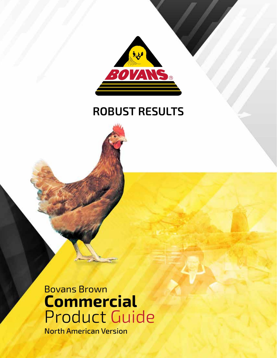

# **ROBUST RESULTS**

Bovans Brown **Commercial**  Product Guide North American Version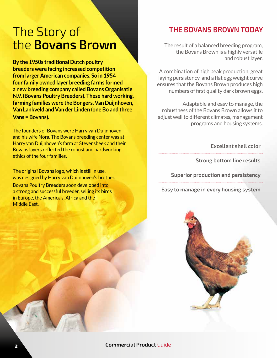# The Story of the **Bovans Brown**

**By the 1950s traditional Dutch poultry breeders were facing increased competition from larger American companies. So in 1954 four family owned layer breeding farms formed a new breeding company called Bovans Organisatie N.V. (Bovans Poultry Breeders). These hard working, farming families were the Bongers, Van Duijnhoven, Van Lankveld and Van der Linden (one Bo and three Vans = Bovans).**

The founders of Bovans were Harry van Duijnhoven and his wife Nora. The Bovans breeding center was at Harry van Duijnhoven's farm at Stevensbeek and their Bovans layers reflected the robust and hardworking ethics of the four families.

The original Bovans logo, which is still in use, was designed by Harry van Duijnhoven's brother. Bovans Poultry Breeders soon developed into a strong and successful breeder, selling its birds in Europe, the America's, Africa and the Middle East.

# **THE BOVANS BROWN TODAY**

The result of a balanced breeding program, the Bovans Brown is a highly versatile and robust layer.

A combination of high peak production, great laying persistency, and a flat egg weight curve ensures that the Bovans Brown produces high numbers of first quality dark brown eggs.

Adaptable and easy to manage, the robustness of the Bovans Brown allows it to adjust well to different climates, management programs and housing systems.

**Excellent shell color**

**Strong bottom line results**

**Superior production and persistency** 

**Easy to manage in every housing system** 

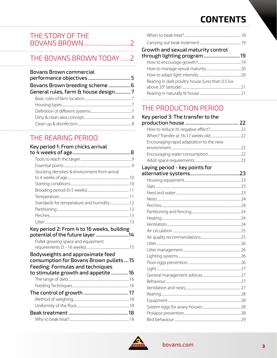# **CONTENTS**

# THE STORY OF THE

# THE BOVANS BROWN TODAY ......2

| <b>Bovans Brown commercial</b>       |  |
|--------------------------------------|--|
| General rules, farm & house design 7 |  |
|                                      |  |
|                                      |  |
|                                      |  |
|                                      |  |
|                                      |  |
|                                      |  |

# THE REARING PERIOD

#### Key period 1: From chicks arrival

| Stocking densities & environment from arrival                                                                      |  |
|--------------------------------------------------------------------------------------------------------------------|--|
|                                                                                                                    |  |
|                                                                                                                    |  |
|                                                                                                                    |  |
|                                                                                                                    |  |
|                                                                                                                    |  |
|                                                                                                                    |  |
|                                                                                                                    |  |
|                                                                                                                    |  |
| $\lambda$ - a contract $\mathbf{B}$ . For each $\lambda$ that $\mathbf{A}$ for each contract that the $\mathbf{B}$ |  |

#### Key period 2: From 4 to 16 weeks, building

| Pullet growing space and equipment |  |
|------------------------------------|--|
|                                    |  |

| Bodyweights and approximate feed<br>consumption for Bovans Brown pullets15     |  |
|--------------------------------------------------------------------------------|--|
| <b>Feeding: Formulas and techniques</b><br>to stimulate growth and appetite 16 |  |
|                                                                                |  |
|                                                                                |  |
|                                                                                |  |
|                                                                                |  |
|                                                                                |  |
|                                                                                |  |
|                                                                                |  |

| Growth and sexual maturity control<br>Rearing in dark poultry house (Less than 0.5 lux |  |
|----------------------------------------------------------------------------------------|--|
|                                                                                        |  |
|                                                                                        |  |
|                                                                                        |  |
|                                                                                        |  |
|                                                                                        |  |
|                                                                                        |  |
|                                                                                        |  |
|                                                                                        |  |

### THE PRODUCTION PERIOD Koy poriod 3. The transforto the

| Key period 3: The transfer to the       |  |
|-----------------------------------------|--|
|                                         |  |
|                                         |  |
| Encouraging rapid adaptation to the new |  |
|                                         |  |
|                                         |  |
|                                         |  |
| Laying period - key points for          |  |
|                                         |  |
|                                         |  |
|                                         |  |
|                                         |  |
|                                         |  |
|                                         |  |
|                                         |  |
|                                         |  |
|                                         |  |
|                                         |  |
|                                         |  |
|                                         |  |
|                                         |  |
|                                         |  |
|                                         |  |
|                                         |  |
|                                         |  |
|                                         |  |
|                                         |  |
|                                         |  |
|                                         |  |
|                                         |  |
|                                         |  |
|                                         |  |

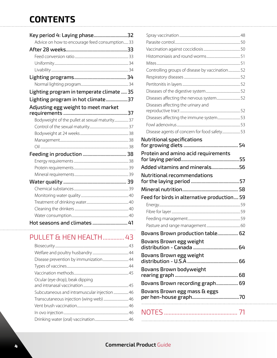# **CONTENTS**

| Key period 4: Laying phase32                   |  |
|------------------------------------------------|--|
| Advice on how to encourage feed consumption33  |  |
|                                                |  |
|                                                |  |
|                                                |  |
|                                                |  |
|                                                |  |
|                                                |  |
| Lighting program in temperate climate  35      |  |
| Lighting program in hot climate37              |  |
| Adjusting egg weight to meet market            |  |
|                                                |  |
| Bodyweight of the pullet at sexual maturity 37 |  |
|                                                |  |
|                                                |  |
|                                                |  |
|                                                |  |
|                                                |  |
|                                                |  |
|                                                |  |
|                                                |  |
|                                                |  |
|                                                |  |
|                                                |  |
|                                                |  |
|                                                |  |
|                                                |  |
| Hot seasons and climates  41                   |  |

# PULLET & HEN HEALTH............... 43

| Ocular (eye drop), beak dipping              |  |
|----------------------------------------------|--|
|                                              |  |
| Subcutaneous and intramuscular injection  46 |  |
| Transcutaneous injection (wing web)  46      |  |
|                                              |  |
|                                              |  |
|                                              |  |
|                                              |  |

| Controlling groups of disease by vaccination 52                                   |  |
|-----------------------------------------------------------------------------------|--|
|                                                                                   |  |
|                                                                                   |  |
|                                                                                   |  |
| Diseases affecting the nervous system 52                                          |  |
| Diseases affecting the urinary and                                                |  |
| Diseases affecting the immune system 53                                           |  |
|                                                                                   |  |
| Disease agents of concern for food safety 53                                      |  |
| <b>Nutritional specifications</b>                                                 |  |
|                                                                                   |  |
| Protein and amino acid requirements                                               |  |
|                                                                                   |  |
|                                                                                   |  |
| Added vitamins and minerals56                                                     |  |
|                                                                                   |  |
|                                                                                   |  |
|                                                                                   |  |
|                                                                                   |  |
|                                                                                   |  |
|                                                                                   |  |
| <b>Nutritional recommendations</b><br>Feed for birds in alternative production 59 |  |
|                                                                                   |  |
| Bovans Brown production table 62                                                  |  |
| Bovans Brown egg weight                                                           |  |
|                                                                                   |  |
| Bovans Brown egg weight                                                           |  |
| Bovans Brown bodyweight                                                           |  |
|                                                                                   |  |
| Bovans Brown recording graph 69                                                   |  |
| Bovans Brown egg mass & eggs                                                      |  |
|                                                                                   |  |
|                                                                                   |  |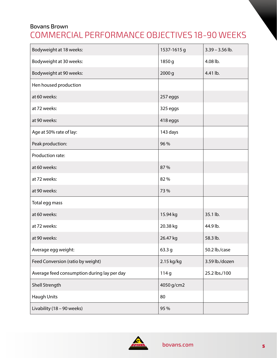# Bovans Brown COMMERCIAL PERFORMANCE OBJECTIVES 18-90 WEEKS

| Bodyweight at 18 weeks:                     | 1537-1615 g | $3.39 - 3.56$ lb. |
|---------------------------------------------|-------------|-------------------|
| Bodyweight at 30 weeks:                     | 1850 g      | 4.08 lb.          |
| Bodyweight at 90 weeks:                     | 2000 g      | 4.41 lb.          |
| Hen housed production                       |             |                   |
| at 60 weeks:                                | 257 eggs    |                   |
| at 72 weeks:                                | 325 eggs    |                   |
| at 90 weeks:                                | 418 eggs    |                   |
| Age at 50% rate of lay:                     | 143 days    |                   |
| Peak production:                            | 96%         |                   |
| Production rate:                            |             |                   |
| at 60 weeks:                                | 87%         |                   |
| at 72 weeks:                                | 82%         |                   |
| at 90 weeks:                                | 73%         |                   |
| Total egg mass                              |             |                   |
| at 60 weeks:                                | 15.94 kg    | 35.1 lb.          |
| at 72 weeks:                                | 20.38 kg    | 44.9 lb.          |
| at 90 weeks:                                | 26.47 kg    | 58.3 lb.          |
| Average egg weight:                         | 63.3 g      | 50.2 lb./case     |
| Feed Conversion (ratio by weight)           | 2.15 kg/kg  | 3.59 lb./dozen    |
| Average feed consumption during lay per day | 114g        | 25.2 lbs./100     |
| Shell Strength                              | 4050 g/cm2  |                   |
| <b>Haugh Units</b>                          | 80          |                   |
| Livability (18 - 90 weeks)                  | 95 %        |                   |

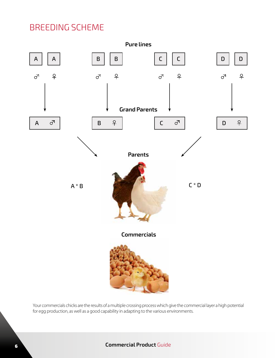# BREEDING SCHEME



Your commercials chicks are the results of a multiple crossing process which give the commercial layer a high potential for egg production, as well as a good capability in adapting to the various environments.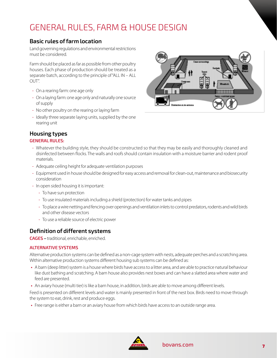# GENERAL RULES, FARM & HOUSE DESIGN

# **Basic rules of farm location**

Land governing regulations and environmental restrictions must be considered.

Farm should be placed as far as possible from other poultry houses. Each phase of production should be treated as a separate batch, according to the principle of "ALL IN – ALL OUT".

- On a rearing farm: one age only
- On a laying farm: one age only and naturally one source of supply
- No other poultry on the rearing or laying farm
- Ideally three separate laying units, supplied by the one rearing unit

### **Housing types**

#### **GENERAL RULES:**

- Whatever the building style, they should be constructed so that they may be easily and thoroughly cleaned and disinfected between flocks. The walls and roofs should contain insulation with a moisture barrier and rodent proof materials.
- Adequate ceiling height for adequate ventilation purposes
- Equipment used in house should be designed for easy access and removal for clean-out, maintenance and biosecurity consideration
- In open sided housing it is important:
	- To have sun protection
	- To use insulated materials including a shield (protection) for water tanks and pipes
	- To place a wire netting and fencing over openings and ventilation inlets to control predators, rodents and wild birds and other disease vectors
	- To use a reliable source of electric power

### **Definition of different systems**

**CAGES –** traditional, enrichable, enriched.

#### **ALTERNATIVE SYSTEMS**

Alternative production systems can be defined as a non-cage system with nests, adequate perches and a scratching area. Within alternative production systems different housing sub systems can be defined as:

- **•** A barn (deep litter) system is a house where birds have access to a litter area, and are able to practice natural behaviour like dust bathing and scratching. A barn house also provides nest boxes and can have a slatted area where water and feed are presented.
- **•** An aviary house (multi tier) is like a barn house, in addition, birds are able to move among different levels.

Feed is presented on different levels and water is mainly presented in front of the nest box. Birds need to move through the system to eat, drink, rest and produce eggs.

**•** Free range is either a barn or an aviary house from which birds have access to an outside range area.



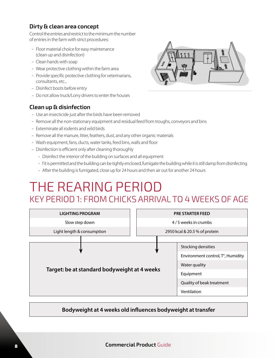## **Dirty & clean area concept**

Control the entries and restrict to the minimum the number of entries in the farm with strict procedures:

- Floor material choice for easy maintenance (clean up and disinfection)
- Clean hands with soap
- Wear protective clothing within the farm area
- Provide specific protective clothing for veterinarians, consultants, etc...
- Disinfect boots before entry
- Do not allow truck/Lorry drivers to enter the houses

# **Clean up & disinfection**

- Use an insecticide just after the birds have been removed
- Remove all the non-stationary equipment and residual feed from troughs, conveyors and bins
- Exterminate all rodents and wild birds
- Remove all the manure, litter, feathers, dust, and any other organic materials
- Wash equipment, fans, ducts, water tanks, feed bins, walls and floor
- Disinfection is efficient only after cleaning thoroughly
	- Disinfect the interior of the building on surfaces and all equipment
	- f it is permitted and the building can be tightly enclosed, fumigate the building while it is still damp from disinfecting
	- After the building is fumigated, close up for 24 hours and then air out for another 24 hours

# THE REARING PERIOD KEY PERIOD 1: FROM CHICKS ARRIVAL TO 4 WEEKS OF AGE

| <b>LIGHTING PROGRAM</b>                      | <b>PRE STARTER FEED</b>           |                           |  |
|----------------------------------------------|-----------------------------------|---------------------------|--|
| Slow step down                               | 4/5 weeks in crumbs               |                           |  |
| Light length & consumption                   | 2950 kcal & 20.5 % of protein     |                           |  |
|                                              |                                   |                           |  |
|                                              |                                   | Stocking densities        |  |
|                                              | Environment control, T°, Humidity |                           |  |
| Target: be at standard bodyweight at 4 weeks |                                   | Water quality             |  |
|                                              |                                   | Equipment                 |  |
|                                              |                                   | Quality of beak treatment |  |
|                                              | Ventilation                       |                           |  |

# **Bodyweight at 4 weeks old influences bodyweight at transfer**

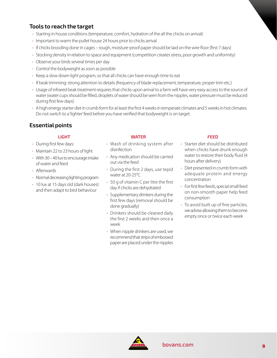# **Tools to reach the target**

- Starting in house conditions (temperature, comfort, hydration of the all the chicks on arrival)
- Important to warm the pullet house 24 hours prior to chicks arrival
- If chicks brooding done in cages rough, moisture-proof paper should be laid on the wire floor (first 7 days)
- Stocking density in relation to space and equipment (competition creates stress, poor growth and uniformity)
- Observe your birds several times per day
- Control the bodyweight as soon as possible
- Keep a slow down light program, so that all chicks can have enough time to eat
- If beak trimming: strong attention to details (frequency of blade replacement, temperature, proper trim etc.)
- Usage of infrared beak treatment requires that chicks upon arrival to a farm will have very easy access to the source of water (water cups should be filled, droplets of water should be seen from the nipples, water pressure must be reduced during first few days)
- A high energy starter diet in crumb form for at least the first 4 weeks in temperate climates and 5 weeks in hot climates. Do not switch to a 'lighter' feed before you have verified that bodyweight is on target.

# **Essential points**

#### **LIGHT**

- During first few days:
- Maintain 22 to 23 hours of light
- With 30 40 lux to encourage intake of water and feed
- Afterwards
- Normal decreasing lighting program
- 10 lux at 15 days old (dark houses) and then adapt to bird behaviour

#### **WATER**

- Wash of drinking system after disinfection
- Any medication should be carried out via the feed
- During the first 2 days, use tepid water at 20-25°C
- 50 g of vitamin C per litre the first day if chicks are dehydrated
- Supplementary drinkers during the first few days (removal should be done gradually)
- Drinkers should be cleaned daily the first 2 weeks and then once a week
- When nipple drinkers are used, we recommend that strips of embossed paper are placed under the nipples

#### **FEED**

- Starter diet should be distributed when chicks have drunk enough water to restore their body fluid (4 hours after delivery)
- Diet presented in crumb form with adequate protein and energy concentration
- For first few feeds, special small feed on non-smooth paper help feed consumption
- To avoid built up of fine particles, we advise allowing them to become empty once or twice each week

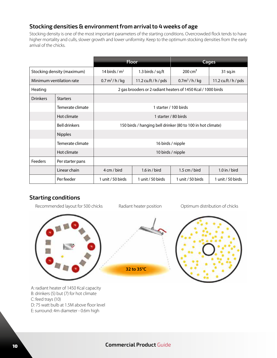# **Stocking densities & environment from arrival to 4 weeks of age**

Stocking density is one of the most important parameters of the starting conditions. Overcrowded flock tends to have higher mortality and culls, slower growth and lower uniformity. Keep to the optimum stocking densities from the early arrival of the chicks.

|                 |                            | <b>Floor</b>                                                |                      |                                                               | <b>Cages</b>      |  |
|-----------------|----------------------------|-------------------------------------------------------------|----------------------|---------------------------------------------------------------|-------------------|--|
|                 | Stocking density (maximum) | 14 birds / $m2$                                             | 1.3 birds / sq.ft    | 200 cm <sup>2</sup><br>31 sq.in                               |                   |  |
|                 | Minimum ventilation rate   | $0.7 \text{ m}^3/h/kg$                                      | 11.2 cu.ft / h / pds | 11.2 cu.ft / $h$ / pds<br>$0.7m^3/h/kg$                       |                   |  |
| Heating         |                            |                                                             |                      | 2 gas brooders or 2 radiant heaters of 1450 Kcal / 1000 birds |                   |  |
| <b>Drinkers</b> | <b>Starters</b>            |                                                             |                      |                                                               |                   |  |
|                 | Temerate climate           |                                                             |                      | 1 starter / 100 birds                                         |                   |  |
|                 | Hot climate                | 1 starter / 80 birds                                        |                      |                                                               |                   |  |
|                 | <b>Bell drinkers</b>       | 150 birds / hanging bell drinker (80 to 100 in hot climate) |                      |                                                               |                   |  |
|                 | <b>Nipples</b>             |                                                             |                      |                                                               |                   |  |
|                 | Temerate climate           | 16 birds / nipple                                           |                      |                                                               |                   |  |
|                 | Hot climate                | 10 birds / nipple                                           |                      |                                                               |                   |  |
| Feeders         | Per starter pans           |                                                             |                      |                                                               |                   |  |
|                 | Linear chain               | 4 cm / bird                                                 | 1.6 in / bird        | 1.5 cm / bird                                                 | $1.0$ in / bird   |  |
|                 | Per feeder                 | 1 unit / 50 birds                                           | 1 unit / 50 birds    | 1 unit / 50 birds                                             | 1 unit / 50 birds |  |

# **Starting conditions**

Recommended layout for 500 chicks

Radiant heater position **Optimum distribution of chicks** 



A: radiant heater of 1450 Kcal capacity B: drinkers (5) but (7) for hot climate C: feed trays (10) D: 75 watt bulb at 1.5M above floor level E: surround: 4m diameter - 0.6m high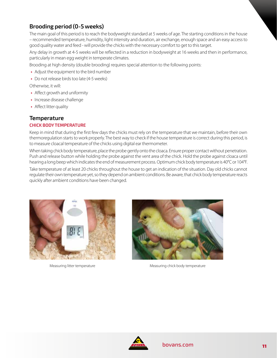# **Brooding period (0-5 weeks)**

The main goal of this period is to reach the bodyweight standard at 5 weeks of age. The starting conditions in the house – recommended temperature, humidity, light intensity and duration, air exchange, enough space and an easy access to good quality water and feed - will provide the chicks with the necessary comfort to get to this target.

Any delay in growth at 4-5 weeks will be reflected in a reduction in bodyweight at 16 weeks and then in performance, particularly in mean egg weight in temperate climates.

Brooding at high density (double brooding) requires special attention to the following points:

- **•** Adjust the equipment to the bird number
- **•** Do not release birds too late (4-5 weeks)

Otherwise, it will:

- **•** Affect growth and uniformity
- **•** Increase disease challenge
- **•** Affect litter quality

#### **Temperature CHICK BODY TEMPERATURE**

Keep in mind that during the first few days the chicks must rely on the temperature that we maintain, before their own thermoregulation starts to work properly. The best way to check if the house temperature is correct during this period, is to measure cloacal temperature of the chicks using digital ear thermometer.

When taking chick body temperature, place the probe gently onto the cloaca. Ensure proper contact without penetration. Push and release button while holding the probe against the vent area of the chick. Hold the probe against cloaca until hearing a long beep which indicates the end of measurement process. Optimum chick body temperature is 40°C or 104°F. Take temperature of at least 20 chicks throughout the house to get an indication of the situation. Day old chicks cannot

regulate their own temperature yet, so they depend on ambient conditions. Be aware, that chick body temperature reacts quickly after ambient conditions have been changed.





Measuring litter temperature and a measuring chick body temperature

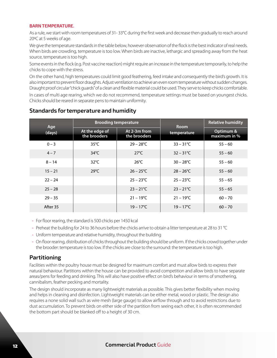#### **BARN TEMPERATURE.**

As a rule, we start with room temperatures of 31- 33°C during the first week and decrease then gradually to reach around 20ºC at 5 weeks of age.

We give the temperature standards in the table below, however observation of the flock is the best indicator of real needs. When birds are crowding, temperature is too low. When birds are inactive, lethargic and spreading away from the heat source, temperature is too high.

Some events in the flock (e.g. Post vaccine reaction) might require an increase in the temperature temporarily, to help the chicks to cope with the stress.

On the other hand, high temperatures could limit good feathering, feed intake and consequently the bird's growth. It is also important to prevent floor draughts. Adjust ventilation to achieve an even room temperature without sudden changes. Draught proof circular "chick guards" of a clean and flexible material could be used. They serve to keep chicks comfortable.

In cases of multi age rearing, which we do not recommend, temperature settings must be based on youngest chicks. Chicks should be reared in separate pens to maintain uniformity.

| Age       |                                | <b>Brooding temperature</b>  | <b>Room</b>         | <b>Relative humidity</b>    |  |
|-----------|--------------------------------|------------------------------|---------------------|-----------------------------|--|
| (days)    | At the edge of<br>the brooders | At 2-3m from<br>the brooders | temperature         | Optimum &<br>maximum in $%$ |  |
| $0 - 3$   | $35^{\circ}$ C                 | $29 - 28^{\circ}$ C          | $33 - 31^{\circ}C$  | $55 - 60$                   |  |
| $4 - 7$   | $34^{\circ}$ C                 | $27^{\circ}$ C               | $32 - 31^{\circ}C$  | $55 - 60$                   |  |
| $8 - 14$  | $32^{\circ}$ C                 | $26^{\circ}$ C               | $30 - 28$ °C        | $55 - 60$                   |  |
| $15 - 21$ | $29^{\circ}$ C                 | $26 - 25^{\circ}C$           | $28 - 26^{\circ}$ C | $55 - 60$                   |  |
| $22 - 24$ |                                | $25 - 23^{\circ}$ C          | $25 - 23^{\circ}C$  | $55 - 65$                   |  |
| $25 - 28$ |                                | $23 - 21^{\circ}C$           | $23 - 21^{\circ}C$  | $55 - 65$                   |  |
| $29 - 35$ |                                | $21 - 19^{\circ}C$           | $21 - 19^{\circ}C$  | $60 - 70$                   |  |
| After 35  |                                | $19 - 17^{\circ}C$           | $19 - 17^{\circ}C$  | $60 - 70$                   |  |

#### **Standards for temperature and humidity**

- For floor rearing, the standard is 500 chicks per 1450 kcal
- Preheat the building for 24 to 36 hours before the chicks arrive to obtain a litter temperature at 28 to 31 °C
- Uniform temperature and relative humidity, throughout the building
- On floor rearing, distribution of chicks throughout the building should be uniform. If the chicks crowd together under the brooder: temperature is too low. If the chicks are close to the surround: the temperature is too high.

#### **Partitioning**

Facilities within the poultry house must be designed for maximum comfort and must allow birds to express their natural behaviour. Partitions within the house can be provided to avoid competition and allow birds to have separate areas/pens for feeding and drinking. This will also have positive effect on bird's behaviour in terms of smothering, cannibalism, feather pecking and mortality.

The design should incorporate as many lightweight materials as possible. This gives better flexibility when moving and helps in cleaning and disinfection. Lightweight materials can be either metal, wood or plastic. The design also requires a none solid wall such as wire mesh (large gauge) to allow airflow through and to avoid restrictions due to dust accumulation. To prevent birds on either side of the partition from seeing each other, it is often recommended the bottom part should be blanked off to a height of 30 cm.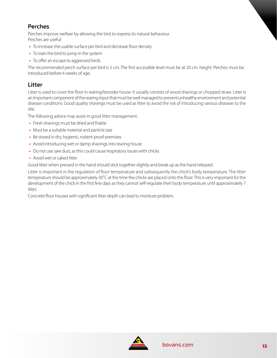# **Perches**

Perches improve welfare by allowing the bird to express its natural behaviour. Perches are useful:

- **•** To increase the usable surface per bird and decrease floor density
- **•** To train the bird to jump in the system
- **•** To offer an escape to aggressed birds

The recommended perch surface per bird is 5 cm. The first accessible level must be at 20 cm. height. Perches must be introduced before 4 weeks of age.

# **Litter**

Litter is used to cover the floor in rearing/brooder house. It usually consists of wood shavings or chopped straw. Litter is an important component of the rearing input that must be well managed to prevent unhealthy environment and potential disease conditions. Good quality shavings must be used as litter to avoid the risk of introducing various diseases to the site.

The following advice may assist in good litter management:

- **•** Fresh shavings must be dried and friable
- **•** Must be a suitable material and particle size
- **•** Be stored in dry, hygienic, rodent-proof premises
- **•** Avoid introducing wet or damp shavings into rearing house
- **•** Do not use saw dust, as this could cause respiratory issues with chicks
- **•** Avoid wet or caked litter

Good litter when pressed in the hand should stick together slightly and break up as the hand released.

Litter is important in the regulation of floor temperature and subsequently the chick's body temperature. The litter temperature should be approximately 30˚C at the time the chicks are placed onto the floor. This is very important for the development of the chick in the first few days as they cannot self-regulate their body temperature until approximately 7 days.

Concrete floor houses with significant litter depth can lead to moisture problem.

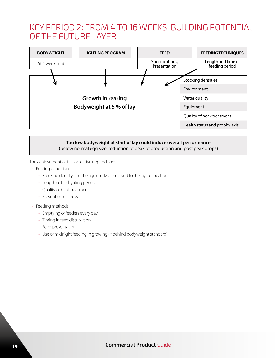# KEY PERIOD 2: FROM 4 TO 16 WEEKS, BUILDING POTENTIAL OF THE FUTURE LAYER



#### **Too low bodyweight at start of lay could induce overall performance**  (below normal egg size, reduction of peak of production and post peak drops)

The achievement of this objective depends on:

- Rearing conditions
	- Stocking density and the age chicks are moved to the laying location
	- Length of the lighting period
	- Quality of beak treatment
	- Prevention of stress
- Feeding methods
	- Emptying of feeders every day
	- Timing in feed distribution
	- Feed presentation
	- Use of midnight feeding in growing (if behind bodyweight standard)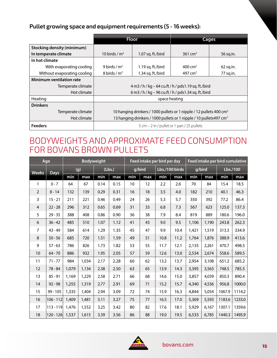# **Pullet growing space and equipment requirements (5 - 16 weeks):**

|                                   |                                                                                 | <b>Floor</b>      | Cages               |             |  |  |
|-----------------------------------|---------------------------------------------------------------------------------|-------------------|---------------------|-------------|--|--|
| <b>Stocking density (minimum)</b> |                                                                                 |                   |                     |             |  |  |
| In temperate climate              | 10 birds / $m2$                                                                 | 1.07 sq. ft./bird | $361 \text{ cm}^2$  | 56 sq.in.   |  |  |
| In hot climate                    |                                                                                 |                   |                     |             |  |  |
| With evaporating cooling          | 9 birds / $m2$                                                                  | 1.19 sq. ft./bird | $400 \text{ cm}^2$  | $62$ sq.in. |  |  |
| Without evaporating cooling       | 8 birds / $m2$                                                                  | 1.34 sq. ft./bird | 497 cm <sup>2</sup> | 77 sq.in.   |  |  |
| Minimum ventilation rate          |                                                                                 |                   |                     |             |  |  |
| Temperate climate                 | 4 m3 / h / kg – 64 cu.ft / h / pds1.19 sq. ft./bird                             |                   |                     |             |  |  |
| Hot climate                       | 6 m3 / h / kg - 96 cu.ft / h / pds1.34 sq. ft./bird                             |                   |                     |             |  |  |
| Heating                           | space heating                                                                   |                   |                     |             |  |  |
| <b>Drinkers</b>                   |                                                                                 |                   |                     |             |  |  |
| Temperate climate                 | 10 hanging drinkers / 1000 pullets or 1 nipple / 12 pullets 400 cm <sup>2</sup> |                   |                     |             |  |  |
| Hot climate                       | 13 hanging drinkers / 1000 pullets or 1 nipple / 10 pullets 497 cm <sup>2</sup> |                   |                     |             |  |  |
| <b>Feeders</b>                    | $5$ cm $-2$ in / pullet or 1 pan / 25 pullets                                   |                   |                     |             |  |  |

# BODYWEIGHTS AND APPROXIMATE FEED CONSUMPTION FOR BOVANS BROWN PULLETS

|                | Age         | <b>Bodyweight</b> |       |        | Feed intake per bird per day |        | Feed intake per bird cumulative |                |      |        |       |          |        |
|----------------|-------------|-------------------|-------|--------|------------------------------|--------|---------------------------------|----------------|------|--------|-------|----------|--------|
| <b>Weeks</b>   | <b>Days</b> | (g)               |       | (Lbs.) |                              | g/bird |                                 | Lbs./100 birds |      | g/bird |       | Lbs./100 |        |
|                |             | min               | max   | min    | max                          | min    | max                             | min            | max  | min    | max   | min      | max    |
| 1              | $0 - 7$     | 64                | 67    | 0.14   | 0.15                         | 10     | 12                              | 2.2            | 2.6  | 70     | 84    | 15.4     | 18.5   |
| $\overline{2}$ | $8 - 14$    | 132               | 139   | 0.29   | 0.31                         | 16     | 18                              | 3.5            | 4.0  | 182    | 210   | 40.1     | 46.3   |
| 3              | $15 - 21$   | 211               | 221   | 0.46   | 0.49                         | 24     | 26                              | 5.3            | 5.7  | 350    | 392   | 77.2     | 86.4   |
| $\overline{4}$ | $22 - 28$   | 296               | 312   | 0.65   | 0.69                         | 31     | 33                              | 6.8            | 7.3  | 567    | 623   | 125.0    | 137.3  |
| 5              | $29 - 35$   | 388               | 408   | 0.86   | 0.90                         | 36     | 38                              | 7.9            | 8.4  | 819    | 889   | 180.6    | 196.0  |
| 6              | $36 - 42$   | 485               | 510   | 1.07   | 1.12                         | 41     | 43                              | 9.0            | 9.5  | 1,106  | 1,190 | 243.8    | 262.3  |
| $\overline{7}$ | $43 - 49$   | 584               | 614   | 1.29   | 1.35                         | 45     | 47                              | 9.9            | 10.4 | 1,421  | 1,519 | 313.3    | 334.9  |
| 8              | $50 - 56$   | 685               | 720   | 1.51   | 1.59                         | 49     | 51                              | 10.8           | 11.2 | 1,764  | 1,876 | 388.9    | 413.6  |
| 9              | $57 - 63$   | 786               | 826   | 1.73   | 1.82                         | 53     | 55                              | 11.7           | 12.1 | 2,135  | 2,261 | 470.7    | 498.5  |
| 10             | $64 - 70$   | 886               | 932   | 1.95   | 2.05                         | 57     | 59                              | 12.6           | 13.0 | 2,534  | 2,674 | 558.6    | 589.5  |
| 11             | $71 - 77$   | 984               | 1,034 | 2.17   | 2.28                         | 60     | 62                              | 13.2           | 13.7 | 2,954  | 3,108 | 651.2    | 685.2  |
| 12             | $78 - 84$   | 1,079             | 1,134 | 2.38   | 2.50                         | 63     | 65                              | 13.9           | 14.3 | 3,395  | 3,563 | 748.5    | 785.5  |
| 13             | $85 - 91$   | 1,169             | 1,229 | 2.58   | 2.71                         | 66     | 68                              | 14.6           | 15.0 | 3,857  | 4,039 | 850.3    | 890.4  |
| 14             | $92 - 98$   | 1,255             | 1,319 | 2.77   | 2.91                         | 69     | 71                              | 15.2           | 15.7 | 4,340  | 4,536 | 956.8    | 1000.0 |
| 15             | $99 - 105$  | 1,335             | 1,404 | 2.94   | 3.09                         | 72     | 74                              | 15.9           | 16.3 | 4,844  | 5,054 | 1067.9   | 1114.2 |
| 16             | $106 - 112$ | 1,409             | 1,481 | 3.11   | 3.27                         | 75     | 77                              | 16.5           | 17.0 | 5,369  | 5,593 | 1183.6   | 1233.0 |
| 17             | $113 - 119$ | 1,476             | 1,552 | 3.25   | 3.42                         | 80     | 82                              | 17.6           | 18.1 | 5,929  | 6,167 | 1307.1   | 1359.6 |
| 18             | $120 - 126$ | 1,537             | 1,615 | 3.39   | 3.56                         | 86     | 88                              | 19.0           | 19.5 | 6,533  | 6,785 | 1440.3   | 1495.9 |

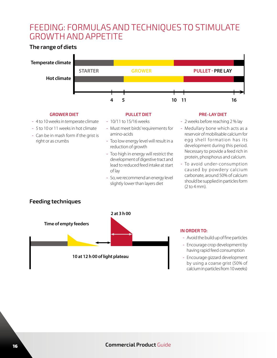# FEEDING: FORMULAS AND TECHNIQUES TO STIMULATE GROWTH AND APPETITE

# **The range of diets**



#### **GROWER DIET**

- 4 to 10 weeks in temperate climate
- 5 to 10 or 11 weeks in hot climate
- Can be in mash form if the grist is right or as crumbs
- 10/11 to 15/16 weeks
- Must meet birds' requirements for amino-acids

**PULLET DIET**

- Too low energy level will result in a reduction of growth
- Too high in energy will restrict the development of digestive tract and lead to reduced feed intake at start of lay
- So, we recommend an energy level slightly lower than layers diet

#### **PRE-LAY DIET**

- 2 weeks before reaching 2 % lay
- Medullary bone which acts as a reservoir of mobilisable calcium for egg shell for mation has its development during this period. Necessary to provide a feed rich in protein, phosphorus and calcium.
- To avoid under-consumption caused by powdery calcium carbonate, around 50% of calcium should be supplied in particles form (2 to 4 mm).

# **Feeding techniques**



#### **IN ORDER TO:**

- Avoid the build up of fine particles
- Encourage crop development by having rapid feed consumption
- Encourage gizzard development by using a coarse grist (50% of calcium in particles from 10 weeks)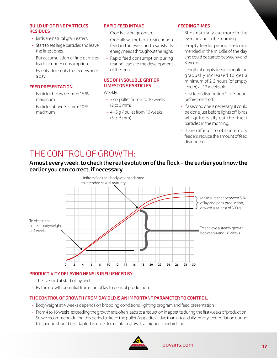#### **BUILD UP OF FINE PARTICLES RESIDUES**

- Birds are natural grain eaters.
- Start to eat large particles and leave the finest ones.
- But accumulation of fine particles leads to under consumption.
- Essential to empty the feeders once a day.

#### **FEED PRESENTATION**

- Particles below 0.5 mm: 15 % maximum
- Particles above 3.2 mm: 10 % maximum

#### **RAPID FEED INTAKE**

- Crop is a storage organ.
- Crop allows the bird to eat enough feed in the evening to satisfy its energy needs throughout the night.
- Rapid feed consumption during rearing leads to the development of the crop.

#### **USE OF INSOLUBLE GRIT OR LIMESTONE PARTICLES**

Weekly:

- 3 g / pullet from 3 to 10 weeks (2 to 3 mm)
- -- 4 5 g / pullet from 10 weeks (3 to 5 mm)

#### **FEEDING TIMES**

- Birds naturally eat more in the evening and in the morning.
- Empty feeder period is recommended in the middle of the day and could be started between 4 and 8 weeks.
- Length of empty feeder should be gradually increased to get a minimum of 2-3 hours (of empty feeder) at 12 weeks old.
- First feed distribution 2 to 3 hours before lights off.
- If a second one is necessary, it could be done just before lights off, birds will quite easily eat the finest particles in the morning.
- If are difficult to obtain empty feeders, reduce the amount of feed distributed

# THE CONTROL OF GROWTH:

#### **A must every week, to check the real evolution of the flock – the earlier you know the earlier you can correct, if necessary**



#### **PRODUCTIVITY OF LAYING HENS IS INFLUENCED BY:**

- The live bird at start of lay and
- By the growth potential from start of lay to peak of production.

#### **THE CONTROL OF GROWTH FROM DAY OLD IS AN IMPORTANT PARAMETER TO CONTROL.**

- Bodyweight at 4 weeks depends on brooding conditions, lighting program and feed presentation
- From 4 to 16 weeks, exceeding the growth rate often leads to a reduction in appetite during the first weeks of production. So we recommend during this period to keep the pullets' appetite active thanks to a daily empty feeder. Ration during this period should be adapted in order to maintain growth at higher standard line.

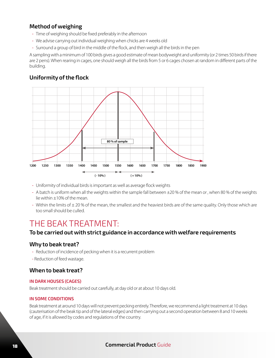# **Method of weighing**

- Time of weighing should be fixed preferably in the afternoon
- We advise carrying out individual weighing when chicks are 4 weeks old
- Surround a group of bird in the middle of the flock, and then weigh all the birds in the pen

A sampling with a minimum of 100 birds gives a good estimate of mean bodyweight and uniformity (or 2 times 50 birds if there are 2 pens). When rearing in cages, one should weigh all the birds from 5 or 6 cages chosen at random in different parts of the building.

# **Uniformity of the flock**



- Uniformity of individual birds is important as well as average flock weights
- A batch is uniform when all the weights within the sample fall between ±20 % of the mean or , when 80 % of the weights lie within ±10% of the mean.
- Within the limits of  $\pm$  20 % of the mean, the smallest and the heaviest birds are of the same quality. Only those which are too small should be culled.

# THE BEAK TREATMENT:

#### **To be carried out with strict guidance in accordance with welfare requirements**

### **Why to beak treat?**

- Reduction of incidence of pecking when it is a recurrent problem
- Reduction of feed wastage.

### **When to beak treat?**

#### **IN DARK HOUSES (CAGES)**

Beak treatment should be carried out carefully, at day old or at about 10 days old.

#### **IN SOME CONDITIONS**

Beak treatment at around 10 days will not prevent pecking entirely. Therefore, we recommend a light treatment at 10 days (cauterisation of the beak tip and of the lateral edges) and then carrying out a second operation between 8 and 10 weeks of age, if it is allowed by codes and regulations of the country.

### <sup>18</sup> **Commercial Product** Guide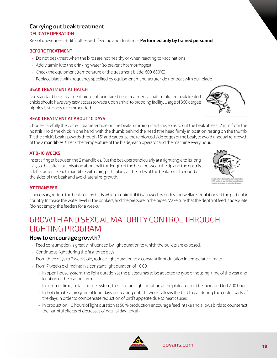## **Carrying out beak treatment**

#### **DELICATE OPERATION**

Risk of unevenness + difficulties with feeding and drinking = **Performed only by trained personnel**

#### **BEFORE TREATMENT**

- Do not beak treat when the birds are not healthy or when reacting to vaccinations
- Add vitamin K to the drinking water (to prevent haemorrhages)
- Check the equipment (temperature of the treatment blade: 600-650°C)
- Replace blade with frequency specified by equipment manufacturer, do not treat with dull blade

#### **BEAK TREATMENT AT HATCH**

Use standard beak treatment protocol for infrared beak treatment at hatch. Infrared beak treated chicks should have very easy access to water upon arrival to brooding facility. Usage of 360 dergee nipples is strongly recommended.

#### **BEAK TREATMENT AT ABOUT 10 DAYS**

Choose carefully the correct diameter hole on the beak-trimming machine, so as to cut the beak at least 2 mm from the nostrils. Hold the chick in one hand, with the thumb behind the head (the head firmly in position resting on the thumb. Tilt the chick's beak upwards through 15° and cauterize the reinforced side edges of the beak, to avoid unequal re-growth of the 2 mandibles. Check the temperature of the blade, each operator and the machine every hour.

#### **AT 8-10 WEEKS**

Insert a finger between the 2 mandibles. Cut the beak perpendicularly at a right angle to its long axis, so that after cauterisation about half the length of the beak between the tip and the nostrils is left. Cauterize each mandible with care, particularly at the sides of the beak, so as to round off the sides of the beak and avoid lateral re-growth.

#### **AT TRANSFER**

If necessary, re-trim the beaks of any birds which require it, if it is allowed by codes and welfare regulations of the particular country. Increase the water level in the drinkers, and the pressure in the pipes. Make sure that the depth of feed is adequate (do not empty the feeders for a week).

# GROWTH AND SEXUAL MATURITY CONTROL THROUGH LIGHTING PROGRAM

#### **How to encourage growth?**

- Feed consumption is greatly influenced by light duration to which the pullets are exposed.
- Continuous light during the first three days
- From three days to 7 weeks old, reduce light duration to a constant light duration in temperate climate
- From 7 weeks old, maintain a constant light duration of 10.00:
	- In open house system, the light duration at the plateau has to be adapted to type of housing, time of the year and location of the rearing farm.
	- In summer time, in dark house system, the constant light duration at the plateau could be increased to 12.00 hours
	- In hot climate, a program of long days decreasing until 15 weeks allows the bird to eat during the cooler parts of the days in order to compensate reduction of bird's appetite due to heat causes.
	- In production, 15 hours of light duration at 50 % production encourage feed intake and allows birds to counteract the harmful effects of decreases of natural day-length.







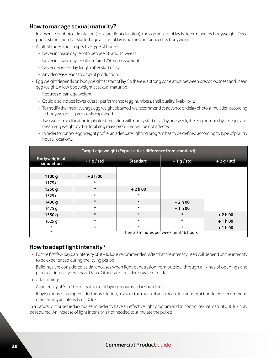#### **How to manage sexual maturity?**

- In absence of photo stimulation (constant light duration), the age at start of lay is determined by bodyweight. Once photo stimulation has started, age at start of lay is no more influenced by bodyweight.
- At all latitudes and irrespective type of house:
	- Never increase day length between 8 and 14 weeks
	- Never increase day length before 1250 g bodyweight
	- Never decrease day length after start of lay
	- Any decrease leads to drop of production.
- Egg weight depends on bodyweight at start of lay. So there is a strong correlation between precociousness and mean egg weight. A low bodyweight at sexual maturity:
	- Reduces mean egg weight
	- Could also induce lower overall performance (egg numbers, shell quality, livability,...)
	- To modify the mean average egg weight obtained, we recommend to advance or delay photo stimulation according to bodyweight as previously explained.
	- Two weeks modification in photo stimulation will modify start of lay by one week, the egg number by 4.5 eggs and mean egg weight by 1 g. Total egg mass produced will be not affected.
	- In order to control egg weight profile, an adequate lighting program has to be defined according to type of poultry house, location...

| Target egg weight (Expressed as difference from standard) |                                         |                                 |         |              |  |  |  |
|-----------------------------------------------------------|-----------------------------------------|---------------------------------|---------|--------------|--|--|--|
| <b>Bodyweight at</b><br>simulation                        | $-1$ g / std                            | <b>Standard</b><br>$+1$ g / std |         | $+2 g / std$ |  |  |  |
|                                                           |                                         |                                 |         |              |  |  |  |
| 1100 g                                                    | $+2h00$                                 |                                 |         |              |  |  |  |
| 1175 g                                                    | $\ast$                                  |                                 |         |              |  |  |  |
| 1250g                                                     | $\ast$                                  | $+2h00$                         |         |              |  |  |  |
| 1325 g                                                    | $\ast$                                  | $\ast$                          |         |              |  |  |  |
| 1400 g                                                    | $\ast$                                  | $\ast$                          | $+2h00$ |              |  |  |  |
| 1475 g                                                    | $\ast$                                  | $\ast$                          | $+1h00$ |              |  |  |  |
| 1550 g                                                    | $\ast$                                  | $\ast$                          | $\ast$  | $+2h00$      |  |  |  |
| $1625$ g                                                  | $\ast$                                  | $\ast$                          | $\ast$  | $+1h00$      |  |  |  |
| $\ast$                                                    | $\ast$                                  | $\ast$                          | $\ast$  | $+1h00$      |  |  |  |
| $\ast$                                                    | Then 30 minutes per week until 16 hours |                                 |         |              |  |  |  |

#### **How to adapt light intensity?**

- For the first few days, an intensity of 30-40 lux is recommended. After that the intensity used will depend on the intensity to be experienced during the laying period.
- Buildings are considered as dark houses when light penetration from outside, through all kinds of openings and produces intensity less than 0.5 lux. Others are considered as semi-dark.

In dark building:

- An intensity of 5 to 10 lux is sufficient if laying house is a dark building.
- If laying house is an open sided house design, to avoid too much of an increase in intensity at transfer, we recommend maintaining an intensity of 40 lux.

In a naturally lit or semi-dark house, in order to have an effective light program and to control sexual maturity, 40 lux may be required. An increase of light intensity is not needed to stimulate the pullets

#### <sup>20</sup> **Commercial Product** Guide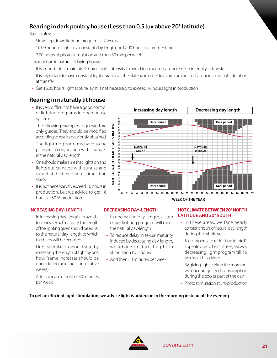# **Rearing in dark poultry house (Less than 0.5 lux above 20° latitude)**

Basics rules:

- Slow step down lighting program till 7 weeks
- 10.00 hours of light as a constant day length, or 12.00 hours in summer time
- 2.00 hours of photo stimulation and then 30 min per week

If production in natural-lit laying house:

- It is important to maintain 40 lux of light intensity to avoid too much of an increase in intensity at transfer.
- It is important to have constant light duration at the plateau in order to avoid too much of an increase in light duration at transfer
- Get 16.00 hours light at 50 % lay. It is not necessary to exceed 16 hours light in production

# **Rearing in naturally lit house**

- It is very difficult to have a good control of lighting programs in open house systems.
- The following examples suggested are only guides. They should be modified according to results previously obtained.
- The lighting programs have to be planned in conjunction with changes in the natural day length.
- One should make sure that lights on and lights out coincide with sunrise and sunset at the time photo stimulation starts.
- It is not necessary to exceed 16 hours in production, but we advice to get 16 hours at 50 % production

#### **INCREASING DAY-LENGTH**

- In increasing day-length, to avoid a too early sexual maturity, the length of the lighting given should be equal to the natural day-length to which the birds will be exposed
- Light stimulation should start by increasing the length of light by one hour (same increases should be done during next four consecutive weeks).
- After increase of light of 30 minutes per week.



#### **DECREASING DAY-LENGTH**

- In decreasing day-length, a step down lighting program will meet the natural day-length
- To reduce delay in sexual maturity induced by decreasing day-length, we advice to start the photo stimulation by 2 hours.
- And then 30 minutes per week.

#### **HOT CLIMATE BETWEEN 20° NORTH LATITUDE AND 20° SOUTH**

- In these areas, we face nearly constant hours of natural day-length during the whole year.
- To compensate reduction in bird's appetite due to heat causes, a slowly decreasing light program till 15 weeks old is advised.
- By giving light early in the morning, we encourage feed consumption during the cooler part of the day.
- Photo stimulation at 5 % production

#### **To get an efficient light stimulation, we advise light is added on in the morning instead of the evening**

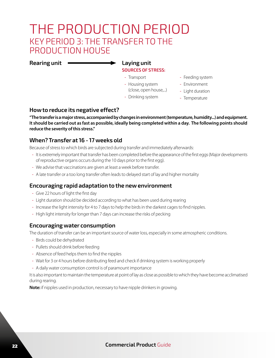# THE PRODUCTION PERIOD KEY PERIOD 3: THE TRANSFER TO THE PRODUCTION HOUSE

**Rearing unit Laying unit**

# **SOURCES OF STRESS:**

- Transport
- Housing system
- (close, open house,...)
- Drinking system
- Feeding system
- Environment
- Light duration
- Temperature

### **How to reduce its negative effect?**

**"The transfer is a major stress, accompanied by changes in environment (temperature, humidity...) and equipment. It should be carried out as fast as possible, ideally being completed within a day. The following points should reduce the severity of this stress."**

### **When? Transfer at 16 - 17 weeks old**

Because of stress to which birds are subjected during transfer and immediately afterwards:

- It is extremely important that transfer has been completed before the appearance of the first eggs (Major developments of reproductive organs occurs during the 10 days prior to the first egg).
- We advise that vaccinations are given at least a week before transfer.
- A late transfer or a too long transfer often leads to delayed start of lay and higher mortality

### **Encouraging rapid adaptation to the new environment**

- Give 22 hours of light the first day
- Light duration should be decided according to what has been used during rearing
- Increase the light intensity for 4 to 7 days to help the birds in the darkest cages to find nipples.
- High light intensity for longer than 7 days can increase the risks of pecking

### **Encouraging water consumption**

The duration of transfer can be an important source of water loss, especially in some atmospheric conditions.

- Birds could be dehydrated
- Pullets should drink before feeding
- Absence of feed helps them to find the nipples
- Wait for 3 or 4 hours before distributing feed and check if drinking system is working properly
- A daily water consumption control is of paramount importance

It is also important to maintain the temperature at point of lay as close as possible to which they have become acclimatised during rearing.

**Note:** if nipples used in production, necessary to have nipple drinkers in growing.

### <sup>22</sup> **Commercial Product** Guide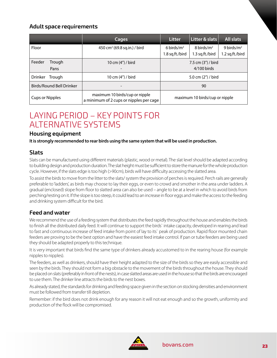### **Adult space requirements**

|                          | Cages                                                                     | <b>Litter</b>                         | Litter & slats                   | <b>All slats</b>                 |
|--------------------------|---------------------------------------------------------------------------|---------------------------------------|----------------------------------|----------------------------------|
| Floor                    | 450 cm <sup>2</sup> (69.8 sq.in.) / bird                                  | 6 birds/ $m2$<br>1.8 sq.ft./bird      | 8 birds/ $m2$<br>1.3 sq.ft./bird | 9 birds/ $m2$<br>1.2 sq.ft./bird |
| Feeder<br>Trough<br>Pans | 10 cm $(4'')/$ bird                                                       | 7.5 cm $(3")$ / bird<br>$4/100$ birds |                                  |                                  |
| Drinker<br>Trough        | 10 cm (4") / bird                                                         | 5.0 cm (2") / bird                    |                                  |                                  |
| Birds/Round Bell Drinker |                                                                           | 90                                    |                                  |                                  |
| <b>Cups or Nipples</b>   | maximum 10 birds/cup or nipple<br>a minimum of 2 cups or nipples per cage | maximum 10 birds/cup or nipple        |                                  |                                  |

# LAYING PERIOD – KEY POINTS FOR ALTERNATIVE SYSTEMS

#### **Housing equipment**

**It is strongly recommended to rear birds using the same system that will be used in production.**

### **Slats**

Slats can be manufactured using different materials (plastic, wood or metal). The slat level should be adapted according to building design and production duration. The slat height must be sufficient to store the manure for the whole production cycle. However, if the slats edge is too high (>90cm), birds will have difficulty accessing the slatted area.

To assist the birds to move from the litter to the slats/ system the provision of perches is required. Perch rails are generally preferable to 'ladders', as birds may choose to lay their eggs, or even to crowd and smother in the area under ladders. A gradual (enclosed) slope from floor to slatted area can also be used – angle to be at a level in which to avoid birds from perching/resting on it. If the slope is too steep, it could lead to an increase in floor eggs and make the access to the feeding and drinking system difficult for the bird.

### **Feed and water**

We recommend the use of a feeding system that distributes the feed rapidly throughout the house and enables the birds to finish all the distributed daily feed. It will continue to support the birds` intake capacity, developed in rearing and lead to fast and continuous increase of feed intake from point of lay to its` peak of production. Rapid floor mounted chain feeders are proving to be the best option and have the easiest feed intake control. If pan or tube feeders are being used they should be adapted properly to this technique.

It is very important that birds find the same type of drinkers already accustomed to in the rearing house (for example nipples to nipples).

The feeders, as well as drinkers, should have their height adapted to the size of the birds so they are easily accessible and seen by the birds. They should not form a big obstacle to the movement of the birds throughout the house. They should be placed on slats (preferably in front of the nests), in case slatted areas are used in the house so that the birds are encouraged to use them. The drinker line attracts the birds to the nest boxes.

As already stated, the standards for drinking and feeding space given in the section on stocking densities and environment must be followed from transfer till depletion.

Remember: if the bird does not drink enough for any reason it will not eat enough and so the growth, uniformity and production of the flock will be compromised.

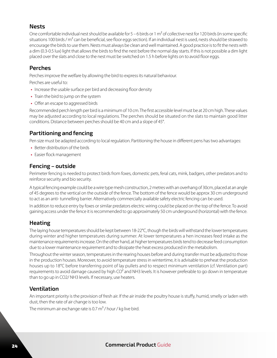# **Nests**

One comfortable individual nest should be available for  $5 - 6$  birds or 1 m<sup>2</sup> of collective nest for 120 birds (in some specific situations 100 birds / m<sup>2</sup> can be beneficial, see floor eggs section). If an individual nest is used, nests should be strawed to encourage the birds to use them. Nests must always be clean and well maintained. A good practice is to fit the nests with a dim (0.3-0.5 lux) light that allows the birds to find the nest before the normal day starts. If this is not possible a dim light placed over the slats and close to the nest must be switched on 1.5 h before lights on to avoid floor eggs.

## **Perches**

Perches improve the welfare by allowing the bird to express its natural behaviour.

Perches are useful to:

- **•** Increase the usable surface per bird and decreasing floor density
- **•** Train the bird to jump on the system
- **•** Offer an escape to aggressed birds

Recommended perch length per bird is a minimum of 10 cm. The first accessible level must be at 20 cm high. These values may be adjusted according to local regulations. The perches should be situated on the slats to maintain good litter conditions. Distance between perches should be 40 cm and a slope of 45°.

# **Partitioning and fencing**

Pen size must be adapted according to local regulation. Partitioning the house in different pens has two advantages:

- **•** Better distribution of the birds
- **•** Easier flock management

### **Fencing – outside**

Perimeter fencing is needed to protect birds from foxes, domestic pets, feral cats, mink, badgers, other predators and to reinforce security and bio security.

A typical fencing example could be a wire type mesh construction, 2 metres with an overhang of 30cm, placed at an angle of 45 degrees to the vertical on the outside of the fence. The bottom of the fence would be approx 30 cm underground to act as an anti- tunnelling barrier. Alternatively commercially available safety electric fencing can be used.

In addition to reduce entry by foxes or similar predators electric wiring could be placed on the top of the fence. To avoid gaining access under the fence it is recommended to go approximately 50 cm underground (horizontal) with the fence.

# **Heating**

The laying house temperatures should be kept between 18-22°C, though the birds will withstand the lower temperatures during winter and higher temperatures during summer. At lower temperatures a hen increases feed intake as the maintenance requirements increase. On the other hand, at higher temperatures birds tend to decrease feed consumption due to a lower maintenance requirement and to dissipate the heat excess produced in the metabolism.

Throughout the winter season, temperatures in the rearing houses before and during transfer must be adjusted to those in the production houses. Moreover, to avoid temperature stress in wintertime, it is advisable to preheat the production houses up to 18°C before transferring point of lay pullets and to respect minimum ventilation (cf. Ventilation part) requirements to avoid damage caused by high CO<sup>2</sup> and NH3 levels. It is however preferable to go down in temperature than to go up in CO2/ NH3 levels. If necessary, use heaters.

# **Ventilation**

An important priority is the provision of fresh air. If the air inside the poultry house is stuffy, humid, smelly or laden with dust, then the rate of air change is too low.

The minimum air exchange rate is 0.7  $m^3$  / hour / kg live bird.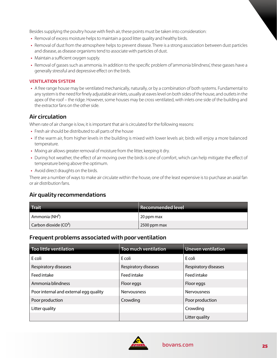Besides supplying the poultry house with fresh air, these points must be taken into consideration:

- **•** Removal of excess moisture helps to maintain a good litter quality and healthy birds.
- **•** Removal of dust from the atmosphere helps to prevent disease. There is a strong association between dust particles and disease, as disease organisms tend to associate with particles of dust.
- **•** Maintain a sufficient oxygen supply.
- **•** Removal of gasses such as ammonia. In addition to the specific problem of 'ammonia blindness', these gasses have a generally stressful and depressive effect on the birds.

#### **VENTILATION SYSTEM**

**•** A free range house may be ventilated mechanically, naturally, or by a combination of both systems. Fundamental to any system is the need for finely adjustable air inlets, usually at eaves level on both sides of the house, and outlets in the apex of the roof – the ridge. However, some houses may be cross ventilated, with inlets one side of the building and the extractor fans on the other side.

### **Air circulation**

When rate of air change is low, it is important that air is circulated for the following reasons:

- **•** Fresh air should be distributed to all parts of the house
- **•** If the warm air, from higher levels in the building is mixed with lower levels air, birds will enjoy a more balanced temperature.
- **•** Mixing air allows greater removal of moisture from the litter, keeping it dry.
- **•** During hot weather, the effect of air moving over the birds is one of comfort, which can help mitigate the effect of temperature being above the optimum.
- **•** Avoid direct draughts on the birds.

There are a number of ways to make air circulate within the house, one of the least expensive is to purchase an axial fan or air distribution fans.

### **Air quality recommendations**

| <b>Trait</b>               | Recommended level |
|----------------------------|-------------------|
| Ammonia (NH <sup>3</sup> ) | 20 ppm max        |
| Carbon dioxide $(CO2)$     | 2500 ppm max      |

#### **Frequent problems associated with poor ventilation**

| <b>Too little ventilation</b>          | <b>Too much ventilation</b> | <b>Uneven ventilation</b> |
|----------------------------------------|-----------------------------|---------------------------|
| E coli                                 | E coli                      | E coli                    |
| Respiratory diseases                   | Respiratory diseases        | Respiratory diseases      |
| Feed intake                            | Feed intake                 | Feed intake               |
| Ammonia blindness                      | Floor eggs                  | Floor eggs                |
| Poor internal and external egg quality | <b>Nervousness</b>          | <b>Nervousness</b>        |
| Poor production                        | Crowding                    | Poor production           |
| Litter quality                         |                             | Crowding                  |
|                                        |                             | Litter quality            |

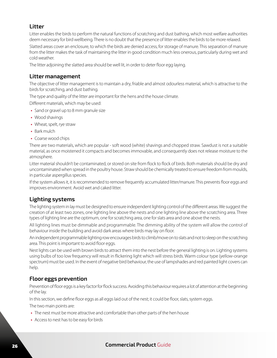# **Litter**

Litter enables the birds to perform the natural functions of scratching and dust bathing, which most welfare authorities deem necessary for bird wellbeing. There is no doubt that the presence of litter enables the birds to be more relaxed.

Slatted areas cover an enclosure, to which the birds are denied access, for storage of manure. This separation of manure from the litter makes the task of maintaining the litter in good condition much less onerous, particularly during wet and cold weather.

The litter adjoining the slatted area should be well lit, in order to deter floor egg laying.

### **Litter management**

The objective of litter management is to maintain a dry, friable and almost odourless material, which is attractive to the birds for scratching, and dust bathing.

The type and quality of the litter are important for the hens and the house climate.

Different materials, which may be used:

- **•** Sand or gravel up to 8 mm granule size
- **•** Wood shavings
- **•** Wheat, spelt, rye straw
- **•** Bark mulch
- **•** Coarse wood chips

There are two materials, which are popular - soft wood (white) shavings and chopped straw. Sawdust is not a suitable material, as once moistened it compacts and becomes immovable, and consequently does not release moisture to the atmosphere.

Litter material shouldn't be contaminated, or stored on site from flock to flock of birds. Both materials should be dry and uncontaminated when spread in the poultry house. Straw should be chemically treated to ensure freedom from moulds, in particular aspergillus species.

If the system allows it, it is recommended to remove frequently accumulated litter/manure. This prevents floor eggs and improves environment. Avoid wet and caked litter.

# **Lighting systems**

The lighting system in lay must be designed to ensure independent lighting control of the different areas. We suggest the creation of at least two zones, one lighting line above the nests and one lighting line above the scratching area. Three types of lighting line are the optimum, one for scratching area, one for slats area and one above the nests.

All lighting lines must be dimmable and programmable. The dimming ability of the system will allow the control of behaviour inside the building and avoid dark areas where birds may lay on floor.

An independent programmable lighting row encourages birds to climb/move on to slats and not to sleep on the scratching area. This point is important to avoid floor eggs.

Nest lights can be used with brown birds to attract them into the nest before the general lighting is on. Lighting systems using bulbs of too low frequency will result in flickering light which will stress birds. Warm colour type (yellow-orange spectrum) must be used. In the event of negative bird behaviour, the use of lampshades and red painted light covers can help.

# **Floor eggs prevention**

Prevention of floor eggs is a key factor for flock success. Avoiding this behaviour requires a lot of attention at the beginning of the lay.

In this section, we define floor eggs as all eggs laid out of the nest; it could be floor, slats, system eggs.

The two main points are:

- **•** The nest must be more attractive and comfortable than other parts of the hen house
- **•** Access to nest has to be easy for birds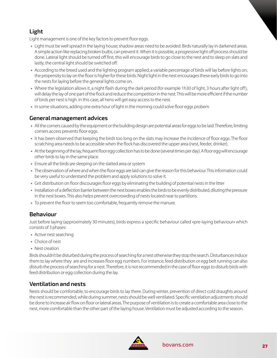# **Light**

Light management is one of the key factors to prevent floor eggs.

- **•** Light must be well spread in the laying house; shadow areas need to be avoided. Birds naturally lay in darkened areas. A simple action like replacing broken bulbs, can prevent it. When it is possible, a progressive light off process should be done. Lateral light should be turned off first, this will encourage birds to go close to the nest and to sleep on slats and lastly, the central light should be switched off.
- **•** According to the breed used and the lighting program applied, a variable percentage of birds will lay before lights on; the propensity to lay on the floor is higher for these birds. Night light in the nest encourages these early birds to go into the nests for laying before the general lights come on.
- **•** Where the legislation allows it, a night flash during the dark period (for example 1h30 of light, 3 hours after light off ), will delay the lay of one part of the flock and reduce the competition in the nest. This will be more efficient if the number of birds per nest is high. In this case, all hens will get easy access to the nest.
- In some situations, adding one extra hour of light in the morning could solve floor eggs probem

# **General management advices**

- **•** All the corners caused by the equipment or the building design are potential areas for eggs to be laid. Therefore, limiting corners access prevents floor eggs.
- **•** It has been observed that keeping the birds too long on the slats may increase the incidence of floor eggs. The floor scratching area needs to be accessible when the flock has discovered the upper area (nest, feeder, drinker).
- **•** At the beginning of the lay, frequent floor egg collection has to be done (several times per day). A floor egg will encourage other birds to lay in the same place.
- **•** Ensure all the birds are sleeping on the slatted area or system
- **•** The observation of where and when the floor eggs are laid can give the reason for this behaviour. This information could be very useful to understand the problem and apply solutions to solve it.
- **•** Grit distribution on floor discourages floor eggs by eliminating the building of potential nests in the litter
- **•** Installation of a deflection barrier between the nest boxes enables the birds to be evenly distributed, diluting the pressure in the nest boxes. This also helps prevent overcrowding of nests located near to partitions.
- **•** To prevent the floor to seem too comfortable, frequently remove the manure.

# **Behaviour**

Just before laying (approximately 30 minutes), birds express a specific behaviour called «pre-laying behaviour» which consists of 3 phases:

- **•** Active nest searching
- **•** Choice of nest
- **•** Nest creation

Birds shouldn't be disturbed during the process of searching for a nest otherwise they stop the search. Disturbances induce them to lay where they are and increases floor egg numbers. For instance, feed distribution or egg belt running can also disturb the process of searching for a nest. Therefore, it is not recommended in the case of floor eggs to disturb birds with feed distribution or egg collection during the lay.

# **Ventilation and nests**

Nests should be comfortable, to encourage birds to lay there. During winter, prevention of direct cold draughts around the nest is recommended, while during summer, nests should be well ventilated. Specific ventilation adjustments should be done to increase air flow on floor or lateral areas. The purpose of ventilation is to create a comfortable area close to the nest, more comfortable than the other part of the laying house. Ventilation must be adjusted according to the season.

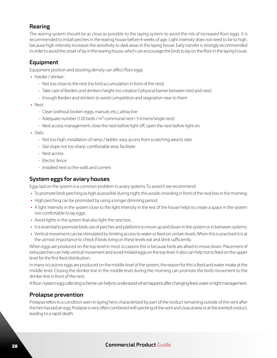## **Rearing**

The rearing system should be as close as possible to the laying system to avoid the risk of increased floor eggs. It is recommended to install perches in the rearing house before 4 weeks of age. Light intensity does not need to be to high, because high intensity increases the sensitivity to dark areas in the laying house. Early transfer is strongly recommended in order to avoid the onset of lay in the rearing house, which can encourage the birds to lay on the floor in the laying house.

# **Equipment**

Equipment position and stocking density can affect floor eggs.

- **•** Feeder / drinker:
	- Not too close to the nest (no bird accumulation in front of the nest)
	- Take care of feeders and drinkers height (no creation f physical barrier between bird and nest)
	- Enough feeders and drinkers to avoid competition and stagnation near to them
- **•** Nest:
	- Clean (without broken eggs, manure, etc.), attractive
	- Adequate number (120 birds /  $m^2$  communal nest r 5-6 hens/single nest)
	- Nest access management: close the nest before light off; open the nest before light on.
- **•** Slats:
	- Not too high, installation of ramp / ladder: easy access from scratching area to slats
	- Slat slope not too sharp: comfortable area, facilitate
	- Nest access
	- Electric fence
	- Installed next to the walls and corners

## **System eggs for aviary houses**

Eggs laid on the system is a common problem in aviary systems. To avoid it we recommend:

- **•** To promote birds perching as high as possible during night, this avoids crowding in front of the nest box in the morning.
- **•** High perching can be promoted by using a longer dimming period.
- **•** A light intensity in the system close to the light intensity in the rest of the house helps to create a space in the system not comfortable to lay eggs.
- **•** Avoid lights in the system that also light the nest box.
- **•** It is essential to promote birds use of perches and platforms to move up and down in the system or in between systems.
- **•** Vertical movement can be stimulated by limiting access to water or feed on certain levels. When this is practised it is at the utmost importance to check if birds living on these levels eat and drink sufficiently.

When eggs are produced on the top level in most occasions this is because birds are afraid to move down. Placement of extra perches can help vertical movement and avoid mislaid eggs on the top level. It also can help not to feed on the upper level for the first feed distribution.

In many occasions eggs are produced on the middle level of the system, the reason for this is feed and water intake at the middle level. Closing the drinker line in the middle level during the morning can promote the birds movement to the drinker line in front of the nest.

A floor / system egg collecting scheme can help to understand what happens after changing feed, water or light management.

# **Prolapse prevention**

Prolapse refers to a condition seen in laying hens characterized by part of the oviduct remaining outside of the vent after the hen has laid an egg. Prolapse is very often combined with pecking of the vent and cloacal area or at the everted oviduct, leading to a rapid death.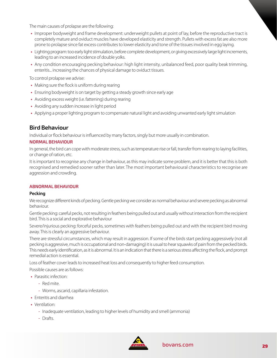The main causes of prolapse are the following:

- **•** Improper bodyweight and frame development: underweight pullets at point of lay, before the reproductive tract is completely mature and oviduct muscles have developed elasticity and strength. Pullets with excess fat are also more prone to prolapse since fat excess contributes to lower elasticity and tone of the tissues involved in egg laying.
- **•** Lighting program: too early light stimulation, before complete development, or giving excessively large light increments, leading to an increased incidence of double yolks.
- **•** Any condition encouraging pecking behaviour: high light intensity, unbalanced feed, poor quality beak trimming, enteritis... increasing the chances of physical damage to oviduct tissues.

To control prolapse we advise:

- **•** Making sure the flock is uniform during rearing
- **•** Ensuring bodyweight is on target by getting a steady growth since early age
- **•** Avoiding excess weight (i.e. fattening) during rearing
- **•** Avoiding any sudden increase in light period
- **•** Applying a proper lighting program to compensate natural light and avoiding unwanted early light simulation

#### **Bird Behaviour**

Individual or flock behaviour is influenced by many factors, singly but more usually in combination.

#### **NORMAL BEHAVIOUR**

In general, the bird can cope with moderate stress, such as temperature rise or fall, transfer from rearing to laying facilities, or change of ration, etc.

It is important to recognise any change in behaviour, as this may indicate some problem, and it is better that this is both recognised and remedied sooner rather than later. The most important behavioural characteristics to recognise are aggression and crowding.

#### **ABNORMAL BEHAVIOUR**

#### **Pecking**

We recognize different kinds of pecking. Gentle pecking we consider as normal behaviour and severe pecking as abnormal behaviour.

Gentle pecking: careful pecks, not resulting in feathers being pulled out and usually without interaction from the recipient bird. This is a social and explorative behaviour

Severe/injurious pecking: forceful pecks, sometimes with feathers being pulled out and with the recipient bird moving away. This is clearly an aggressive behaviour.

There are stressful circumstances, which may result in aggression. If some of the birds start pecking aggressively (not all pecking is aggressive, much is occupational and non-damaging) it is usual to hear squawks of pain from the pecked birds. This needs early identification, as it is abnormal. It is an indication that there is a serious stress affecting the flock, and prompt remedial action is essential.

Loss of feather cover leads to increased heat loss and consequently to higher feed consumption.

Possible causes are as follows:

- **•** Parasitic infection:
	- Red mite.
	- Worms, ascarid, capillaria infestation.
- **•** Enteritis and diarrhea
- **•** Ventilation:
	- Inadequate ventilation, leading to higher levels of humidity and smell (ammonia)
	- Drafts.

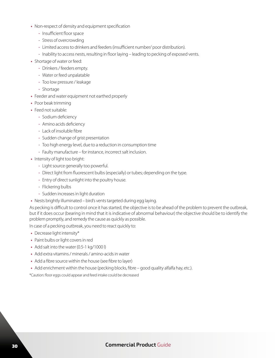- **•** Non-respect of density and equipment specification
	- Insufficient floor space
	- Stress of overcrowding
	- Limited access to drinkers and feeders (insufficient number/ poor distribution).
	- Inability to access nests, resulting in floor laying leading to pecking of exposed vents.
- **•** Shortage of water or feed:
	- Drinkers / feeders empty.
	- Water or feed unpalatable
	- Too low pressure / leakage
	- Shortage
- **•** Feeder and water equipment not earthed properly
- **•** Poor beak trimming
- **•** Feed not suitable:
	- Sodium deficiency
	- Amino acids deficiency
	- Lack of insoluble fibre
	- Sudden change of grist presentation
	- Too high energy level, due to a reduction in consumption time
	- Faulty manufacture for instance, incorrect salt inclusion.
- **•** Intensity of light too bright:
	- Light source generally too powerful.
	- Direct light from fluorescent bulbs (especially) or tubes; depending on the type.
	- Entry of direct sunlight into the poultry house.
	- Flickering bulbs
	- Sudden increases in light duration
- **•** Nests brightly illuminated bird's vents targeted during egg laying.

As pecking is difficult to control once it has started, the objective is to be ahead of the problem to prevent the outbreak, but if it does occur (bearing in mind that it is indicative of abnormal behaviour) the objective should be to identify the problem promptly, and remedy the cause as quickly as possible.

In case of a pecking outbreak, you need to react quickly to:

- **•** Decrease light intensity\*
- **•** Paint bulbs or light covers in red
- **•** Add salt into the water (0.5-1 kg/1000 l)
- **•** Add extra vitamins / minerals / amino-acids in water
- **•** Add a fibre source within the house (see fibre to layer)
- Add enrichment within the house (pecking blocks, fibre good quality alfalfa hay, etc.).

\*Caution: floor eggs could appear and feed intake could be decreased

### <sup>30</sup> **Commercial Product** Guide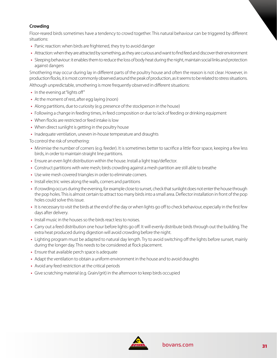#### **Crowding**

Floor-reared birds sometimes have a tendency to crowd together. This natural behaviour can be triggered by different situations:

- **•** Panic reaction: when birds are frightened, they try to avoid danger
- **•** Attraction: when they are attracted by something, as they are curious and want to find feed and discover their environment
- **•** Sleeping behaviour: it enables them to reduce the loss of body heat during the night, maintain social links and protection against dangers

Smothering may occur during lay in different parts of the poultry house and often the reason is not clear. However, in production flocks, it is most commonly observed around the peak of production, as it seems to be related to stress situations. Although unpredictable, smothering is more frequently observed in different situations:

- **•** In the evening at "lights off"
- **•** At the moment of rest, after egg laying (noon)
- **•** Along partitions, due to curiosity (e.g. presence of the stockperson in the house)
- **•** Following a change in feeding times, in feed composition or due to lack of feeding or drinking equipment
- **•** When flocks are restricted or feed intake is low
- **•** When direct sunlight is getting in the poultry house
- **•** Inadequate ventilation, uneven in-house temperature and draughts

To control the risk of smothering:

- **•** Minimise the number of corners (e.g. feeder). It is sometimes better to sacrifice a little floor space, keeping a few less birds, in order to maintain straight line partitions.
- **•** Ensure an even light distribution within the house. Install a light trap/deflector.
- **•** Construct partitions with wire mesh; birds crowding against a mesh partition are still able to breathe
- **•** Use wire mesh covered triangles in order to eliminate corners.
- **•** Install electric wires along the walls, corners and partitions
- **•** If crowding occurs during the evening, for example close to sunset, check that sunlight does not enter the house through the pop holes. This is almost certain to attract too many birds into a small area. Deflector installation in front of the pop holes could solve this issue.
- **•** It is necessary to visit the birds at the end of the day or when lights go off to check behaviour, especially in the first few days after delivery.
- **•** Install music in the houses so the birds react less to noises.
- **•** Carry out a feed distribution one hour before lights go off. It will evenly distribute birds through out the building. The extra heat produced during digestion will avoid crowding before the night.
- **•** Lighting program must be adapted to natural day length. Try to avoid switching off the lights before sunset, mainly during the longer day. This needs to be considered at flock placement.
- **•** Ensure that available perch space is adequate
- **•** Adapt the ventilation to obtain a uniform environment in the house and to avoid draughts
- **•** Avoid any feed restriction at the critical periods
- **•** Give scratching material (e.g. Grain/grit) in the afternoon to keep birds occupied

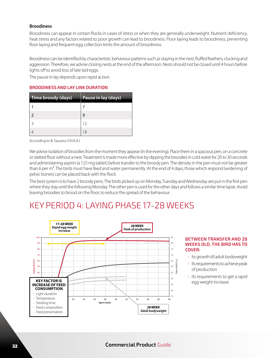#### **Broodiness**

Broodiness can appear in certain flocks in cases of stress or when they are generally underweight. Nutrient deficiency, heat stress and any factors related to poor growth can lead to broodiness. Floor laying leads to broodiness, preventing floor laying and frequent egg collection limits the amount of broodiness.

Broodiness can be identified by characteristic behaviour patterns such as staying in the nest, fluffed feathers, clucking and aggression. Therefore, we advise closing nests at the end of the afternoon. Nests should not be closed until 4 hours before lights off to avoid loss of late laid eggs.

The pause in lay depends upon rapid action.

#### **BROODINESS AND LAY LINK DURATION**

| Time broody (days) | Pause in lay (days) |
|--------------------|---------------------|
|                    |                     |
|                    |                     |
|                    | 12                  |
|                    | 18                  |

According to B. Sauveur (I.N.R.A.)

We advise isolation of broodies from the moment they appear (in the evening). Place them in a spacious pen, on a concrete or slatted floor without a nest. Treatment is made more effective by dipping the broodies in cold water for 20 to 30 seconds and administering aspirin (a 125 mg tablet) before transfer to the broody pen. The density in the pen must not be greater than 6 per m<sup>2</sup>. The birds must have feed and water permanently. At the end of 4 days, those which respond (widening of pelvic bones) can be placed back with the flock.

The best system is to have 2 broody pens. The birds picked up on Monday, Tuesday and Wednesday are put in the first pen where they stay until the following Monday. The other pen is used for the other days and follows a similar time lapse. Avoid leaving broodies to brood on the floor, to reduce the spread of the behaviour.

# KEY PERIOD 4: LAYING PHASE 17-28 WEEKS



#### **BETWEEN TRANSFER AND 28 WEEKS OLD, THE BIRD HAS TO COVER:**

- Its growth till adult bodyweight
- Its requirements to achieve peak of production
- Its requirements to get a rapid egg weight increase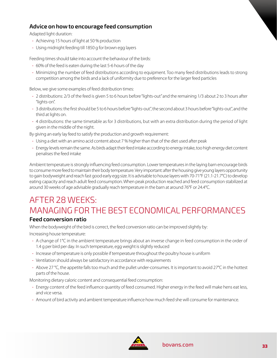# **Advice on how to encourage feed consumption**

Adapted light duration:

- Achieving 15 hours of light at 50 % production
- Using midnight feeding till 1850 g for brown egg layers

Feeding times should take into account the behaviour of the birds:

- 60% of the feed is eaten during the last 5-6 hours of the day
- Minimizing the number of feed distributions according to equipment. Too many feed distributions leads to strong competition among the birds and a lack of uniformity due to preference for the larger feed particles

Below, we give some examples of feed distribution times:

- 2 distributions: 2/3 of the feed is given 5 to 6 hours before "lights-out" and the remaining 1/3 about 2 to 3 hours after "lights-on".
- 3 distributions: the first should be 5 to 6 hours before "lights-out", the second about 3 hours before "lights-out", and the third at lights on.
- 4 distributions: the same timetable as for 3 distributions, but with an extra distribution during the period of light given in the middle of the night.

By giving an early lay feed to satisfy the production and growth requirement:

- Using a diet with an amino acid content about 7 % higher than that of the diet used after peak
- Energy levels remain the same. As birds adapt their feed intake according to energy intake, too high energy diet content penalises the feed intake

Ambient temperature is strongly influencing feed consumption. Lower temperatures in the laying barn encourage birds to consume more feed to maintain their body temperature. Very important: after the housing give young layers opportunity to gain bodyweight and reach fast good early egg size. It is advisable to house layers with 70-71°F (21.1-21.7°C) to develop eating capacity and reach adult feed consumption. When peak production reached and feed consumption stabilized at around 30 weeks of age advisable gradually reach temperature in the barn at around 76°F or 24.4°C.

# AFTER 28 WEEKS: MANAGING FOR THE BEST ECONOMICAL PERFORMANCES

# **Feed conversion ratio**

When the bodyweight of the bird is correct, the feed conversion ratio can be improved slightly by:

Increasing house temperature:

- A change of 1°C in the ambient temperature brings about an inverse change in feed consumption in the order of 1.4 g per bird per day. In such temperature, egg weight is slightly reduced
- Increase of temperature is only possible if temperature throughout the poultry house is uniform
- Ventilation should always be satisfactory in accordance with requirements
- Above 27 °C, the appetite falls too much and the pullet under-consumes. It is important to avoid 27°C in the hottest parts of the house.

Monitoring dietary caloric content and consequential feed consumption:

- Energy content of the feed influence quantity of feed consumed. Higher energy in the feed will make hens eat less, and vice versa.
- Amount of bird activity and ambient temperature influence how much feed she will consume for maintenance.

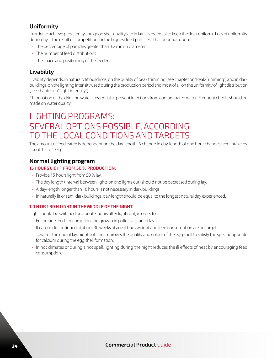# **Uniformity**

In order to achieve persistency and good shell quality late in lay, it is essential to keep the flock uniform. Loss of uniformity during lay is the result of competition for the biggest feed particles. That depends upon:

- The percentage of particles greater than 3.2 mm in diameter
- The number of feed distributions
- The space and positioning of the feeders

# **Livability**

Livability depends, in naturally lit buildings, on the quality of beak trimming (see chapter on "Beak-Trimming") and in dark buildings, on the lighting intensity used during the production period and most of all on the uniformity of light distribution (see chapter on "Light intensity").

Chlorination of the drinking water is essential to prevent infections from contaminated water. Frequent checks should be made on water quality.

# LIGHTING PROGRAMS: SEVERAL OPTIONS POSSIBLE, ACCORDING TO THE LOCAL CONDITIONS AND TARGETS

The amount of feed eaten is dependent on the day-length. A change in day-length of one hour changes feed intake by about 1.5 to 2.0 g.

### **Normal lighting program**

#### **15 HOURS LIGHT FROM 50 % PRODUCTION:**

- Provide 15 hours light from 50 % lay.
- The day length (Interval between lights on and lights out) should not be decreased during lay.
- A day-length longer than 16 hours is not necessary in dark buildings.
- In naturally lit or semi dark buildings, day-length should be equal to the longest natural day experienced.

#### **1.0 H OR 1.30 H LIGHT IN THE MIDDLE OF THE NIGHT**

Light should be switched on about 3 hours after lights out, in order to:

- Encourage feed consumption and growth in pullets at start of lay
- It can be discontinued at about 30 weeks of age if bodyweight and feed consumption are on target
- Towards the end of lay, night lighting improves the quality and colour of the egg shell to satisfy the specific appetite for calcium during the egg shell formation.
- In hot climates or during a hot spell, lighting during the night reduces the ill effects of heat by encouraging feed consumption.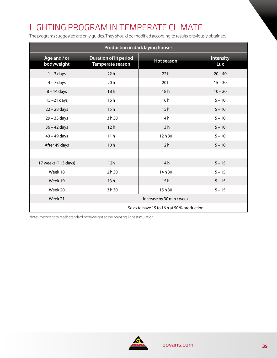# LIGHTING PROGRAM IN TEMPERATE CLIMATE

The programs suggested are only guides. They should be modified according to results previously obtained.

| Production in dark laying houses |                                                   |                   |                         |  |  |  |
|----------------------------------|---------------------------------------------------|-------------------|-------------------------|--|--|--|
| Age and / or<br>bodyweight       | <b>Duration of lit period</b><br>Temperate season | <b>Hot season</b> | <b>Intensity</b><br>Lux |  |  |  |
| $1 - 3$ days                     | 22h                                               | 22h               | $20 - 40$               |  |  |  |
| $4 - 7$ days                     | 20h                                               | 20h               | $15 - 30$               |  |  |  |
| $8 - 14$ days                    | 18h                                               | 18h               | $10 - 20$               |  |  |  |
| $15 - 21$ days                   | 16h                                               | 16h               | $5 - 10$                |  |  |  |
| $22 - 28$ days                   | 15h                                               | 15h               | $5 - 10$                |  |  |  |
| 29 - 35 days                     | 13h30                                             | 14h               | $5 - 10$                |  |  |  |
| $36 - 42$ days                   | 12h                                               | 13h               | $5 - 10$                |  |  |  |
| $43 - 49$ days                   | 11 <sub>h</sub>                                   | 12h30             | $5 - 10$                |  |  |  |
| After 49 days                    | 10h                                               | 12h               | $5 - 10$                |  |  |  |
|                                  |                                                   |                   |                         |  |  |  |
| 17 weeks (113 days)              | 12h                                               | 14h               | $5 - 15$                |  |  |  |
| Week 18                          | 12h30                                             | 14h30             | $5 - 15$                |  |  |  |
| Week 19                          | 13h                                               | 15h               | $5 - 15$                |  |  |  |
| Week 20                          | 13h30                                             | 15h30             | $5 - 15$                |  |  |  |
| Week 21                          | Increase by 30 min / week                         |                   |                         |  |  |  |
|                                  | So as to have 15 to 16 h at 50 % production       |                   |                         |  |  |  |

Note: Important to reach standard bodyweight at the point og light stimulation

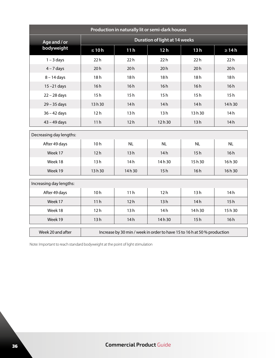| Production in naturally lit or semi-dark houses |                                      |                                                                          |           |       |            |  |  |
|-------------------------------------------------|--------------------------------------|--------------------------------------------------------------------------|-----------|-------|------------|--|--|
| Age and / or                                    | <b>Duration of light at 14 weeks</b> |                                                                          |           |       |            |  |  |
| bodyweight                                      | $\leq 10h$                           | 11 <sub>h</sub>                                                          | 12h       | 13h   | $\geq 14h$ |  |  |
| $1 - 3$ days                                    | 22h                                  | 22h                                                                      | 22h       | 22h   | 22h        |  |  |
| $4 - 7$ days                                    | 20h                                  | 20h                                                                      | 20h       | 20h   | 20h        |  |  |
| $8 - 14$ days                                   | 18h                                  | 18h                                                                      | 18h       | 18h   | 18h        |  |  |
| $15 - 21$ days                                  | 16h                                  | 16h                                                                      | 16h       | 16h   | 16h        |  |  |
| $22 - 28$ days                                  | 15h                                  | 15h                                                                      | 15h       | 15h   | 15h        |  |  |
| $29 - 35$ days                                  | 13h30                                | 14h                                                                      | 14h       | 14h   | 14h30      |  |  |
| $36 - 42$ days                                  | 12h                                  | 13h                                                                      | 13h       | 13h30 | 14h        |  |  |
| $43 - 49$ days                                  | 11h                                  | 12h                                                                      | 12h30     | 13h   | 14h        |  |  |
| Decreasing day lengths:                         |                                      |                                                                          |           |       |            |  |  |
| After 49 days                                   | 10 <sub>h</sub>                      | <b>NL</b>                                                                | <b>NL</b> | NL    | <b>NL</b>  |  |  |
| Week 17                                         | 12h                                  | 13h                                                                      | 14h       | 15h   | 16h        |  |  |
| Week 18                                         | 13h                                  | 14h                                                                      | 14h30     | 15h30 | 16h30      |  |  |
| Week 19                                         | 13h 30                               | 14h30                                                                    | 15h       | 16h   | 16h30      |  |  |
| Increasing day lengths:                         |                                      |                                                                          |           |       |            |  |  |
| After 49 days                                   | 10h                                  | 11h                                                                      | 12h       | 13h   | 14h        |  |  |
| Week 17                                         | 11h                                  | 12h                                                                      | 13h       | 14h   | 15h        |  |  |
| Week 18                                         | 12h                                  | 13h                                                                      | 14h       | 14h30 | 15h30      |  |  |
| Week 19                                         | 13h                                  | 14h                                                                      | 14h30     | 15h   | 16h        |  |  |
| Week 20 and after                               |                                      | Increase by 30 min / week in order to have 15 to 16 h at 50 % production |           |       |            |  |  |

Note: Important to reach standard bodyweight at the point of light stimulation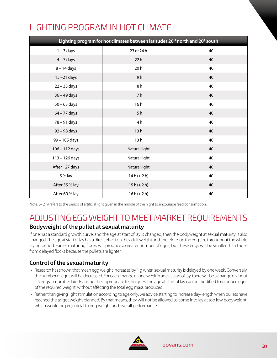### LIGHTING PROGRAM IN HOT CLIMATE

| Lighting program for hot climates between latitudes 20° north and 20° south |               |    |  |  |  |  |
|-----------------------------------------------------------------------------|---------------|----|--|--|--|--|
| $1 - 3$ days                                                                | 23 or 24 h    | 40 |  |  |  |  |
| $4 - 7$ days                                                                | 22h           | 40 |  |  |  |  |
| $8 - 14$ days                                                               | 20h           | 40 |  |  |  |  |
| $15 - 21$ days                                                              | 19h           | 40 |  |  |  |  |
| $22 - 35$ days                                                              | 18h           | 40 |  |  |  |  |
| $36 - 49$ days                                                              | 17h           | 40 |  |  |  |  |
| $50 - 63$ days                                                              | 16h           | 40 |  |  |  |  |
| 64 – 77 days                                                                | 15h           | 40 |  |  |  |  |
| 78 - 91 days                                                                | 14h           | 40 |  |  |  |  |
| 92 - 98 days                                                                | 13h           | 40 |  |  |  |  |
| 99 - 105 days                                                               | 13h           | 40 |  |  |  |  |
| $106 - 112$ days                                                            | Natural light | 40 |  |  |  |  |
| $113 - 126$ days                                                            | Natural light | 40 |  |  |  |  |
| After 127 days                                                              | Natural light | 40 |  |  |  |  |
| 5 % lay                                                                     | $14h (+ 2h)$  | 40 |  |  |  |  |
| After 35 % lay                                                              | $15h (+ 2h)$  | 40 |  |  |  |  |
| After 60 % lay                                                              | $16h (+ 2h)$  | 40 |  |  |  |  |

Note: (+ 2 h) refers to the period of artificial light given in the middle of the night to encourage feed consumption.

### ADJUSTING EGG WEIGHT TO MEET MARKET REQUIREMENTS

#### **Bodyweight of the pullet at sexual maturity**

If one has a standard growth curve, and the age at start of lay is changed, then the bodyweight at sexual maturity is also changed. The age at start of lay has a direct effect on the adult weight and, therefore, on the egg size throughout the whole laying period. Earlier maturing flocks will produce a greater number of eggs, but these eggs will be smaller than those from delayed flocks because the pullets are lighter.

#### **Control of the sexual maturity**

- **•** Research has shown that mean egg weight increases by 1 g when sexual maturity is delayed by one week. Conversely, the number of eggs will be decreased. For each change of one week in age at start of lay, there will be a change of about 4.5 eggs in number laid. By using the appropriate techniques, the age at start of lay can be modified to produce eggs of the required weight, without affecting the total egg mass produced.
- **•** Rather than giving light stimulation according to age only, we advice starting to increase day-length when pullets have reached the target weight planned. By that means, they will not be allowed to come into lay at too low bodyweight, which would be prejudicial to egg weight and overall performance.

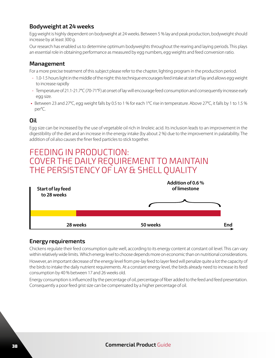#### **Bodyweight at 24 weeks**

Egg weight is highly dependent on bodyweight at 24 weeks. Between 5 % lay and peak production, bodyweight should increase by at least 300 g.

Our research has enabled us to determine optimum bodyweights throughout the rearing and laying periods. This plays an essential role in obtaining performance as measured by egg numbers, egg weights and feed conversion ratio.

#### **Management**

For a more precise treatment of this subject please refer to the chapter, lighting program in the production period.

- 1.0-1.5 hours light in the middle of the night: this technique encourages feed intake at start of lay and allows egg weight to increase rapidly
- Temperature of 21.1-21.7°C (70-71°F) at onset of lay will encourage feed consumption and consequently increase early egg size.
- **•** Between 23 and 27°C, egg weight falls by 0.5 to 1 % for each 1°C rise in temperature. Above 27°C, it falls by 1 to 1.5 % per°C.

#### **Oil**

Egg size can be increased by the use of vegetable oil rich in linoleic acid. Its inclusion leads to an improvement in the digestibility of the diet and an increase in the energy intake (by about 2 %) due to the improvement in palatability. The addition of oil also causes the finer feed particles to stick together.

### FEEDING IN PRODUCTION: COVER THE DAILY REQUIREMENT TO MAINTAIN THE PERSISTENCY OF LAY & SHELL QUALITY



#### **Energy requirements**

Chickens regulate their feed consumption quite well, according to its energy content at constant oil level. This can vary within relatively wide limits. Which energy level to choose depends more on economic than on nutritional considerations. However, an important decrease of the energy level from pre-lay feed to layer feed will penalize quite a lot the capacity of the birds to intake the daily nutrient requirements. At a constant energy level, the birds already need to increase its feed consumption by 40 % between 17 and 26 weeks old.

Energy consumption is influenced by the percentage of oil, percentage of fiber added to the feed and feed presentation. Consequently a poor feed grist size can be compensated by a higher percentage of oil.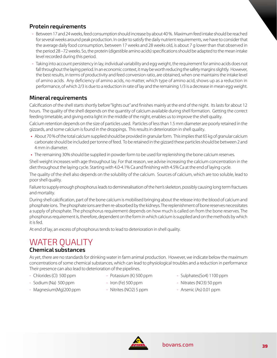#### **Protein requirements**

- Between 17 and 24 weeks, feed consumption should increase by about 40 %. Maximum feed intake should be reached for several weeks around peak production. In order to satisfy the daily nutrient requirements, we have to consider that the average daily food consumption, between 17 weeks and 28 weeks old, is about 7 g lower than that observed in the period 28 –72 weeks. So, the protein (digestible amino acids) specifications should be adapted to the mean intake level recorded during this period.
- Taking into account persistency in lay, individual variability and egg weight, the requirement for amino acids does not fall throughout the laying period. In an economic context, it may be worth reducing the safety margins slightly. However, the best results, in terms of productivity and feed conversion ratio, are obtained, when one maintains the intake level of amino acids. Any deficiency of amino acids, no matter, which type of amino acid, shows up as a reduction in performance, of which 2/3 is due to a reduction in rate of lay and the remaining 1/3 is a decrease in mean egg weight.

#### **Mineral requirements**

Calcification of the shell starts shortly before "lights out" and finishes mainly at the end of the night. Its lasts for about 12 hours. The quality of the shell depends on the quantity of calcium available during shell formation. Getting the correct feeding timetable, and giving extra light in the middle of the night, enables us to improve the shell quality.

Calcium retention depends on the size of particles used. Particles of less than 1.5 mm diameter are poorly retained in the gizzards, and some calcium is found in the droppings. This results in deterioration in shell quality.

- **•** About 70 % of the total calcium supplied should be provided in granular form. This implies that 65 kg of granular calcium carbonate should be included per tonne of feed. To be retained in the gizzard these particles should be between 2 and 4 mm in diameter.
- **•** The remaining 30% should be supplied in powder form to be used for replenishing the bone calcium reserves.

Shell weight increases with age throughout lay. For that reason, we advise increasing the calcium concentration in the diet throughout the laying cycle. Starting with 4.0-4.1% Ca and finishing with 4.5% Ca at the end of laying cycle.

The quality of the shell also depends on the solubility of the calcium. Sources of calcium, which are too soluble, lead to poor shell quality.

Failure to supply enough phosphorus leads to demineralisation of the hen's skeleton, possibly causing long term fractures and mortality.

During shell calcification, part of the bone calcium is mobilised bringing about the release into the blood of calcium and phosphate ions. The phosphate ions are then re-absorbed by the kidneys. The replenishment of bone reserves necessitates a supply of phosphate. The phosphorus requirement depends on how much is called on from the bone reserves. The phosphorus requirement is, therefore, dependent on the form in which calcium is supplied and on the methods by which it is fed.

At end of lay, an excess of phosphorus tends to lead to deterioration in shell quality.

### WATER QUALITY

#### **Chemical substances**

As yet, there are no standards for drinking water in farm animal production. However, we indicate below the maximum concentrations of some chemical substances, which can lead to physiological troubles and a reduction in performance Their presence can also lead to deterioration of the pipelines.

- 
- 
- Magnesium(Mg)200 ppm Nitrites (NO2) 5 ppm Arsenic (As) 0.01 ppm
- 
- 
- 
- Chlorides (Cl) 500 ppm Potassium (K) 500 ppm Sulphates (So4) 1100 ppm
- Sodium (Na) 500 ppm Iron (Fe) 500 ppm Nitrates (NO3) 50 ppm
	-

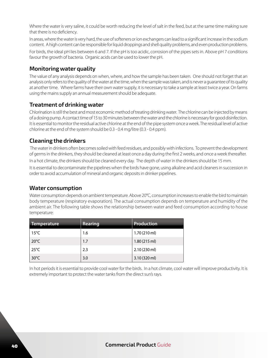Where the water is very saline, it could be worth reducing the level of salt in the feed, but at the same time making sure that there is no deficiency.

In areas, where the water is very hard, the use of softeners or ion exchangers can lead to a significant increase in the sodium content. A high content can be responsible for liquid droppings and shell quality problems, and even production problems.

For birds, the ideal pH lies between 6 and 7. If the pH is too acidic, corrosion of the pipes sets in. Above pH 7 conditions favour the growth of bacteria. Organic acids can be used to lower the pH.

#### **Monitoring water quality**

The value of any analysis depends on when, where, and how the sample has been taken. One should not forget that an analysis only refers to the quality of the water at the time, when the sample was taken, and is never a guarantee of its quality at another time. Where farms have their own water supply, it is necessary to take a sample at least twice a year. On farms using the mains supply an annual measurement should be adequate.

#### **Treatment of drinking water**

Chlorination is still the best and most economic method of treating drinking water. The chlorine can be injected by means of a dosing pump. A contact time of 15 to 30 minutes between the water and the chlorine is necessary for good disinfection. It is essential to monitor the residual active chlorine at the end of the pipe system once a week. The residual level of active chlorine at the end of the system should be 0.3 - 0.4 mg/litre (0.3 - 0.4 ppm).

#### **Cleaning the drinkers**

 The water in drinkers often becomes soiled with feed residues, and possibly with infections. To prevent the development of germs in the drinkers, they should be cleaned at least once a day during the first 2 weeks, and once a week thereafter. In a hot climate, the drinkers should be cleaned every day. The depth of water in the drinkers should be 15 mm.

It is essential to decontaminate the pipelines when the birds have gone, using alkaline and acid cleaners in succession in order to avoid accumulation of mineral and organic deposits in drinker pipelines.

#### **Water consumption**

Water consumption depends on ambient temperature. Above 20°C, consumption increases to enable the bird to maintain body temperature (respiratory evaporation). The actual consumption depends on temperature and humidity of the ambient air. The following table shows the relationship between water and feed consumption according to house temperature:

| Temperature    | Rearing | Production             |
|----------------|---------|------------------------|
| $15^{\circ}$ C | 1.6     | $1.70(210 \text{ ml})$ |
| $20^{\circ}$ C | 1.7     | 1.80(215 ml)           |
| $25^{\circ}$ C | 2.3     | 2.10(230 ml)           |
| $30^{\circ}$ C | 3.0     | 3.10 (320 ml)          |

In hot periods it is essential to provide cool water for the birds. In a hot climate, cool water will improve productivity. It is extremely important to protect the water tanks from the direct sun's rays.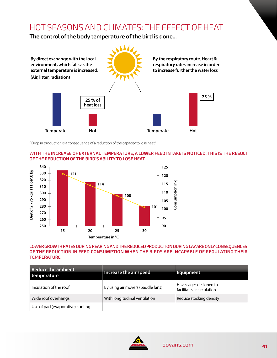### HOT SEASONS AND CLIMATES: THE EFFECT OF HEAT

**The control of the body temperature of the bird is done...**



" Drop in production is a consequence of a reduction of the capacity to lose heat."

#### **WITH THE INCREASE OF EXTERNAL TEMPERATURE, A LOWER FEED INTAKE IS NOTICED. THIS IS THE RESULT OF THE REDUCTION OF THE BIRD'S ABILITY TO LOSE HEAT**



#### **LOWER GROWTH RATES DURING REARING AND THE REDUCED PRODUCTION DURING LAY ARE ONLY CONSEQUENCES OF THE REDUCTION IN FEED CONSUMPTION WHEN THE BIRDS ARE INCAPABLE OF REGULATING THEIR TEMPERATURE**

| Reduce the ambient<br>temperature | Increase the air speed            | <b>Equipment</b>                                     |
|-----------------------------------|-----------------------------------|------------------------------------------------------|
| Insulation of the roof            | By using air movers (paddle fans) | Have cages designed to<br>facilitate air circulation |
| Wide roof overhangs               | With longitudinal ventilation     | Reduce stocking density                              |
| Use of pad (evaporative) cooling  |                                   |                                                      |

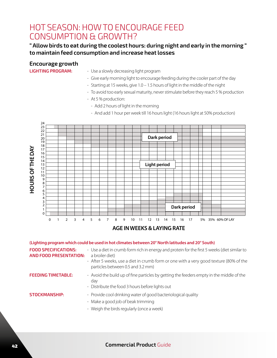### HOT SEASON: HOW TO ENCOURAGE FEED CONSUMPTION & GROWTH?

#### **" Allow birds to eat during the coolest hours: during night and early in the morning " to maintain feed consumption and increase heat losses**

#### **Encourage growth**

- **LIGHTING PROGRAM:** Use a slowly decreasing light program
	- Give early morning light to encourage feeding during the cooler part of the day
	- Starting at 15 weeks, give 1.0 1.5 hours of light in the middle of the night
	- To avoid too early sexual maturity, never stimulate before they reach 5 % production
	- At 5 % production:
		- Add 2 hours of light in the morning
		- And add 1 hour per week till 16 hours light (16 hours light at 50% production)



#### **AGE IN WEEKS & LAYING RATE**

|                                                              | (Lighting program which could be used in hot climates between 20° North latitudes and 20° South)                                                   |
|--------------------------------------------------------------|----------------------------------------------------------------------------------------------------------------------------------------------------|
| <b>FOOD SPECIFICATIONS:</b><br><b>AND FOOD PRESENTATION:</b> | - Use a diet in crumb form rich in energy and protein for the first 5 weeks (diet similar to<br>a broiler diet)                                    |
|                                                              | - After 5 weeks, use a diet in crumb form or one with a very good texture (80% of the<br>particles between 0.5 and 3.2 mm)                         |
| <b>FEEDING TIMETABLE:</b>                                    | - Avoid the build up of fine particles by getting the feeders empty in the middle of the<br>dav<br>- Distribute the food 3 hours before lights out |
| <b>STOCKMANSHIP:</b>                                         | - Provide cool drinking water of good bacteriological quality<br>- Make a good job of beak trimming<br>- Weigh the birds regularly (once a week)   |

<sup>42</sup> **Commercial Product** Guide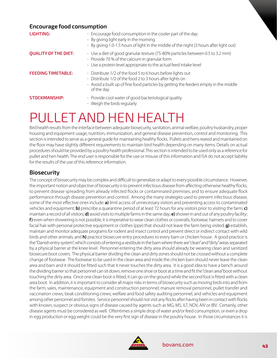#### **Encourage food consumption LIGHTING:**  $\blacksquare$   $\blacksquare$   $\blacksquare$   $\blacksquare$   $\blacksquare$   $\blacksquare$   $\blacksquare$   $\blacksquare$   $\blacksquare$   $\blacksquare$   $\blacksquare$   $\blacksquare$   $\blacksquare$   $\blacksquare$   $\blacksquare$   $\blacksquare$   $\blacksquare$   $\blacksquare$   $\blacksquare$   $\blacksquare$   $\blacksquare$   $\blacksquare$   $\blacksquare$   $\blacksquare$   $\blacksquare$   $\blacksquare$   $\blacksquare$   $\blacksquare$   $\blacksquare$   $\blacksquare$  - By giving light early in the morning - By giving 1.0-1.5 hours of light in the middle of the night (3 hours after light out) **QUALITY OF THE DIET:**  $\qquad - \text{Use a diet of good granular texture (75-80% particles between 0.5 to 3.2 mm)}$ - Provide 70 % of the calcium in granular form - Use a protein level appropriate to the actual feed intake level **FEEDING TIMETABLE:** - Distribute 1/2 of the food 5 to 6 hours before lights out - Distribute 1/2 of the food 2 to 3 hours after lights on - Avoid a built up of fine food particles by getting the feeders empty in the middle of the day **STOCKMANSHIP:** Frovide cool water of good bacteriological quality - Weigh the birds regularly

## PULLET AND HEN HEALTH

Bird health results from the interface between adequate biosecurity, sanitation, animal welfare, poultry husbandry, proper housing and equipment usage, nutrition, immunization, and general disease prevention, control and monitoring. This section is intended to serve as a general guide for maintaining healthy flocks. Pullets and hens reared and maintained on the floor may have slightly different requirements to maintain bird health depending on many items. Details on actual procedures should be provided by a poultry health professional. This section is intended to be used only as a reference for pullet and hen health. The end user is responsible for the use or misuse of this information and ISA do not accept liability for the results of the use of this reference information.

#### **Biosecurity**

The concept of biosecurity may be complex and difficult to generalize or adapt to every possible circumstance. However, the important notion and objective of biosecurity is to prevent infectious disease from affecting otherwise healthy flocks; to prevent disease spreading from already infected flocks or contaminated premises; and to ensure adequate flock performance through disease prevention and control. Among the many strategies used to prevent infectious disease, some of the most effective ones include: **a)** limit access of unnecessary visitors and preventing access to contaminated vehicles and equipment; **b)** prescribe a quarantine period of at least 72 hours for any visitors prior to visiting the farm; **c)** maintain a record of all visitors; **d)** avoid visits to multiple farms in the same day; **e)** shower in and out of any poultry facility; **f)** even when showering is not possible, it is imperative to wear clean clothes or coveralls, footwear, hairnets and to cover facial hair with personal protective equipment or clothes (ppe) that should not leave the farm being visited; **g)** establish, maintain and monitor adequate programs for rodent and insect control and prevent direct or indirect contact with wild birds and other animals; and **h)** practice biosecure entry procedures to every barn or chicken house. A good practice is the "Danish entry system", which consists of entering a vestibule in the barn where there are "clean" and "dirty" areas separated by a physical barrier at the knee level. Personnel entering the dirty area should already be wearing clean and sanitized biosecure boot covers. The physical barrier dividing the clean and dirty zones should not be crossed without a complete change of footwear. The footwear to be used in the clean area and inside the chicken barn should never leave the clean area and barn and it should be fitted such that it never touches the dirty area. It is a good idea to have a bench around the dividing barrier so that personnel can sit down, remove one shoe or boot at a time and fit the "clean area" boot without touching the dirty area. Once one clean boot is fitted, it can go on the ground while the second foot is fitted with a clean area boot. In addition, it is important to consider all major risks in terms of biosecurity such as moving birds into and from the farm; sales, maintenance, equipment and construction personnel; manure removal personnel, pullet transfer and vaccination crews; beak conditioning crews; welfare and food safety auditing personnel; and vehicles and equipment among other personnel and fomites. Service personnel should not visit any flocks after having been in contact with flocks with known, suspect or obvious signs of disease caused by agents such as MG, MS, ILT, NDV, AIV or IBV. Certainly, other disease agents must be considered as well. Oftentimes a simple drop of water and/or feed consumption, or even a drop in egg production or egg weight could be the very first sign of disease in the poultry house. In those circumstances it is

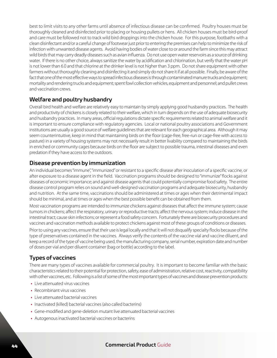best to limit visits to any other farms until absence of infectious disease can be confirmed. Poultry houses must be thoroughly cleaned and disinfected prior to placing or housing pullets or hens. All chicken houses must be bird-proof and care must be followed not to track wild bird droppings into the chicken house. For this purpose, footbaths with a clean disinfectant and/or a careful change of footwear just prior to entering the premises can help to minimize the risk of infection with unwanted disease agents. Avoid having bodies of water close to or around the farm since this may attract wild birds that may carry deadly diseases such as avian influenza. Do not use open water reservoirs as a source of drinking water. If there is no other choice, always sanitize the water by acidification and chlorination, but verify that the water pH is not lower than 6.0 and that chlorine at the drinker level is not higher than 3 ppm. Do not share equipment with other farmers without thoroughly cleaning and disinfecting it and simply do not share it if at all possible. Finally, be aware of the fact that one of the most effective ways to spread infectious diseases is through contaminated manure trucks and equipment; mortality and rendering trucks and equipment; spent fowl collection vehicles, equipment and personnel; and pullet crews and vaccination crews.

#### **Welfare and poultry husbandry**

Overall bird health and welfare are relatively easy to maintain by simply applying good husbandry practices. The health and productivity of chickens is closely related to their welfare, which in turn depends on the use of adequate biosecurity and husbandry practices. In many areas, official regulations dictate specific requirements related to animal welfare and it is important to ensure compliance with regulatory agencies. Local or national poultry associations and Government institutions are usually a good source of welfare guidelines that are relevant for each geographical area. Although it may seem counterintuitive, keep in mind that maintaining birds on the floor (cage-free, free-run or cage-free with access to pasture) in a variety of housing systems may not necessarily result in better livability compared to maintaining the birds in enriched or community cages because birds on the floor are subject to possible trauma, intestinal diseases and even predation if they have access to the outdoors.

#### **Disease prevention by immunization**

An individual becomes "immune", "immunized" or resistant to a specific disease after inoculation of a specific vaccine, or after exposure to a disease agent in the field. Vaccination programs should be designed to "immunize" flocks against diseases of economic importance; and against disease agents that could potentially compromise food safety. The entire disease control program relies on sound and well-designed vaccination programs and adequate biosecurity, husbandry and nutrition. At the same time, vaccinations should be administered at times or ages when their detrimental impact should be minimal, and at times or ages when the best possible benefit can be obtained from them.

Most vaccination programs are intended to immunize chickens against diseases that affect the immune system; cause tumors in chickens; affect the respiratory, urinary or reproductive tracts; affect the nervous system; induce disease in the intestinal tract; cause skin infections; or represent a food safety concern. Fortunately there are biosecurity procedures and vaccines and vaccination methods available to protect chickens against most of these groups of conditions or diseases.

Prior to using any vaccines, ensure that their use is legal locally and that it will not disqualify specialty flocks because of the type of preservatives contained in the vaccines. Always verify the contents of the vaccine vial and vaccine diluent, and keep a record of the type of vaccine being used, the manufacturing company, serial number, expiration date and number of doses per vial and per diluent container (bag or bottle) according to the label.

#### **Types of vaccines**

There are many types of vaccines available for commercial poultry. It is important to become familiar with the basic characteristics related to their potential for protection, safety, ease of administration, relative cost, reactivity, compatibility with other vaccines, etc. Following is a list of some of the most important types of vaccines and disease prevention products:

- **•** Live attenuated virus vaccines
- **•** Recombinant virus vaccines
- **•** Live attenuated bacterial vaccines
- **•** Inactivated (killed) bacterial vaccines (also called bacterins)
- **•** Gene-modified and gene-deletion mutant live attenuated bacterial vaccines
- **•** Autogenous inactivated bacterial vaccines or bacterins

#### <sup>44</sup> **Commercial Product** Guide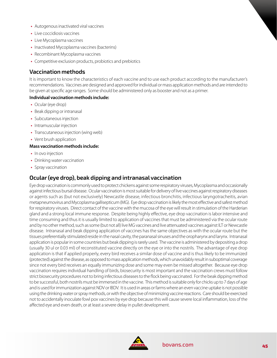- **•** Autogenous inactivated viral vaccines
- **•** Live coccidiosis vaccines
- **•** Live Mycoplasma vaccines
- **•** Inactivated Mycoplasma vaccines (bacterins)
- **•** Recombinant Mycoplasma vaccines
- **•** Competitive exclusion products, probiotics and prebiotics

#### **Vaccination methods**

It is important to know the characteristics of each vaccine and to use each product according to the manufacturer's recommendations. Vaccines are designed and approved for individual or mass application methods and are intended to be given at specific age ranges. Some should be administered only as booster and not as a primer.

#### **Individual vaccination methods include:**

- **•** Ocular (eye drop)
- **•** Beak dipping or intranasal
- **•** Subcutaneous injection
- **•** Intramuscular injection
- **•** Transcutaneous injection (wing web)
- **•** Vent brush application

#### **Mass vaccination methods include:**

- **•** In ovo injection
- **•** Drinking water vaccination
- **•** Spray vaccination

#### **Ocular (eye drop), beak dipping and intranasal vaccination**

Eye drop vaccination is commonly used to protect chickens against some respiratory viruses, Mycoplasma and occasionally against infectious bursal disease. Ocular vaccination is most suitable for delivery of live vaccines against respiratory diseases or agents such as (but not exclusively) Newcastle disease, infectious bronchitis, infectious laryngotracheitis, avian metapneumovirus and Mycoplasma gallisepticum (MG). Eye drop vaccination is likely the most effective and safest method for respiratory viruses. Direct contact of the vaccine with the mucosa of the eye will result in stimulation of the Harderian gland and a strong local immune response. Despite being highly effective, eye drop vaccination is labor intensive and time consuming and thus it is usually limited to application of vaccines that must be administered via the ocular route and by no other method, such as some (but not all) live MG vaccines and live attenuated vaccines against ILT or Newcastle disease. Intranasal and beak dipping application of vaccines has the same objectives as with the ocular route but the tissues preferentially stimulated reside in the nasal cavity, the paranasal sinuses and the oropharynx and larynx. Intranasal application is popular in some countries but beak dipping is rarely used. The vaccine is administered by depositing a drop (usually 30 ul or 0.03 ml) of reconstituted vaccine directly on the eye or into the nostrils. The advantage of eye drop application is that if applied properly, every bird receives a similar dose of vaccine and is thus likely to be immunized (protected) against the disease, as opposed to mass application methods, which unavoidably result in suboptimal coverage since not every bird receives an equally immunizing dose and some may even be missed altogether. Because eye drop vaccination requires individual handling of birds, biosecurity is most important and the vaccination crews must follow strict biosecurity procedures not to bring infectious diseases to the flock being vaccinated. For the beak dipping method to be successful, both nostrils must be immersed in the vaccine. This method is suitable only for chicks up to 7 days of age and is used for immunization against NDV or IBDV. It is used in areas or farms where an even vaccine uptake is not possible using the drinking water or spray methods, or with the objective of minimizing vaccine reactions. Care should be exercised not to accidentally inoculate fowl pox vaccines by eye drop because this will cause severe local inflammation, loss of the affected eye and even death, or at least a severe delay in pullet development.

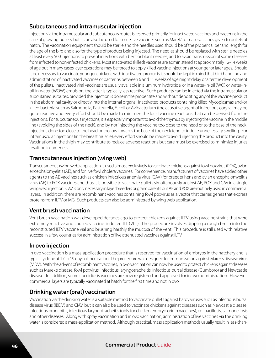#### **Subcutaneous and intramuscular injection**

Injection via the intramuscular and subcutaneous routes is reserved primarily for inactivated vaccines and bacterins in the case of growing pullets, but it can also be used for some live vaccines such as Marek's disease vaccines given to pullets at hatch. The vaccination equipment should be sterile and the needles used should be of the proper caliber and length for the age of the bird and also for the type of product being injected. The needles should be replaced with sterile needles at least every 500 injections to prevent injections with bent or blunt needles, and to avoid transmission of some diseases from infected to non-infected chickens. Most inactivated (killed) vaccines are administered at approximately 12-14 weeks of age but in many cases layer operations may be forced to apply killed vaccine injections at younger or later ages. Should it be necessary to vaccinate younger chickens with inactivated products it should be kept in mind that bird handling and administration of inactivated vaccines or bacterins between 6 and 11 weeks of age might delay or alter the development of the pullets. Inactivated viral vaccines are usually available in aluminum hydroxide, or in a water-in-oil (WO) or water-inoil-in-water (WOW) emulsion; the latter is typically less reactive. Such products can be injected via the intramuscular or subcutaneous routes, provided the injection is done in the proper site and without depositing any of the vaccine product in the abdominal cavity or directly into the internal organs. Inactivated products containing killed Mycoplasmas and/or killed bacteria such as Salmonella, Pasteurella, E. coli or Avibacterium (the causative agent of infectious coryza) may be quite reactive and every effort should be made to minimize the local vaccine reactions that can be derived from the injections. For subcutaneous injections, it is especially important to avoid the thymus by injecting the vaccine in the middle line (avoiding the sides of the neck), and by not injecting the vaccine too close to the head or to the base of the neck. Injections done too close to the head or too low towards the base of the neck tend to induce unnecessary swelling. For intramuscular injections (in the breast muscle), every effort should be made to avoid injecting the product into the cavity. Vaccinations in the thigh may contribute to reduce adverse reactions but care must be exercised to minimize injuries resulting in lameness.

#### **Transcutaneous injection (wing web)**

Transcutaneous (wing web) application is used almost exclusively to vaccinate chickens against fowl poxvirus (POX), avian encephalomyelitis (AE), and for live fowl cholera vaccines. For convenience, manufacturers of vaccines have added other agents to the AE vaccines such as chicken infectious anemia virus (CAV) for breeder hens and avian encephalomyelitis virus (AE) to POX vaccines and thus it is possible to vaccinate pullets simultaneously against AE, POX and CAV in a single wing web injection. CAV is only necessary in layer breeders or grandparents but AE and POX are routinely used in commercial layers. In addition, there are recombinant vaccines containing fowl poxvirus as a vector that carries genes that express proteins from ILTV or MG. Such products can also be administered by wing web application.

#### **Vent brush vaccination**

Vent brush vaccination was developed decades ago to protect chickens against ILTV using vaccine strains that were extremely reactive and caused vaccine-induced ILT (VLT). The procedure involves dipping a rough brush into the reconstituted ILTV vaccine vial and brushing harshly the mucosa of the vent. This procedure is still used with relative success in a few countries for administration of live attenuated vaccines against ILTV.

#### **In ovo injection**

In ovo vaccination is a mass-application procedure that is reserved for vaccination of embryos in the hatchery and is typically done at 17 to 19 days of incubation. The procedure was designed for immunization against Marek's disease virus (MDV). With the advent of recombinant vaccines, in ovo vaccination can now be used to protect chickens against diseases such as Marek's disease, fowl poxvirus, infectious laryngotracheitis, infectious bursal disease (Gumboro) and Newcastle disease. In addition, some coccidiosis vaccines are now registered and approved for in ovo administration. However, commercial layers are typically vaccinated at hatch for the first time and not in ovo.

#### **Drinking water (oral) vaccination**

Vaccination via the drinking water is a suitable method to vaccinate pullets against hardy viruses such as infectious bursal disease virus (IBDV) and CIAV, but it can also be used to vaccinate chickens against diseases such as Newcastle disease, infectious bronchitis, infectious laryngotracheitis (only for chicken embryo origin vaccines), colibacillosis, salmonellosis and other diseases. Along with spray vaccination and in ovo vaccination, administration of live vaccines via the drinking water is considered a mass-application method. Although practical, mass application methods usually result in less-than-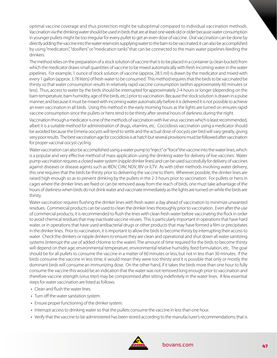optimal vaccine coverage and thus protection might be suboptimal compared to individual vaccination methods. Vaccination via the drinking water should be used in birds that are at least one week old or older because water consumption in younger pullets might be too irregular for every pullet to get an even dose of vaccine. Oral vaccination can be done by directly adding the vaccine into the water reservoirs supplying water to the barn to be vaccinated; it can also be accomplished by using "medicators", "dosifiers" or "medication tanks" that can be connected to the main water pipelines feeding the drinkers.

The method relies on the preparation of a stock solution of vaccine that is to be placed in a container (a clean bucket) from which the medicator draws small quantities of vaccine to be mixed automatically with fresh incoming water in the water pipelines. For example, 1 ounce of stock solution of vaccine (approx. 28.5 ml) is drawn by the medicator and mixed with every 1 gallon (approx. 3.78 liters) of fresh water to be consumed. This method requires that the birds to be vaccinated be thirsty so that water consumption results in relatively rapid vaccine consumption (within approximately 60 minutes or less). Thus, access to water by the birds should be interrupted for approximately 2-4 hours or longer (depending on the barn temperature, barn humidity, age of the birds, etc.) prior to vaccination. Because the stock solution is drawn in a pulse manner, and because it must be mixed with incoming water automatically before it is delivered it is not possible to achieve an even vaccination in all birds. Using this method in the early morning hours as the lights are turned on ensures rapid vaccine consumption since the pullets or hens tend to be thirsty after several hours of darkness during the night.

Vaccination through a medicator is one of the methods of vaccination with live virus vaccines which is least recommended, albeit it is a suitable method for administration of drugs, vitamins, etc. Coccidiosis vaccination using a medicator should be avoided because the Eimeria oocysts will tend to settle and the actual dose of oocysts per bird will vary greatly, giving very poor results. The best vaccination age for coccidiosis is at hatch but several provisions must be followed after vaccination for proper vaccinal oocyst cycling.

Water vaccination can also be accomplished using a water pump to "inject" or "force" the vaccine into the water lines, which is a popular and very effective method of mass application using the drinking water for delivery of live vaccines. Water pump vaccination requires a closed water system (nipple drinker lines) and can be used successfully for delivery of vaccines against diseases or disease agents such as IBDV, CIAV, NDV, IBV or ILTV. As with other methods involving water delivery, this one requires that the birds be thirsty prior to delivering the vaccine to them. Wherever possible, the drinker lines are raised high enough so as to prevent drinking by the pullets in the 2-3 hours prior to vaccination. For pullets or hens in cages where the drinker lines are fixed or can be removed away from the reach of birds, one must take advantage of the hours of darkness when birds do not drink water and vaccinate immediately as the lights are turned on while the birds are thirsty.

Water vaccination requires flushing the drinker lines with fresh water a day ahead of vaccination to minimize unwanted residues. Commercial products can be used to clean the drinker lines thoroughly prior to vaccination. Even after the use of commercial products, it is recommended to flush the lines with clean fresh water before vaccinating the flock in order to avoid chemical residues that may inactivate vaccine viruses. This is particularly important in operations that have hard water, or in operations that have used antibacterial drugs or other products that may have formed a film or precipitates in the drinker lines. Prior to vaccination, it is important to allow the birds to become thirsty by interrupting their access to water. Check the drinkers or nipple drinkers to ensure they are clean and operational and shut down all water sanitizing systems (interrupt the use of added chlorine to the water). The amount of time required for the birds to become thirsty will depend on their age, environmental temperature, environmental relative humidity, feed formulation, etc. The goal should be for all pullets to consume the vaccine in a matter of 60 minutes or less, but not in less than 30 minutes. If the birds consume the vaccine in less time, it would mean they were too thirsty and it is possible that only or mostly the dominant birds will consume an immunizing dose. On the other hand, if it takes the birds more than one hour to fully consume the vaccine this would be an indication that the water was not removed long enough prior to vaccination and therefore vaccine strength (virus titer) may be compromised after sitting indefinitely in the water lines. A few essential steps for water vaccination are listed as follows:

- **•** Clean and flush the water lines.
- **•** Turn off the water sanitation system.
- **•** Ensure proper functioning of the drinker system.
- **•** Interrupt access to drinking water so that the pullets consume the vaccine in less than one hour.
- **•** Verify that the vaccine to be administered has been stored according to the manufacturer's recommendations; that is

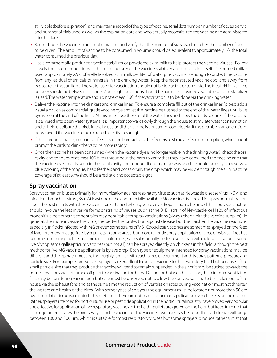still viable (before expiration); and maintain a record of the type of vaccine, serial (lot) number, number of doses per vial and number of vials used, as well as the expiration date and who actually reconstituted the vaccine and administered it to the flock.

- **•** Reconstitute the vaccine in an aseptic manner and verify that the number of vials used matches the number of doses to be given. The amount of vaccine to be consumed in volume should be equivalent to approximately 1/7 the total water consumed the previous day.
- **•** Use a commercially produced vaccine stabilizer or powdered skim milk to help protect the vaccine viruses. Follow closely the recommendations of the manufacturer of the vaccine stabilizer and the vaccine itself. If skimmed milk is used, approximately 2.5 g of well-dissolved skim milk per liter of water plus vaccine is enough to protect the vaccine from any residual chemicals or minerals in the drinking water. Keep the reconstituted vaccine cool and away from exposure to the sun light. The water used for vaccination should not be too acidic or too basic. The ideal pH for vaccine delivery should be between 5.5 and 7.2 but slight deviations should be harmless provided a suitable vaccine stabilizer is used. The water temperature should not exceed 26C if the vaccination is to be done via the drinking water.
- **•** Deliver the vaccine into the drinkers and drinker lines. To ensure a complete fill out of the drinker lines (pipes) add a visual aid such as commercial-grade vaccine dye and let the vaccine be flushed to the end of the water lines until blue dye is seen at the end of the lines. At this time close the end of the water lines and allow the birds to drink. If the vaccine is delivered into open water systems, it is important to walk slowly through the house to stimulate water consumption and to help distribute the birds in the house until the vaccine is consumed completely. If the premise is an open-sided house avoid the vaccine to be exposed directly to sunlight.
- **•** If there are automatic (mechanical) feeders in the barn, activate the feeders to stimulate feed consumption, which might prompt the birds to drink the vaccine more rapidly.
- **•** Once the vaccine has been consumed (when the vaccine dye is no longer visible in the drinking water), check the oral cavity and tongues of at least 100 birds throughout the barn to verify that they have consumed the vaccine and that the vaccine dye is easily seen in their oral cavity and tongue. If enough dye was used, it should be easy to observe a blue coloring of the tongue, head feathers and occasionally the crop, which may be visible through the skin. Vaccine coverage of at least 97% should be a realistic and acceptable goal.

#### **Spray vaccination**

Spray vaccination is used primarily for immunization against respiratory viruses such as Newcastle disease virus (NDV) and infectious bronchitis virus (IBV). At least one of the commercially available MG vaccines is labeled for spray administration, albeit the best results with these vaccines are attained when given by eye drop. It should be noted that spray vaccination should involve the less invasive forms or strains of viruses, such as the B1B1 strain of Newcastle, or H120 of infectious bronchitis, albeit other vaccine strains may be suitable for spray vaccinations (always check with the vaccine supplier). In general, the more invasive the virus, the better the protection against disease but the harsher the vaccine reactions, especially in flocks infected with MG or even some strains of MS. Coccidiosis vaccines are sometimes sprayed on the feed of layer breeders or cage-free layer pullets in some areas, but more recently spray application of coccidiosis vaccines has become a popular practice in commercial hatcheries, with substantially better results than with field vaccinations. Some live Mycoplasma gallisepticum vaccines (but not all) can be sprayed directly on chickens in the field, although the best method for live MG vaccine application is by eye drop. Each type of equipment intended for spray vaccinations may be different and the operator must be thoroughly familiar with each piece of equipment and its spray patterns, pressure and particle size. For example, pressurized sprayers are excellent to deliver vaccine to the respiratory tract but because of the small particle size that they produce the vaccine will tend to remain suspended in the air or it may be sucked towards the house fans if they are not turned off prior to vaccinating the birds. During the hot weather season, the minimum ventilation fans may be run during vaccination but care must be observed not to allow the sprayed vaccine to be sucked out of the house via the exhaust fans and at the same time the reduction of ventilation rates during vaccination must not threaten the welfare and health of the birds. With some types of sprayers the equipment must be located not more than 50 cm over those birds to be vaccinated. This method is therefore not practical for mass application over chickens on the ground. Rather, sprayers intended for horticultural use or pesticide application in the horticultural industry have proved very popular and effective for application of live respiratory vaccines in the field if pullets are grown on the floor, but keep in mind that if the equipment scares the birds away from the vaccinator, the vaccine coverage may be poor. The particle size will range between 100 and 300 um, which is suitable for most respiratory viruses but some sprayers produce rather a mist that

#### <sup>48</sup> **Commercial Product** Guide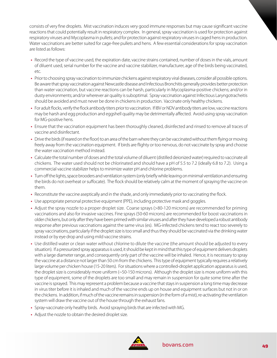consists of very fine droplets. Mist vaccination induces very good immune responses but may cause significant vaccine reactions that could potentially result in respiratory complex. In general, spray vaccination is used for protection against respiratory viruses and Mycoplasma in pullets; and for protection against respiratory viruses in caged hens in production. Water vaccinations are better suited for cage-free pullets and hens. A few essential considerations for spray vaccination are listed as follows:

- **•** Record the type of vaccine used, the expiration date, vaccine strains contained, number of doses in the vials, amount of diluent used, serial number for the vaccine and vaccine stabilizer, manufacturer, age of the birds being vaccinated, etc.
- **•** Prior to choosing spray vaccination to immunize chickens against respiratory viral diseases, consider all possible options. Be aware that spray vaccination against Newcastle disease and Infectious Bronchitis generally provides better protection than water vaccination, but vaccine reactions can be harsh, particularly in Mycoplasma-positive chickens; and/or in dusty environments; and/or wherever air quality is suboptimal. Spray vaccination against Infectious Laryngotracheitis should be avoided and must never be done in chickens in production. Vaccinate only healthy chickens.
- **•** For adult flocks, verify the flock antibody titers prior to vaccination. If IBV or NDV antibody titers are low, vaccine reactions may be harsh and egg production and eggshell quality may be detrimentally affected. Avoid using spray vaccination for MG-positive hens.
- **•** Ensure that the vaccination equipment has been thoroughly cleaned, disinfected and rinsed to remove all traces of vaccine and disinfectant.
- **•** Drive the birds (if reared on the floor) to an area of the barn where they can be vaccinated without them flying or moving freely away from the vaccination equipment. If birds are flighty or too nervous, do not vaccinate by spray and choose the water vaccination method instead.
- **•** Calculate the total number of doses and the total volume of diluent (distilled deionized water) required to vaccinate all chickens. The water used should not be chlorinated and should have a pH of 5.5 to 7.2 (ideally 6.8 to 7.2). Using a commercial vaccine stabilizer helps to minimize water pH and chlorine problems.
- **•** Turn off the lights, space brooders and ventilation system (only briefly while leaving on minimal ventilation and ensuring the birds do not overheat or suffocate). The flock should be relatively calm at the moment of spraying the vaccine on them.
- **•** Reconstitute the vaccine aseptically and in the shade, and only immediately prior to vaccinating the flock.
- **•** Use appropriate personal protective equipment (PPE), including protective mask and goggles.
- **•** Adjust the spray nozzle to a proper droplet size. Coarse sprays (>80-120 microns) are recommended for priming vaccinations and also for invasive vaccines. Fine sprays (50-60 microns) are recommended for boost vaccinations in older chickens, but only after they have been primed with similar viruses and after they have developed a robust antibody response after previous vaccinations against the same virus (es). MG-infected chickens tend to react too severely to spray vaccinations, particularly if the droplet size is too small and thus they should be vaccinated via the drinking water instead or by eye drop and using mild vaccine strains.
- **•** Use distilled water or clean water without chlorine to dilute the vaccine (the amount should be adjusted to every situation). If a pressurized spray apparatus is used, it should be kept in mind that this type of equipment delivers droplets with a large diameter range, and consequently only part of the vaccine will be inhaled. Hence, it is necessary to spray the vaccine at a distance not larger than 50 cm from the chickens. This type of equipment typically requires a relatively large volume per chicken house (15-20 liters). For situations where a controlled-droplet application apparatus is used, the droplet size is considerably more uniform (~50-150 microns). Although the droplet size is more uniform with this type of equipment, some of the droplets are too small and may remain in suspension for quite some time after the vaccine is sprayed. This may represent a problem because a vaccine that stays in suspension a long time may decrease in virus titer before it is inhaled and much of the vaccine ends up on house and equipment surfaces but not in or on the chickens. In addition, if much of the vaccine remains in suspension (in the form of a mist), re-activating the ventilation system will draw the vaccine out of the house through the exhaust fans.
- **•** Spray-vaccinate only healthy birds. Avoid spraying birds that are infected with MG.
- **•** Adjust the nozzle to obtain the desired droplet size.

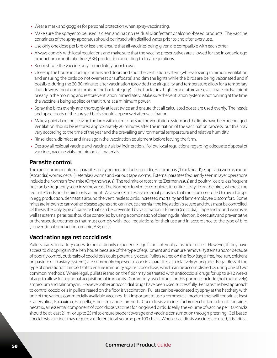- **•** Wear a mask and goggles for personal protection when spray-vaccinating.
- **•** Make sure the sprayer to be used is clean and has no residual disinfectant or alcohol-based products. The vaccine containers of the spray apparatus should be rinsed with distilled water prior to and after every use.
- **•** Use only one dose per bird or less and ensure that all vaccines being given are compatible with each other.
- **•** Always comply with local regulations and make sure that the vaccine preservatives are allowed for use in organic egg production or antibiotic-free (ABF) production according to local regulations.
- **•** Reconstitute the vaccine only immediately prior to use.
- **•** Close up the house including curtains and doors and shut the ventilation system (while allowing minimum ventilation and ensuring the birds do not overheat or suffocate) and dim the lights while the birds are being vaccinated and if possible, during the 20-30 minutes after vaccination (provided the air quality and temperature allow for a temporary shut down without compromising the flock integrity). If the flock is in a high temperature area, vaccinate birds at night or early in the morning and restore ventilation immediately. Make sure the ventilation system is not running at the time the vaccine is being applied or that it runs at a minimum power.
- **•** Spray the birds evenly and thoroughly at least twice and ensure that all calculated doses are used evenly. The heads and upper body of the sprayed birds should appear wet after vaccination.
- **•** Make a point about not leaving the farm without making sure the ventilation system and the lights have been reengaged. Ventilation should be restored approximately 20 minutes after the initiation of the vaccination process, but this may vary according to the time of the year and the prevailing environmental temperature and relative humidity.
- **•** Rinse, clean, disinfect and rinse again the vaccination equipment before leaving the farm.
- **•** Destroy all residual vaccine and vaccine vials by incineration. Follow local regulations regarding adequate disposal of vaccines, vaccine vials and biological materials.

#### **Parasite control**

The most common internal parasites in laying hens include coccidia, Histomonas ("black head"), Capillaria worms, round (Ascaridia) worms, cecal (Heterakis) worms and various tape worms. External parasites frequently seen in layer operations include the Northern fowl mite (Ornythonyssus). The red mite or roost mite (Dermanyssus) and poultry lice are less frequent but can be frequently seen in some areas. The Northern fowl mite completes its entire life cycle on the birds, whereas the red mite feeds on the birds only at night. As a whole, mites are external parasites that must be controlled to avoid drops in egg production, dermatitis around the vent, restless birds, increased mortality and farm employee discomfort. Some mites are known to carry other disease agents and can induce anemia if the infestation is severe and thus must be controlled. Of these, the only type of parasite that can be prevented by vaccination is Eimeria (coccidia). Tape and round worms as well as external parasites should be controlled by using a combination of cleaning, disinfection, biosecurity and preventative or therapeutic treatments that must comply with local regulations for their use and in accordance to the type of bird (conventional production, organic, ABF, etc.).

#### **Vaccination against coccidiosis**

Pullets reared in battery cages do not ordinarily experience significant internal parasitic diseases. However, if they have access to droppings in the hen house because of the type of equipment and manure removal systems and/or because of poor fly control, outbreaks of coccidiosis could potentially occur. Pullets reared on the floor (cage-free, free-run, chickens on pasture or in aviary systems) are commonly exposed to coccidia parasites at a relatively young age. Regardless of the type of operation, it is important to ensure immunity against coccidiosis, which can be accomplished by using one of two common methods. Where legal, pullets reared on the floor may be treated with anticoccidial drugs for up to 8-12 weeks of age to allow for a gradual acquisition of immunity. Commonly used drugs for this purpose include (not exclusively) amprolium and salinomycin. However, other anticoccidial drugs have been used successfully. Perhaps the best approach to control coccidiosis in pullets reared on the floor is vaccination. Pullets can be vaccinated by spray at the hatchery with one of the various commercially available vaccines. It is important to use a commercial product that will contain at least E. acervulina, E. maxima, E. tenella, E. necatrix and E. brunetti. Coccidiosis vaccines for broiler chickens do not contain E. necatrix, an essential component of coccidiosis vaccines for long-lived birds. Ideally, the volume of vaccine per 100 chicks should be at least 21 ml or up to 25 ml to ensure proper coverage and vaccine consumption through preening. Gel-based coccidiosis vaccines may require a different total volume per 100 chicks. When coccidiosis vaccines are used, it is critical

#### <sup>50</sup> **Commercial Product** Guide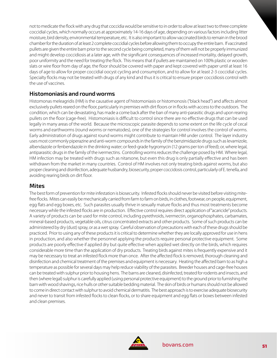not to medicate the flock with any drug that coccidia would be sensitive to in order to allow at least two to three complete coccidial cycles, which normally occurs at approximately 14-16 days of age, depending on various factors including litter moisture, bird density, environmental temperature, etc. It is also important to allow vaccinated birds to remain in the brood chamber for the duration of at least 2 complete coccidial cycles before allowing them to occupy the entire barn. If vaccinated pullets are given the entire barn prior to the second cycle being completed, many of them will not be properly immunized and might develop coccidiosis at a later age, with the significant consequences of increased mortality, delayed growth, poor uniformity and the need for treating the flock. This means that if pullets are maintained on 100% plastic or wooden slats or wire floor from day of age, the floor should be covered with paper and kept covered with paper until at least 16 days of age to allow for proper coccidial oocyst cycling and consumption, and to allow for at least 2-3 coccidial cycles. Specialty flocks may not be treated with drugs of any kind and thus it is critical to ensure proper coccidiosis control with the use of vaccines.

#### **Histomoniasis and round worms**

Histomonas meleagridis (HM) is the causative agent of histomoniasis or histomonosis ("black head") and affects almost exclusively pullets reared on the floor, particularly in premises with dirt floors or in flocks with access to the outdoors. The condition, which can be devastating, has made a come back after the ban of many anti-parasitic drugs and upon rearing pullets on the floor (cage-free). Histomoniasis is difficult to control since there are no effective drugs that can be used legally in many areas of the world. Because the microscopic parasite depends to some extent on the life cycle of cecal worms and earthworms (round worms or nematodes), one of the strategies for control involves the control of worms. Early administration of drugs against round worms might contribute to maintain HM under control. The layer industry uses most commonly piperazine and anti-worm compounds in the family of the benzimidazole drugs such as levamizole, albendazole or fenbendazole in the drinking water; or feed-grade hygromycin (12 grams per ton of feed); or, where legal, antiparasitic drugs in the family of the ivermectins. Controlling worms reduces the challenge posed by HM. Where legal, HM infection may be treated with drugs such as nitarsone, but even this drug is only partially effective and has been withdrawn from the market in many countries. Control of HM involves not only treating birds against worms, but also proper cleaning and disinfection, adequate husbandry, biosecurity, proper coccidosis control, particularly of E. tenella, and avoiding rearing birds on dirt floor.

#### **Mites**

The best form of prevention for mite infestation is biosecurity. Infested flocks should never be visited before visiting mitefree flocks. Mites can easily be mechanically carried from farm to farm on birds, in clothes, footwear, on people, equipment, egg flats and egg boxes, etc. Such parasites usually thrive in sexually mature flocks and thus most treatments become necessary while the infested flocks are in production. Effective control requires direct application of "acaricide" products. A variety of products can be used for mite control, including pyrethroids, ivermectin, organophosphates, carbamates, mineral-based products, vegetable oils, citrus concentrated extracts and other products. Some of such products can be administered by dry (dust) spray, or as a wet spray. Careful observation of precautions with each of these drugs should be practiced. Prior to using any of these products it is critical to determine whether they are locally approved for use in hens in production, and also whether the personnel applying the products require personal protective equipment. Some products are poorly effective if applied dry but quite effective when applied wet directly on the birds, which requires considerable more time than the application of dry products. Treating birds against mites is frequently expensive and it may be necessary to treat an infested flock more than once. After the affected flock is removed, thorough cleaning and disinfection and chemical treatment of the premises and equipment is necessary. Heating the affected barn to as high a temperature as possible for several days may help reduce viability of the parasites. Breeder houses and cage-free houses can be treated with sulphur prior to housing hens. The barns are cleaned, disinfected, treated for rodents and insects, and then (where legal) sulphur is carefully applied (using personal protective equipment) to the ground prior to furnishing the barn with wood shavings, rice hulls or other suitable bedding material. The skin of birds or humans should not be allowed to come in direct contact with sulphur to avoid chemical dermatitis. The best approach is to exercise adequate biosecurity and never to transit from infested flocks to clean flocks, or to share equipment and egg flats or boxes between infested and clean premises.

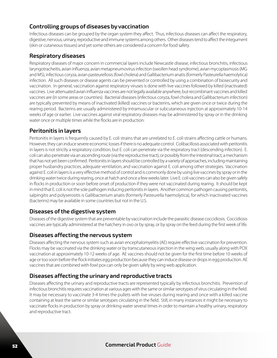#### **Controlling groups of diseases by vaccination**

Infectious diseases can be grouped by the organ system they affect. Thus, infectious diseases can affect the respiratory, digestive, nervous, urinary, reproductive and immune systems among others. Other diseases tend to affect the integument (skin or cutaneous tissues) and yet some others are considered a concern for food safety.

#### **Respiratory diseases**

Respiratory diseases of major concern in commercial layers include Newcastle disease, infectious bronchitis, infectious laryngotracheitis, avian influenza, avian metapneumovirus infection (swollen head syndrome), avian mycoplasmosis (MG and MS), infectious coryza, avian pasteurellosis (fowl cholera) and Gallibacterium anatis (formerly Pasteurella haemolytica) infection. All such diseases or disease agents can be prevented or controlled by using a combination of biosecurity and vaccination. In general, vaccination against respiratory viruses is done with live vaccines followed by killed (inactivated) vaccines. Live attenuated avian influenza vaccines are not legally available anywhere, but recombinant vaccines and killed vaccines are (in some areas or countries). Bacterial diseases (infectious coryza, fowl cholera and Gallibacterium infection) are typically prevented by means of inactivated (killed) vaccines or bacterins, which are given once or twice during the rearing period. Bacterins are usually administered by intramuscular or subcutaneous injection at approximately 10-14 weeks of age or earlier. Live vaccines against viral respiratory diseases may be administered by spray or in the drinking water once or multiple times while the flocks are in production.

#### **Peritonitis in layers**

Peritonitis in layers is frequently caused by E. coli strains that are unrelated to E. coli strains affecting cattle or humans. However, they can induce severe economic losses if there is no adequate control. Colibacillosis associated with peritonitis in layers is not strictly a respiratory condition, but E. coli can penetrate via the respiratory tract (descending infection). E. coli can also penetrate via an ascending route (via the reproductive tract), or possibly from the intestinal tract, a mechanism that has not yet been confirmed. Peritonitis in layers should be controlled by a variety of approaches, including maintaining proper husbandry practices, adequate ventilation, and vaccination against E. coli among other strategies. Vaccination against E. coli in layers is a very effective method of control and is commonly done by using live vaccines by spray or in the drinking water twice during rearing, once at hatch and once a few weeks later. Live E. coli vaccines can also be given safely in flocks in production or soon before onset of production if they were not vaccinated during rearing. It should be kept in mind that E. coli is not the sole pathogen inducing peritonitis in layers. Another common pathogen causing peritonitis, salpingitis and polyserositis is Gallibacterium anatis (formerly Pasteurella haemolytica), for which inactivated vaccines (bacterins) may be available in some countries but not in the U.S.

#### **Diseases of the digestive system**

Diseases of the digestive system that are preventable by vaccination include the parasitic disease coccidiosis. Coccidiosis vaccines are typically administered at the hatchery in ovo or by spray, or by spray on the feed during the first week of life.

#### **Diseases affecting the nervous system**

Diseases affecting the nervous system such as avian encephalomyelitis (AE) require effective vaccination for prevention. Flocks may be vaccinated via the drinking water or by transcutaneous injection in the wing web, usually along with POX vaccination at approximately 10-12 weeks of age. AE vaccines should not be given for the first time before 10 weeks of age or too soon before the flock initiates egg production because they can induce disease or drops in egg production. AE vaccines that are combined with fowl pox can only be given safely by wing web application.

#### **Diseases affecting the urinary and reproductive tracts**

Diseases affecting the urinary and reproductive tracts are represented typically by infectious bronchitis. Prevention of infectious bronchitis requires vaccination at various ages with the same or similar serotypes of virus circulating in the field. It may be necessary to vaccinate 3-4 times the pullets with live viruses during rearing and once with a killed vaccine containing at least the same or similar serotypes circulating in the field. Still, in many instances it might be necessary to vaccinate flocks in production by spray or drinking water several times in order to maintain a healthy urinary, respiratory and reproductive tract.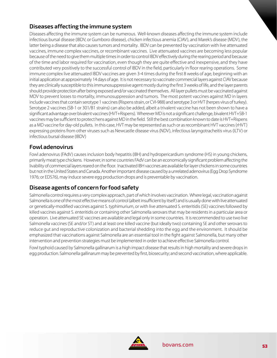#### **Diseases affecting the immune system**

Diseases affecting the immune system can be numerous. Well-known diseases affecting the immune system include infectious bursal disease (IBDV, or Gumboro disease), chicken infectious anemia (CIAV), and Marek's disease (MDV), the latter being a disease that also causes tumors and mortality. IBDV can be prevented by vaccination with live attenuated vaccines, immune complex vaccines, or recombinant vaccines. Live attenuated vaccines are becoming less popular because of the need to give them multiple times in order to control IBDV effectively during the rearing period and because of the time and labor required for vaccination, even though they are quite effective and inexpensive, and they have contributed very positively to the successful control of IBDV in the field, particularly in floor rearing operations. Some immune complex live attenuated IBDV vaccines are given 3-4 times during the first 8 weeks of age, beginning with an initial application at approximately 14 days of age. It is not necessary to vaccinate commercial layers against CIAV because they are clinically susceptible to this immunosuppressive agent mostly during the first 3 weeks of life, and the layer parents should provide protection after being exposed and/or vaccinated themselves. All layer pullets must be vaccinated against MDV to prevent losses to mortality, immunosuppression and tumors. The most potent vaccines against MD in layers include vaccines that contain serotype 1 vaccines (Rispens strain, or CVI-988) and serotype 3 or HVT (herpes virus of turkey). Serotype 2 vaccines (SB-1 or 301/B1 strains) can also be added, albeit a trivalent vaccine has not been shown to have a significant advantage over bivalent vaccines (HVT+Rispens). Wherever MD is not a significant challenge, bivalent HVT+SB-1 vaccines may be sufficient to protect hens against MD in the field. Still the best combination known to date is HVT+Rispens as a MD vaccine for day-old pullets. In this case, HVT may be represented as such or as recombinant HVT vaccines (rHVT) expressing proteins from other viruses such as Newcastle disease virus (NDV), infectious laryngotracheitis virus (ILTV) or infectious bursal disease (IBDV)

#### **Fowl adenovirus**

Fowl adenovirus (FAdV) causes inclusion body hepatitis (IBH) and hydropericardium syndrome (HS) in young chickens, primarily meat type chickens. However, in some countries FAdV can be an economically significant problem affecting the livability of commercial layers reared on the floor. Inactivated IBH vaccines are available for layer chickens in some countries but not in the United States and Canada. Another important disease caused by a unrelated adenovirus (Egg Drop Syndrome 1976; or EDS76), may induce severe egg production drops and is preventable by vaccination.

#### **Disease agents of concern for food safety**

Salmonella control requires a very complex approach, part of which involves vaccination. Where legal, vaccination against Salmonella is one of the most effective means of control (albeit insufficient by itself) and is usually done with live attenuated or genetically-modified vaccines against S. typhimurium, or with live attenuated S. enteritidis (SE) vaccines followed by killed vaccines against S. enteritidis or containing other Salmonella serovars that may be residents in a particular area or operation. Live attenuated SE vaccines are available and legal only in some countries. It is recommended to use two live Salmonella vaccines (SE and/or ST) and at least one killed vaccine (but ideally two) containing SE and other serovars to reduce gut and reproductive colonization and bacterial shedding into the egg and the environment. It should be emphasized that vaccinations against Salmonella are an essential tool in the fight against Salmonella, but many other intervention and prevention strategies must be implemented in order to achieve effective Salmonella control.

Fowl typhoid caused by Salmonella gallinarum is a high impact disease that results in high mortality and severe drops in egg production. Salmonella gallinarum may be prevented by first, biosecurity; and second vaccination, where applicable.

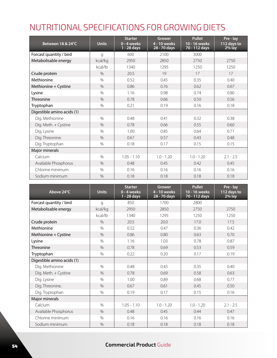### NUTRITIONAL SPECIFICATIONS FOR GROWING DIETS

| Between 18 & 24°C          | <b>Units</b>  | <b>Starter</b><br>0 - 4 weeks<br>1 - 28 days | Grower<br>4 - 10 weeks<br>28 - 70 days | <b>Pullet</b><br>10 - 16 weeks<br>70 - 112 days | Pre - lay<br>112 days to<br>$2%$ lay |
|----------------------------|---------------|----------------------------------------------|----------------------------------------|-------------------------------------------------|--------------------------------------|
| Forcast quantity / bird    | g             | 600                                          | 2100                                   | 3000                                            |                                      |
| Metabolisable energy       | kcal/kg       | 2950                                         | 2850                                   | 2750                                            | 2750                                 |
|                            | kcal/lb       | 1340                                         | 1295                                   | 1250                                            | 1250                                 |
| Crude protein              | $\%$          | 20.5                                         | 19                                     | 17                                              | 17                                   |
| Methionine                 | $\%$          | 0.52                                         | 0.45                                   | 0.35                                            | 0.40                                 |
| Methionine + Cystine       | $\frac{0}{0}$ | 0.86                                         | 0.76                                   | 0.62                                            | 0.67                                 |
| Lysine                     | $\%$          | 1.16                                         | 0.98                                   | 0.74                                            | 0.80                                 |
| <b>Threonine</b>           | $\frac{0}{0}$ | 0.78                                         | 0.66                                   | 0.50                                            | 0.56                                 |
| Tryptophan                 | $\frac{0}{0}$ | 0.21                                         | 0.19                                   | 0.16                                            | 0.18                                 |
| Digestible amino acids (1) |               |                                              |                                        |                                                 |                                      |
| Dig. Methionine            | $\frac{0}{0}$ | 0.48                                         | 0.41                                   | 0.32                                            | 0.38                                 |
| Dig. Meth. + Cystine       | $\%$          | 0.78                                         | 0.66                                   | 0.55                                            | 0.60                                 |
| Dig. Lysine                | $\frac{0}{0}$ | 1.00                                         | 0.85                                   | 0.64                                            | 0.71                                 |
| Dig. Threonine.            | $\%$          | 0.67                                         | 0.57                                   | 0.43                                            | 0.48                                 |
| Dig. Tryptophan            | $\frac{0}{0}$ | 0.18                                         | 0.17                                   | 0.15                                            | 0.15                                 |
| Major minerals             |               |                                              |                                        |                                                 |                                      |
| Calcium                    | $\frac{0}{0}$ | $1.05 - 1.10$                                | $1.0 - 1.20$                           | $1.0 - 1.20$                                    | $2.1 - 2.5$                          |
| Available Phosphorus       | $\frac{0}{0}$ | 0.48                                         | 0.45                                   | 0.42                                            | 0.45                                 |
| Chlorine minimum           | $\frac{0}{0}$ | 0.16                                         | 0.16                                   | 0.16                                            | 0.16                                 |
| Sodium minimum             | $\frac{0}{0}$ | 0.18                                         | 0.18                                   | 0.18                                            | 0.18                                 |

| Above 24°C                 | <b>Units</b>  | <b>Starter</b><br>0 - 4 weeks<br>1 - 28 days | <b>Grower</b><br>4 - 10 weeks<br>28 - 70 days | <b>Pullet</b><br>10 - 16 weeks<br>70 - 112 days | Pre - lay<br>112 days to<br>2% lay |
|----------------------------|---------------|----------------------------------------------|-----------------------------------------------|-------------------------------------------------|------------------------------------|
| Forcast quantity / bird    | g             | 850                                          | 1700                                          | 2800                                            |                                    |
| Metabolisable energy       | kcal/kg       | 2950                                         | 2850                                          | 2750                                            | 2750                               |
|                            | kcal/lb       | 1340                                         | 1295                                          | 1250                                            | 1250                               |
| Crude protein              | $\frac{0}{0}$ | 20.5                                         | 20.0                                          | 17.0                                            | 17.5                               |
| Methionine                 | $\%$          | 0.52                                         | 0.47                                          | 0.36                                            | 0.42                               |
| Methionine + Cystine       | $\%$          | 0.86                                         | 0.80                                          | 0.63                                            | 0.70                               |
| Lysine                     | $\frac{0}{0}$ | 1.16                                         | 1.03                                          | 0.78                                            | 0.87                               |
| <b>Threonine</b>           | $\frac{0}{0}$ | 0.78                                         | 0.69                                          | 0.53                                            | 0.59                               |
| Tryptophan                 | $\frac{0}{0}$ | 0.22                                         | 0.20                                          | 0.17                                            | 0.19                               |
| Digestible amino acids (1) |               |                                              |                                               |                                                 |                                    |
| Dig. Methionine            | $\%$          | 0.48                                         | 0.43                                          | 0.35                                            | 0.40                               |
| Dig. Meth. + Cystine       | $\frac{0}{0}$ | 0.78                                         | 0.69                                          | 0.58                                            | 0.63                               |
| Dig. Lysine                | $\frac{0}{0}$ | 1.00                                         | 0.89                                          | 0.68                                            | 0.77                               |
| Dig. Threonine.            | $\frac{0}{0}$ | 0.67                                         | 0.61                                          | 0.45                                            | 0.50                               |
| Dig. Tryptophan            | $\frac{0}{0}$ | 0.19                                         | 0.17                                          | 0.15                                            | 0.16                               |
| Major minerals             |               |                                              |                                               |                                                 |                                    |
| Calcium                    | $\%$          | $1.05 - 1.10$                                | $1.0 - 1.20$                                  | $1.0 - 1.20$                                    | $2.1 - 2.5$                        |
| Available Phosphorus       | $\%$          | 0.48                                         | 0.45                                          | 0.44                                            | 0.47                               |
| Chlorine minimum           | $\frac{0}{0}$ | 0.16                                         | 0.16                                          | 0.16                                            | 0.16                               |
| Sodium minimum             | $\frac{0}{0}$ | 0.18                                         | 0.18                                          | 0.18                                            | 0.18                               |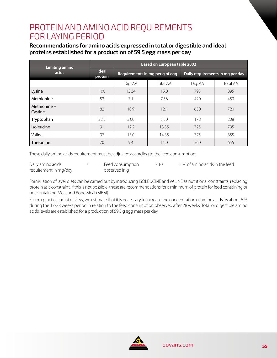### PROTEIN AND AMINO ACID REQUIREMENTS FOR LAYING PERIOD

#### **Recommendations for amino acids expressed in total or digestible and ideal proteins established for a production of 59.5 egg mass per day**

| Limiting amino            | <b>Based on European table 2002</b> |         |                                 |                                  |                 |
|---------------------------|-------------------------------------|---------|---------------------------------|----------------------------------|-----------------|
| acids                     | <b>Ideal</b><br>protein             |         | Requirements in mg per g of egg | Daily requirements in mg per day |                 |
|                           |                                     | Dig. AA | <b>Total AA</b>                 | Dig. AA                          | <b>Total AA</b> |
| Lysine                    | 100                                 | 13.34   | 15.0                            | 795                              | 895             |
| Methionine                | 53                                  | 7.1     | 7.56                            | 420                              | 450             |
| Methionine $+$<br>Cystine | 82                                  | 10.9    | 12.1                            | 650                              | 720             |
| Tryptophan                | 22.5                                | 3.00    | 3.50                            | 178                              | 208             |
| Isoleucine                | 91                                  | 12.2    | 13.35                           | 725                              | 795             |
| Valine                    | 97                                  | 13.0    | 14.35                           | 775                              | 855             |
| <b>Threonine</b>          | 70                                  | 9.4     | 11.0                            | 560                              | 655             |

These daily amino acids requirement must be adjusted according to the feed consumption:

| Daily amino acids     | Feed consumption | $=$ % of amino acids in the feed |
|-----------------------|------------------|----------------------------------|
| requirement in mg/day | observed in g    |                                  |

Formulation of layer diets can be carried out by introducing ISOLEUCINE and VALINE as nutritional constraints, replacing protein as a constraint. If this is not possible, these are recommendations for a minimum of protein for feed containing or not containing Meat and Bone Meal (MBM).

From a practical point of view, we estimate that it is necessary to increase the concentration of amino acids by about 6 % during the 17-28 weeks period in relation to the feed consumption observed after 28 weeks. Total or digestible amino acids levels are established for a production of 59.5 g egg mass per day.

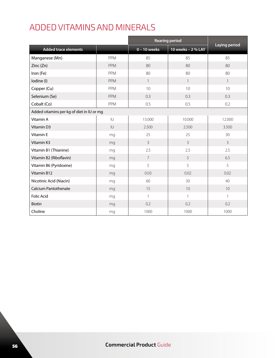### ADDED VITAMINS AND MINERALS

|                                           |              |                | <b>Rearing period</b> |                      |
|-------------------------------------------|--------------|----------------|-----------------------|----------------------|
| <b>Added trace elements</b>               |              | $0 - 10$ weeks | 10 weeks - 2 % LAY    | <b>Laying period</b> |
| Manganese (Mn)                            | PPM          | 85             | 85                    | 85                   |
| Zinc(Zn)                                  | <b>PPM</b>   | 80             | 80                    | 80                   |
| Iron (Fe)                                 | PPM          | 80             | 80                    | 80                   |
| Iodine (I)                                | <b>PPM</b>   | $\mathbf{1}$   | $\mathbf{1}$          | $\mathbf{1}$         |
| Copper (Cu)                               | PPM          | 10             | 10                    | 10                   |
| Selenium (Se)                             | PPM          | 0.3            | 0.3                   | 0.3                  |
| Cobalt (Co)                               | PPM          | 0.5            | 0.5                   | 0.2                  |
| Added vitamins per kg of diet in IU or mg |              |                |                       |                      |
| Vitamin A                                 | $\sf I\sf U$ | 13.000         | 10.000                | 12.000               |
| Vitamin D3                                | U            | 2.500          | 2.500                 | 3.500                |
| Vitamin E                                 | mg           | 25             | 25                    | 30                   |
| Vitamin K3                                | mg           | $\overline{3}$ | $\overline{3}$        | $\overline{3}$       |
| Vitamin B1 (Thianine)                     | mg           | 2.5            | 2.5                   | 2.5                  |
| Vitamin B2 (Riboflavin)                   | mg           | $\overline{7}$ | 5                     | 6.5                  |
| Vitamin B6 (Pyridoxine)                   | mg           | 5              | 5                     | 5                    |
| Vitamin B12                               | mg           | 0.03           | 0.02                  | 0.02                 |
| Nicotinic Acid (Niacin)                   | mg           | 60             | 30                    | 40                   |
| <b>Calcium Pantothenate</b>               | mg           | 15             | 10                    | 10                   |
| <b>Folic Acid</b>                         | mg           | $\mathbf{1}$   | $\mathbf{1}$          | $\mathbf{1}$         |
| Biotin                                    | mg           | 0.2            | 0.2                   | 0.2                  |
| Choline                                   | mg           | 1000           | 1000                  | 1000                 |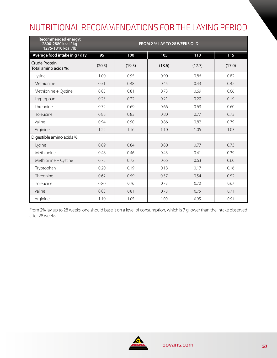### NUTRITIONAL RECOMMENDATIONS FOR THE LAYING PERIOD

| Recommended energy:<br>2800-2880 kcal / kg<br>1275-1310 kcal /lb | FROM 2 % LAY TO 28 WEEKS OLD |        |        |        |        |
|------------------------------------------------------------------|------------------------------|--------|--------|--------|--------|
| Average food intake in g / day                                   | 95                           | 100    | 105    | 110    | 115    |
| Crude Protein<br>Total amino acids %:                            | (20.5)                       | (19.5) | (18.6) | (17.7) | (17.0) |
| Lysine                                                           | 1.00                         | 0.95   | 0.90   | 0.86   | 0.82   |
| Methionine                                                       | 0.51                         | 0.48   | 0.45   | 0.43   | 0.42   |
| Methionine + Cystine                                             | 0.85                         | 0.81   | 0.73   | 0.69   | 0.66   |
| Tryptophan                                                       | 0.23                         | 0.22   | 0.21   | 0.20   | 0.19   |
| Threonine                                                        | 0.72                         | 0.69   | 0.66   | 0.63   | 0.60   |
| Isoleucine                                                       | 0.88                         | 0.83   | 0.80   | 0.77   | 0.73   |
| Valine                                                           | 0.94                         | 0.90   | 0.86   | 0.82   | 0.79   |
| Arginine                                                         | 1.22                         | 1.16   | 1.10   | 1.05   | 1.03   |
| Digestible amino acids %:                                        |                              |        |        |        |        |
| Lysine                                                           | 0.89                         | 0.84   | 0.80   | 0.77   | 0.73   |
| Methionine                                                       | 0.48                         | 0.46   | 0.43   | 0.41   | 0.39   |
| Methionine + Cystine                                             | 0.75                         | 0.72   | 0.66   | 0.63   | 0.60   |
| Tryptophan                                                       | 0.20                         | 0.19   | 0.18   | 0.17   | 0.16   |
| Threonine                                                        | 0.62                         | 0.59   | 0.57   | 0.54   | 0.52   |
| Isoleucine                                                       | 0.80                         | 0.76   | 0.73   | 0.70   | 0.67   |
| Valine                                                           | 0.85                         | 0.81   | 0.78   | 0.75   | 0.71   |
| Arginine                                                         | 1.10                         | 1.05   | 1.00   | 0.95   | 0.91   |

From 2% lay up to 28 weeks, one should base it on a level of consumption, which is 7 g lower than the intake observed after 28 weeks.

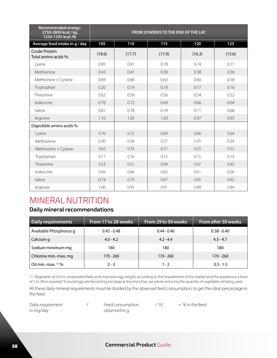| <b>Recommended energy:</b><br>2750-2850 kcal / kg<br>1250-1295 kcal /lb | FROM 29 WEEKS TO THE END OF THE LAY |        |        |        |        |
|-------------------------------------------------------------------------|-------------------------------------|--------|--------|--------|--------|
| Average food intake in g / day                                          | 105                                 | 110    | 115    | 120    | 125    |
| Crude Protein<br>Total amino acids %:                                   | (18.6)                              | (17.7) | (17.0) | (16.3) | (15.6) |
| Lysine                                                                  | 0.85                                | 0.81   | 0.78   | 0.74   | 0.71   |
| Methionine                                                              | 0.43                                | 0.41   | 0.39   | 0.38   | 0.36   |
| Methionine + Cystine                                                    | 0.69                                | 0.66   | 0.63   | 0.60   | 0.58   |
| Tryptophan                                                              | 0.20                                | 0.19   | 0.18   | 0.17   | 0.16   |
| Threonine                                                               | 0.62                                | 0.59   | 0.56   | 0.54   | 0.52   |
| Isoleucine                                                              | 0.76                                | 0.72   | 0.69   | 0.66   | 0.64   |
| Valine                                                                  | 0.81                                | 0.78   | 0.74   | 0.71   | 0.68   |
| Arginine                                                                | 1.10                                | 1.05   | 1.03   | 0.97   | 0.93   |
| Digestible amino acids %:                                               |                                     |        |        |        |        |
| Lysine                                                                  | 0.76                                | 0.72   | 0.69   | 0.66   | 0.64   |
| Methionine                                                              | 0.40                                | 0.38   | 0.37   | 0.35   | 0.34   |
| Methionine + Cystine                                                    | 0.62                                | 0.59   | 0.57   | 0.55   | 0.52   |
| Tryptophan                                                              | 0.17                                | 0.16   | 0.15   | 0.15   | 0.14   |
| Threonine                                                               | 0.53                                | 0.51   | 0.49   | 0.47   | 0.45   |
| Isoleucine                                                              | 0.69                                | 0.66   | 0.63   | 0.61   | 0.58   |
| Valine                                                                  | 0.74                                | 0.70   | 0.67   | 0.65   | 0.62   |
| Arginine                                                                | 1.00                                | 0.95   | 0.91   | 0.88   | 0.84   |

### MINERAL NUTRITION

#### **Daily mineral recommendations**

| Daily requirements     | From 17 to 28 weeks | From 29 to 50 weeks | From after 50 weeks |
|------------------------|---------------------|---------------------|---------------------|
| Available Phosphorus g | $0.45 - 0.48$       | $0.44 - 0.46$       | $0.38 - 0.40$       |
| Calcium g              | $4.0 - 4.2$         | $4.2 - 4.4$         | $4.5 - 4.7$         |
| Sodium minimum mg      | 180                 | 180                 | 180                 |
| Chlorine min.-max. mg  | 170 - 260           | $170 - 260$         | $170 - 260$         |
| Oil min.-max. (1) %    | $2 - 3$             | $1 - 2$             | $0.5 - 1.5$         |

(1): Vegetable oil rich in unsaturated fatty acid improves egg weight, according to the requirement of the market and the appetence a level of 2 to 3% is required. To avoid egg size becoming too large at the end of lay, we advise reducing the quantity of vegetable oil being used. All these daily mineral requirements must be divided by the observed feed consumption, to get the ideal percentage in the feed.

| Daily requirement |  |
|-------------------|--|
| in mg/day         |  |

 $/10 = %$  in the feed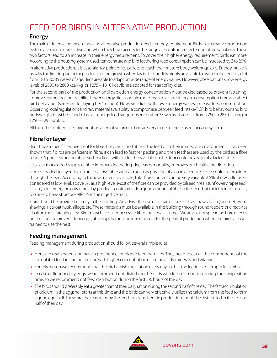### FEED FOR BIRDS IN ALTERNATIVE PRODUCTION

#### **Energy**

The main difference between cage and alternative production feed is energy requirement. Birds in alternative production system are much more active and when they have access to the range are confronted by temperature variations. These two factors lead to an increase in their energy requirement. To cover their higher energy requirement, birds eat more. According to the housing system used, temperature and bird feathering, feed consumption can be increased by 3 to 20%. In alternative production, it is essential for point of lay pullets to reach their mature body weight quickly. Energy intake is usually the limiting factor for production and growth when lay is starting. It is highly advisable to use a higher energy diet

from 18 to 30/35 weeks of age. Birds are able to adapt on wide range of energy values. However, observations show energy levels of 2800 to 2880 kcal/kg or 1275 – 1310 kcal/lb. are adapted for start of lay diet.

For the second part of the production until depletion energy concentration must be decreased to prevent fattening, improve feathering and livability. Lower energy diets contain more insoluble fibre, increase consumption time and affect bird behaviour (see 'Fiber for laying hen' section). However, diets with lower energy values increase feed consumption. Observing local regulations and raw material availability, a compromise between feed intake/FCR, bird behaviour and bird bodyweight must be found. Classical energy feed range, observed after 35 weeks of age, are from 2750 to 2850 kcal/kg or 1250 - 1295 Kcal/lb.

All the other nutrients requirements in alternative production are very close to those used for cage system.

#### **Fibre for layer**

Birds have a specific requirement for fibre. They must find fibre in the feed or in their immediate environment. It has been shown that if birds are deficient in fibre, it can lead to feather pecking and then feathers are used by the bird as a fibre source. A poor feathering observed in a flock without feathers visible on the floor could be a sign of a lack of fibre.

It is clear that a good supply of fibre improves feathering, decreases mortality, improves gut health and digestion.

Fibre provided to layer flocks must be insoluble with as much as possible of a coarse texture. Fibre could be provided through the feed. According to the raw material available, total fibre content can be very variable 2.5% of raw cellulose is considered as low level, above 5% as a high level. Most of the fibre can be provided by oilseed meal (sunflower / rapeseed), alfalfa (or lucerne), and oats. Cereal by-products could provide a good amount of fibre in the feed, but their texture is usually too fine to have 'structure effect' on the digestive tract.

Fibre should be provided directly in the building. We advise the use of a coarse fibre such as straw, alfalfa (lucerne), wood shavings, rice/oat husk, sillage, etc. These materials must be available in the building through round feeders or directly as a ball on the scratching area. Birds must have a free access to fibre sources at all times. We advise not spreading fibre directly on the floor. To prevent floor eggs, fibre supply must be introduced after the peak of production when the birds are well trained to use the nest.

#### **Feeding management**

Feeding management during production should follow several simple rules:

- **•** Hens are grain eaters and have a preference for bigger feed particles. They need to eat all the components of the formulated feed including the fine with higher concentration of amino acids, minerals and vitamins.
- **•** For this reason we recommend that the birds finish their ration every day so that the feeders rest empty for a while.
- **•** In case of floor or dirty eggs, we recommend not disturbing the birds with feed distribution during their oviposition time, so we recommend not feed distribution during the first 5-6 hours of the day
- **•** The birds should preferably eat a greater part of their daily ration during the second half of the day. The fast accumulation of calcium in the eggshell starts at this time and the birds can very effectively utilize the calcium from the feed to form a good eggshell. These are the reasons why the feed for laying hens in production should be distributed in the second half of their day.

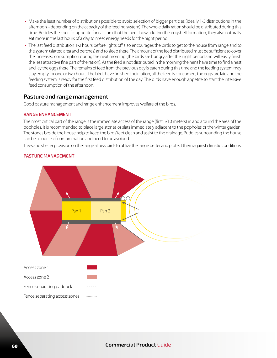- **•** Make the least number of distributions possible to avoid selection of bigger particles (ideally 1-3 distributions in the afternoon – depending on the capacity of the feeding system). The whole daily ration should be distributed during this time. Besides the specific appetite for calcium that the hen shows during the eggshell formation, they also naturally eat more in the last hours of a day to meet energy needs for the night period.
- **•** The last feed distribution 1-2 hours before lights off also encourages the birds to get to the house from range and to the system (slatted area and perches) and to sleep there. The amount of the feed distributed must be sufficient to cover the increased consumption during the next morning (the birds are hungry after the night period and will easily finish the less attractive fine part of the ration). As the feed is not distributed in the morning the hens have time to find a nest and lay the eggs there. The remains of feed from the previous day is eaten during this time and the feeding system may stay empty for one or two hours. The birds have finished their ration, all the feed is consumed, the eggs are laid and the feeding system is ready for the first feed distribution of the day. The birds have enough appetite to start the intensive feed consumption of the afternoon.

#### **Pasture and range management**

Good pasture management and range enhancement improves welfare of the birds.

#### **RANGE ENHANCEMENT**

The most critical part of the range is the immediate access of the range (first 5/10 meters) in and around the area of the popholes. It is recommended to place large stones or slats immediately adjacent to the popholes or the winter garden. The stones beside the house help to keep the birds' feet clean and assist to the drainage. Puddles surrounding the house can be a source of contamination and need to be avoided.

Trees and shelter provision on the range allows birds to utilize the range better and protect them against climatic conditions.



#### **PASTURE MANAGEMENT**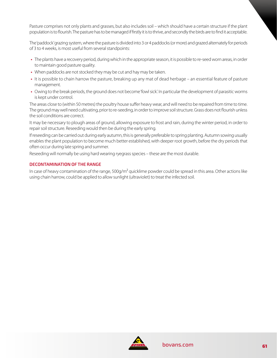Pasture comprises not only plants and grasses, but also includes soil – which should have a certain structure if the plant population is to flourish. The pasture has to be managed if firstly it is to thrive, and secondly the birds are to find it acceptable.

The 'paddock' grazing system, where the pasture is divided into 3 or 4 paddocks (or more) and grazed alternately for periods of 3 to 4 weeks, is most useful from several standpoints:

- **•** The plants have a recovery period, during which in the appropriate season, it is possible to re-seed worn areas, in order to maintain good pasture quality.
- **•** When paddocks are not stocked they may be cut and hay may be taken.
- **•** It is possible to chain harrow the pasture, breaking up any mat of dead herbage an essential feature of pasture management.
- **•** Owing to the break periods, the ground does not become 'fowl sick'. In particular the development of parasitic worms is kept under control.

The areas close to (within 50 metres) the poultry house suffer heavy wear, and will need to be repaired from time to time. The ground may well need cultivating, prior to re-seeding, in order to improve soil structure. Grass does not flourish unless the soil conditions are correct.

It may be necessary to plough areas of ground, allowing exposure to frost and rain, during the winter period, in order to repair soil structure. Reseeding would then be during the early spring.

If reseeding can be carried out during early autumn, this is generally preferable to spring planting. Autumn sowing usually enables the plant population to become much better established, with deeper root growth, before the dry periods that often occur during late spring and summer.

Reseeding will normally be using hard wearing ryegrass species – these are the most durable.

#### **DECONTAMINATION OF THE RANGE**

In case of heavy contamination of the range, 500g/m<sup>2</sup> quicklime powder could be spread in this area. Other actions like using chain harrow, could be applied to allow sunlight (ultraviolet) to treat the infected soil.

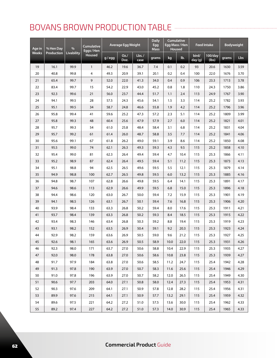### BOVANS BROWN PRODUCTION TABLE

| % Hen Day<br>Age in |            | $\%$              | <b>Cumulative</b><br>Eggs / Hen |       | Average Egg Weight | <b>Daily</b><br>Egg<br><b>Mass</b> |       | <b>Cumulative</b><br>Egg Mass / Hen<br><b>Housed</b> |      | <b>Feed Intake</b> | Bodyweight       |       |      |
|---------------------|------------|-------------------|---------------------------------|-------|--------------------|------------------------------------|-------|------------------------------------------------------|------|--------------------|------------------|-------|------|
| <b>Weeks</b>        | Production | <b>Livability</b> | Housed                          | g/egg | $OZ$ ./<br>Doz.    | Lbs. /<br>case                     | grams | kg                                                   | lb.  | bird/<br>day (g)   | 100/day<br>(lbs) | grams | Lbs  |
| 19                  | 16.1       | 99.9              | $\mathbf{1}$                    | 46.2  | 19.6               | 36.7                               | 7.4   | 0.1                                                  | 0.2  | 93                 | 20.6             | 1630  | 3.59 |
| 20                  | 40.8       | 99.8              | 4                               | 49.3  | 20.9               | 39.1                               | 20.1  | 0.2                                                  | 0.4  | 100                | 22.0             | 1676  | 3.70 |
| 21                  | 65.4       | 99.7              | 9                               | 52.0  | 22.0               | 41.3                               | 34.0  | 0.4                                                  | 0.9  | 106                | 23.3             | 1713  | 3.78 |
| 22                  | 83.4       | 99.7              | 15                              | 54.2  | 22.9               | 43.0                               | 45.2  | 0.8                                                  | 1.8  | 110                | 24.3             | 1750  | 3.86 |
| 23                  | 92.3       | 99.6              | 21                              | 56.0  | 23.7               | 44.4                               | 51.7  | 1.1                                                  | 2.4  | 113                | 24.9             | 1767  | 3.90 |
| 24                  | 94.1       | 99.5              | 28                              | 57.5  | 24.3               | 45.6                               | 54.1  | 1.5                                                  | 3.3  | 114                | 25.2             | 1782  | 3.93 |
| 25                  | 95.1       | 99.5              | 34                              | 58.7  | 24.8               | 46.6                               | 55.8  | 1.9                                                  | 4.2  | 114                | 25.2             | 1796  | 3.96 |
| 26                  | 95.8       | 99.4              | 41                              | 59.6  | 25.2               | 47.3                               | 57.2  | 2.3                                                  | 5.1  | 114                | 25.2             | 1809  | 3.99 |
| 27                  | 95.8       | 99.3              | 48                              | 60.4  | 25.6               | 47.9                               | 57.9  | 2.7                                                  | 6.0  | 114                | 25.2             | 1821  | 4.01 |
| 28                  | 95.7       | 99.3              | 54                              | 61.0  | 25.8               | 48.4                               | 58.4  | 3.1                                                  | 6.8  | 114                | 25.2             | 1831  | 4.04 |
| 29                  | 95.7       | 99.2              | 61                              | 61.4  | 26.0               | 48.7                               | 58.8  | 3.5                                                  | 7.7  | 114                | 25.2             | 1841  | 4.06 |
| 30                  | 95.6       | 99.1              | 67                              | 61.8  | 26.2               | 49.0                               | 59.1  | 3.9                                                  | 8.6  | 114                | 25.2             | 1850  | 4.08 |
| 31                  | 95.5       | 99.0              | 74                              | 62.1  | 26.3               | 49.3                               | 59.3  | 4.3                                                  | 9.5  | 115                | 25.2             | 1858  | 4.10 |
| 32                  | 95.4       | 99.0              | 81                              | 62.3  | 26.4               | 49.4                               | 59.4  | 4.7                                                  | 10.4 | 115                | 25.3             | 1866  | 4.11 |
| 33                  | 95.2       | 98.9              | 87                              | 62.4  | 26.4               | 49.5                               | 59.4  | 5.1                                                  | 11.2 | 115                | 25.3             | 1873  | 4.13 |
| 34                  | 95.1       | 98.8              | 94                              | 62.5  | 26.5               | 49.6                               | 59.5  | 5.5                                                  | 12.1 | 115                | 25.3             | 1879  | 4.14 |
| 35                  | 94.9       | 98.8              | 100                             | 62.7  | 26.5               | 49.8                               | 59.5  | 6.0                                                  | 13.2 | 115                | 25.3             | 1885  | 4.16 |
| 36                  | 94.8       | 98.7              | 107                             | 62.8  | 26.6               | 49.8                               | 59.5  | 6.4                                                  | 14.1 | 115                | 25.3             | 1891  | 4.17 |
| 37                  | 94.6       | 98.6              | 113                             | 62.9  | 26.6               | 49.9                               | 59.5  | 6.8                                                  | 15.0 | 115                | 25.3             | 1896  | 4.18 |
| 38                  | 94.4       | 98.6              | 120                             | 63.0  | 26.7               | 50.0                               | 59.4  | 7.2                                                  | 15.9 | 115                | 25.3             | 1901  | 4.19 |
| 39                  | 94.1       | 98.5              | 126                             | 63.1  | 26.7               | 50.1                               | 59.4  | 7.6                                                  | 16.8 | 115                | 25.3             | 1906  | 4.20 |
| 40                  | 93.9       | 98.4              | 133                             | 63.3  | 26.8               | 50.2                               | 59.4  | 8.0                                                  | 17.6 | 115                | 25.3             | 1911  | 4.21 |
| 41                  | 93.7       | 98.4              | 139                             | 63.3  | 26.8               | 50.2                               | 59.3  | 8.4                                                  | 18.5 | 115                | 25.3             | 1915  | 4.22 |
| 42                  | 93.4       | 98.3              | 146                             | 63.4  | 26.8               | 50.3                               | 59.2  | 8.8                                                  | 19.4 | 115                | 25.3             | 1919  | 4.23 |
| 43                  | 93.1       | 98.2              | 152                             | 63.5  | 26.9               | 50.4                               | 59.1  | 9.2                                                  | 20.3 | 115                | 25.3             | 1923  | 4.24 |
| 44                  | 92.9       | 98.2              | 159                             | 63.6  | 26.9               | 50.5                               | 59.0  | 9.6                                                  | 21.2 | 115                | 25.3             | 1927  | 4.25 |
| 45                  | 92.6       | 98.1              | 165                             | 63.6  | 26.9               | 50.5                               | 58.9  | 10.0                                                 | 22.0 | 115                | 25.3             | 1931  | 4.26 |
| 46                  | 92.3       | 98.0              | 171                             | 63.7  | 27.0               | 50.6                               | 58.8  | 10.4                                                 | 22.9 | 115                | 25.3             | 1935  | 4.27 |
| 47                  | 92.0       | 98.0              | 178                             | 63.8  | 27.0               | 50.6                               | 58.6  | 10.8                                                 | 23.8 | 115                | 25.3             | 1939  | 4.27 |
| 48                  | 91.7       | 97.9              | 184                             | 63.8  | 27.0               | 50.6                               | 58.5  | 11.2                                                 | 24.7 | 115                | 25.4             | 1942  | 4.28 |
| 49                  | 91.3       | 97.8              | 190                             | 63.9  | 27.0               | 50.7                               | 58.3  | 11.6                                                 | 25.6 | 115                | 25.4             | 1946  | 4.29 |
| 50                  | 91.0       | 97.8              | 196                             | 63.9  | 27.0               | 50.7                               | 58.2  | 12.0                                                 | 26.5 | 115                | 25.4             | 1949  | 4.30 |
| 51                  | 90.6       | 97.7              | 203                             | 64.0  | 27.1               | 50.8                               | 58.0  | 12.4                                                 | 27.3 | 115                | 25.4             | 1953  | 4.31 |
| 52                  | 90.3       | 97.6              | 209                             | 64.1  | 27.1               | 50.9                               | 57.8  | 12.8                                                 | 28.2 | 115                | 25.4             | 1956  | 4.31 |
| 53                  | 89.9       | 97.6              | 215                             | 64.1  | 27.1               | 50.9                               | 57.7  | 13.2                                                 | 29.1 | 115                | 25.4             | 1959  | 4.32 |
| 54                  | 89.6       | 97.5              | 221                             | 64.2  | 27.2               | 51.0                               | 57.5  | 13.6                                                 | 30.0 | 115                | 25.4             | 1962  | 4.33 |
| 55                  | 89.2       | 97.4              | 227                             | 64.2  | 27.2               | 51.0                               | 57.3  | 14.0                                                 | 30.9 | 115                | 25.4             | 1965  | 4.33 |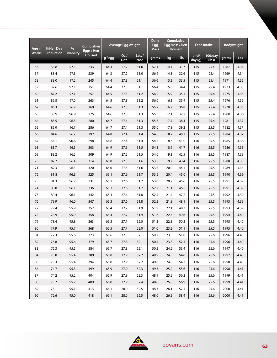| Age in       | % Hen Day  | $\frac{9}{6}$     | <b>Cumulative</b><br>Eggs / Hen |       | Average Egg Weight |                | <b>Daily</b><br>Egg<br><b>Mass</b> | <b>Cumulative</b><br>Egg Mass / Hen<br>Housed |      | <b>Feed Intake</b> |                  | <b>Bodyweight</b> |      |
|--------------|------------|-------------------|---------------------------------|-------|--------------------|----------------|------------------------------------|-----------------------------------------------|------|--------------------|------------------|-------------------|------|
| <b>Weeks</b> | Production | <b>Livability</b> | Housed                          | g/egg | $OZ$ ./<br>Doz.    | Lbs. /<br>case | grams                              | kg                                            | lb.  | bird/<br>day (g)   | 100/day<br>(lbs) | grams             | Lbs  |
| 56           | 88.8       | 97.3              | 233                             | 64.3  | 27.2               | 51.0           | 57.1                               | 14.4                                          | 31.7 | 115                | 25.4             | 1967              | 4.34 |
| 57           | 88.4       | 97.3              | 239                             | 64.3  | 27.2               | 51.0           | 56.9                               | 14.8                                          | 32.6 | 115                | 25.4             | 1969              | 4.34 |
| 58           | 88.0       | 97.2              | 245                             | 64.4  | 27.3               | 51.1           | 56.6                               | 15.2                                          | 33.5 | 115                | 25.4             | 1971              | 4.35 |
| 59           | 87.6       | 97.1              | 251                             | 64.4  | 27.3               | 51.1           | 56.4                               | 15.6                                          | 34.4 | 115                | 25.4             | 1973              | 4.35 |
| 60           | 87.2       | 97.1              | 257                             | 64.5  | 27.3               | 51.2           | 56.2                               | 15.9                                          | 35.1 | 115                | 25.4             | 1975              | 4.35 |
| 61           | 86.8       | 97.0              | 263                             | 64.5  | 27.3               | 51.2           | 56.0                               | 16.3                                          | 35.9 | 115                | 25.4             | 1976              | 4.36 |
| 62           | 86.3       | 96.9              | 269                             | 64.6  | 27.3               | 51.3           | 55.7                               | 16.7                                          | 36.8 | 115                | 25.4             | 1978              | 4.36 |
| 63           | 85.9       | 96.9              | 275                             | 64.6  | 27.3               | 51.3           | 55.5                               | 17.1                                          | 37.7 | 115                | 25.4             | 1980              | 4.36 |
| 64           | 85.5       | 96.8              | 280                             | 64.7  | 27.4               | 51.3           | 55.3                               | 17.4                                          | 38.4 | 115                | 25.4             | 1981              | 4.37 |
| 65           | 85.0       | 96.7              | 286                             | 64.7  | 27.4               | 51.3           | 55.0                               | 17.8                                          | 39.2 | 115                | 25.5             | 1982              | 4.37 |
| 66           | 84.6       | 96.7              | 292                             | 64.8  | 27.4               | 51.4           | 54.8                               | 18.2                                          | 40.1 | 115                | 25.5             | 1984              | 4.37 |
| 67           | 84.1       | 96.6              | 298                             | 64.8  | 27.4               | 51.4           | 54.5                               | 18.6                                          | 41.0 | 116                | 25.5             | 1985              | 4.38 |
| 68           | 83.7       | 96.5              | 303                             | 64.9  | 27.5               | 51.5           | 54.3                               | 18.9                                          | 41.7 | 116                | 25.5             | 1986              | 4.38 |
| 69           | 83.2       | 96.5              | 309                             | 64.9  | 27.5               | 51.5           | 54.0                               | 19.3                                          | 42.5 | 116                | 25.5             | 1987              | 4.38 |
| 70           | 82.7       | 96.4              | 314                             | 65.0  | 27.5               | 51.6           | 53.8                               | 19.7                                          | 43.4 | 116                | 25.5             | 1988              | 4.38 |
| 71           | 82.3       | 96.3              | 320                             | 65.0  | 27.5               | 51.6           | 53.5                               | 20.0                                          | 44.1 | 116                | 25.5             | 1989              | 4.38 |
| 72           | 81.8       | 96.3              | 325                             | 65.1  | 27.6               | 51.7           | 53.2                               | 20.4                                          | 45.0 | 116                | 25.5             | 1990              | 4.39 |
| 73           | 81.3       | 96.2              | 331                             | 65.1  | 27.6               | 51.7           | 53.0                               | 20.7                                          | 45.6 | 116                | 25.5             | 1991              | 4.39 |
| 74           | 80.8       | 96.1              | 336                             | 65.2  | 27.6               | 51.7           | 52.7                               | 21.1                                          | 46.5 | 116                | 25.5             | 1991              | 4.39 |
| 75           | 80.4       | 96.1              | 342                             | 65.3  | 27.6               | 51.8           | 52.4                               | 21.4                                          | 47.2 | 116                | 25.5             | 1992              | 4.39 |
| 76           | 79.9       | 96.0              | 347                             | 65.3  | 27.6               | 51.8           | 52.2                               | 21.8                                          | 48.1 | 116                | 25.5             | 1993              | 4.39 |
| 77           | 79.4       | 95.9              | 352                             | 65.4  | 27.7               | 51.9           | 51.9                               | 22.1                                          | 48.7 | 116                | 25.5             | 1993              | 4.39 |
| 78           | 78.9       | 95.9              | 358                             | 65.4  | 27.7               | 51.9           | 51.6                               | 22.5                                          | 49.6 | 116                | 25.5             | 1994              | 4.40 |
| 79           | 78.4       | 95.8              | 363                             | 65.5  | 27.7               | 52.0           | 51.3                               | 22.8                                          | 50.3 | 116                | 25.5             | 1995              | 4.40 |
| 80           | 77.9       | 95.7              | 368                             | 65.5  | 27.7               | 52.0           | 51.0                               | 23.2                                          | 51.1 | 116                | 25.5             | 1995              | 4.40 |
| 81           | 77.3       | 95.6              | 373                             | 65.6  | 27.8               | 52.1           | 50.7                               | 23.5                                          | 51.8 | 116                | 25.6             | 1996              | 4.40 |
| 82           | 76.8       | 95.6              | 379                             | 65.7  | 27.8               | 52.1           | 50.4                               | 23.8                                          | 52.5 | 116                | 25.6             | 1996              | 4.40 |
| 83           | 76.3       | 95.5              | 384                             | 65.7  | 27.8               | 52.1           | 50.2                               | 24.2                                          | 53.4 | 116                | 25.6             | 1997              | 4.40 |
| 84           | 75.8       | 95.4              | 389                             | 65.8  | 27.9               | 52.2           | 49.9                               | 24.5                                          | 54.0 | 116                | 25.6             | 1997              | 4.40 |
| 85           | 75.3       | 95.4              | 394                             | 65.8  | 27.9               | 52.2           | 49.6                               | 24.8                                          | 54.7 | 116                | 25.6             | 1998              | 4.40 |
| 86           | 74.7       | 95.3              | 399                             | 65.9  | 27.9               | 52.3           | 49.3                               | 25.2                                          | 55.6 | 116                | 25.6             | 1998              | 4.41 |
| 87           | 74.2       | 95.2              | 404                             | 65.9  | 27.9               | 52.3           | 48.9                               | 25.5                                          | 56.2 | 116                | 25.6             | 1999              | 4.41 |
| 88           | 73.7       | 95.2              | 409                             | 66.0  | 27.9               | 52.4           | 48.6                               | 25.8                                          | 56.9 | 116                | 25.6             | 1999              | 4.41 |
| 89           | 73.1       | 95.1              | 413                             | 66.1  | 28.0               | 52.5           | 48.3                               | 26.1                                          | 57.5 | 116                | 25.6             | 2000              | 4.41 |
| 90           | 72.6       | 95.0              | 418                             | 66.1  | 28.0               | 52.5           | 48.0                               | 26.5                                          | 58.4 | 116                | 25.6             | 2000              | 4.41 |

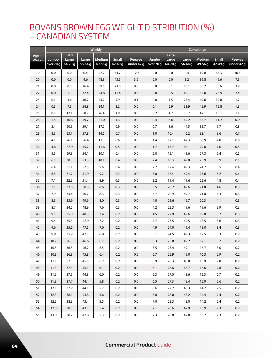### BOVANS BROWN EGG WEIGHT DISTRIBUTION (%) – CANADIAN SYSTEM

|                        |                    |                                  |                      | Weekly                   |                             |                      | Cumulative         |                                  |                  |                          |                             |                      |
|------------------------|--------------------|----------------------------------|----------------------|--------------------------|-----------------------------|----------------------|--------------------|----------------------------------|------------------|--------------------------|-----------------------------|----------------------|
| Age in<br><b>Weeks</b> | Jumbo<br>over 70 g | <b>Extra</b><br>Large<br>64-70 g | Large<br>$56 - 64$ g | <b>Medium</b><br>49-56 g | <b>Small</b><br>$42 - 49$ g | Peewee<br>under 42 g | Jumbo<br>over 70 g | <b>Extra</b><br>Large<br>64-70 g | Large<br>56-64 g | <b>Medium</b><br>49-56 g | <b>Small</b><br>$42 - 49$ g | Peewee<br>under 42 g |
| 19                     | 0.0                | 0.0                              | 0.4                  | 22.2                     | 64.7                        | 12.7                 | 0.0                | 0.0                              | 0.4              | 19.8                     | 63.3                        | 16.5                 |
| 20                     | 0.0                | 0.0                              | 4.6                  | 48.8                     | 43.5                        | 3.2                  | 0.0                | 0.0                              | 3.2              | 39.8                     | 49.6                        | 7.3                  |
| 21                     | 0.0                | 0.2                              | 16.4                 | 59.6                     | 23.0                        | 0.8                  | 0.0                | 0.1                              | 10.1             | 50.2                     | 35.6                        | 3.9                  |
| 22                     | 0.0                | 1.1                              | 32.4                 | 54.8                     | 11.4                        | 0.3                  | 0.0                | 0.5                              | 19.1             | 52.0                     | 25.9                        | 2.4                  |
| 23                     | 0.1                | 3.6                              | 46.2                 | 44.2                     | 5.9                         | 0.1                  | 0.0                | 1.5                              | 27.4             | 49.6                     | 19.8                        | 1.7                  |
| 24                     | 0.3                | 7.5                              | 54.8                 | 34.1                     | 3.2                         | 0.0                  | 0.1                | 2.9                              | 33.9             | 45.9                     | 15.8                        | 1.3                  |
| 25                     | 0.8                | 12.1                             | 58.7                 | 26.4                     | 1.9                         | 0.0                  | 0.2                | 4.7                              | 38.7             | 42.1                     | 13.1                        | 1.1                  |
| 26                     | 1.5                | 16.6                             | 59.7                 | 21.0                     | 1.3                         | 0.0                  | 0.4                | 6.6                              | 42.2             | 38.7                     | 11.2                        | 0.9                  |
| 27                     | 2.4                | 20.5                             | 59.1                 | 17.2                     | 0.9                         | 0.0                  | 0.7                | 8.6                              | 44.5             | 35.7                     | 9.7                         | 0.8                  |
| 28                     | 3.3                | 23.7                             | 57.8                 | 14.6                     | 0.7                         | 0.0                  | 1.0                | 10.4                             | 46.2             | 33.1                     | 8.6                         | 0.7                  |
| 29                     | 4.1                | 26.1                             | 56.4                 | 12.8                     | 0.6                         | 0.0                  | 1.4                | 12.1                             | 47.3             | 30.9                     | 7.8                         | 0.6                  |
| 30                     | 4.8                | 27.9                             | 55.2                 | 11.6                     | 0.5                         | 0.0                  | 1.7                | 13.7                             | 48.1             | 29.0                     | 7.0                         | 0.5                  |
| 31                     | 5.5                | 29.3                             | 54.1                 | 10.7                     | 0.4                         | 0.0                  | 2.0                | 15.1                             | 48.6             | 27.3                     | 6.4                         | 0.5                  |
| 32                     | 6.0                | 30.3                             | 53.3                 | 10.1                     | 0.4                         | 0.0                  | 2.4                | 16.3                             | 49.0             | 25.9                     | 5.9                         | 0.5                  |
| 33                     | 6.4                | 31.1                             | 52.5                 | 9.6                      | 0.4                         | 0.0                  | 2.7                | 17.4                             | 49.3             | 24.7                     | 5.5                         | 0.4                  |
| 34                     | 6.8                | 31.7                             | 51.9                 | 9.2                      | 0.3                         | 0.0                  | 3.0                | 18.4                             | 49.4             | 23.6                     | 5.2                         | 0.4                  |
| 35                     | 7.1                | 32.3                             | 51.4                 | 8.9                      | 0.3                         | 0.0                  | 3.2                | 19.4                             | 49.6             | 22.6                     | 4.8                         | 0.4                  |
| 36                     | 7.5                | 32.8                             | 50.8                 | 8.6                      | 0.3                         | $0.0\,$              | 3.5                | 20.2                             | 49.6             | 21.8                     | 4.6                         | 0.3                  |
| 37                     | 7.9                | 33.4                             | 50.2                 | 8.3                      | 0.3                         | 0.0                  | 3.7                | 20.9                             | 49.7             | 21.0                     | 4.3                         | 0.3                  |
| 38                     | 8.3                | 33.9                             | 49.6                 | 8.0                      | 0.3                         | $0.0\,$              | 4.0                | 21.6                             | 49.7             | 20.3                     | 4.1                         | 0.3                  |
| 39                     | 8.7                | 34.5                             | 48.9                 | 7.6                      | 0.3                         | 0.0                  | 4.2                | 22.3                             | 49.6             | 19.6                     | 3.9                         | 0.3                  |
| 40                     | 9.1                | 35.0                             | 48.3                 | 7.4                      | 0.2                         | 0.0                  | 4.5                | 22.9                             | 49.6             | 19.0                     | 3.7                         | 0.3                  |
| 41                     | 9.4                | 35.3                             | 47.9                 | 7.2                      | 0.2                         | 0.0                  | 4.7                | 23.5                             | 49.5             | 18.5                     | 3.6                         | 0.3                  |
| 42                     | 9.6                | 35.6                             | 47.5                 | 7.0                      | 0.2                         | 0.0                  | 4.9                | 24.0                             | 49.4             | 18.0                     | 3.4                         | 0.3                  |
| 43                     | 9.9                | 35.9                             | 47.1                 | 6.8                      | 0.2                         | 0.0                  | 5.1                | 24.5                             | 49.3             | 17.5                     | 3.3                         | 0.2                  |
| 44                     | 10.2               | 36.3                             | 46.6                 | 6.7                      | 0.2                         | 0.0                  | 5.3                | 25.0                             | 49.2             | 17.1                     | 3.2                         | 0.2                  |
| 45                     | $10.5$             | 36.5                             | 46.2                 | 6.5                      | $0.2\,$                     | $0.0\,$              | $5.5\,$            | 25.4                             | 49.1             | 16.7                     | 3.0                         | $0.2\,$              |
| 46                     | 10.8               | 36.8                             | 45.8                 | 6.4                      | 0.2                         | 0.0                  | 5.7                | 25.9                             | 49.0             | 16.3                     | 2.9                         | 0.2                  |
| 47                     | 11.1               | 37.1                             | 45.5                 | 6.2                      | 0.2                         | 0.0                  | 5.9                | 26.3                             | 48.8             | 15.9                     | 2.8                         | 0.2                  |
| 48                     | 11.3               | 37.3                             | 45.1                 | 6.1                      | 0.2                         | 0.0                  | 6.1                | 26.6                             | 48.7             | 15.6                     | 2.8                         | 0.2                  |
| 49                     | 11.6               | 37.5                             | 44.8                 | 6.0                      | 0.2                         | 0.0                  | 6.3                | 27.0                             | 48.6             | 15.3                     | 2.7                         | 0.2                  |
| 50                     | 11.8               | 37.7                             | 44.4                 | 5.8                      | 0.2                         | 0.0                  | 6.5                | 27.3                             | 48.4             | 15.0                     | 2.6                         | 0.2                  |
| 51                     | 12.1               | 37.9                             | 44.1                 | 5.7                      | 0.2                         | 0.0                  | 6.6                | 27.7                             | 48.3             | 14.7                     | 2.5                         | 0.2                  |
| 52                     | 12.3               | 38.1                             | 43.8                 | 5.6                      | 0.2                         | $0.0\,$              | 6.8                | 28.0                             | 48.2             | 14.4                     | 2.4                         | 0.2                  |
| 53                     | 12.5               | 38.3                             | 43.4                 | 5.5                      | 0.2                         | 0.0                  | 7.0                | 28.3                             | 48.0             | 14.2                     | 2.4                         | 0.2                  |
| 54                     | 12.8               | 38.5                             | 43.1                 | 5.4                      | 0.2                         | 0.0                  | 7.1                | 28.6                             | 47.9             | 13.9                     | 2.3                         | 0.2                  |
| 55                     | 13.0               | 38.7                             | 42.8                 | 5.3                      | 0.2                         | $0.0\,$              | 7.3                | 28.8                             | 47.8             | 13.7                     | 2.3                         | 0.2                  |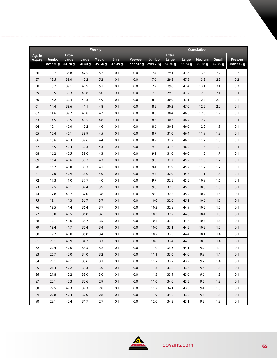|                 |           |                       |            | <b>Weekly</b> |         |            | <b>Cumulative</b> |                       |             |               |              |            |
|-----------------|-----------|-----------------------|------------|---------------|---------|------------|-------------------|-----------------------|-------------|---------------|--------------|------------|
| Age in<br>Weeks | Jumbo     | <b>Extra</b><br>Large | Large      | <b>Medium</b> | Small   | Peewee     | Jumbo             | <b>Extra</b><br>Large | Large       | <b>Medium</b> | <b>Small</b> | Peewee     |
|                 | over 70 g | 64-70g                | $56 - 64g$ | 49-56 g       | 42-49 g | under 42 g | over 70 g         | 64-70 g               | $56 - 64$ g | 49-56 g       | 42-49 g      | under 42 g |
| 56              | 13.2      | 38.8                  | 42.5       | 5.2           | 0.1     | 0.0        | 7.4               | 29.1                  | 47.6        | 13.5          | 2.2          | 0.2        |
| 57              | 13.5      | 39.0                  | 42.2       | 5.2           | 0.1     | 0.0        | 7.6               | 29.3                  | 47.5        | 13.3          | 2.2          | 0.2        |
| 58              | 13.7      | 39.1                  | 41.9       | 5.1           | 0.1     | $0.0\,$    | 7.7               | 29.6                  | 47.4        | 13.1          | 2.1          | 0.2        |
| 59              | 13.9      | 39.3                  | 41.6       | 5.0           | 0.1     | 0.0        | 7.9               | 29.8                  | 47.2        | 12.9          | 2.1          | 0.1        |
| 60              | 14.2      | 39.4                  | 41.3       | 4.9           | 0.1     | 0.0        | 8.0               | 30.0                  | 47.1        | 12.7          | 2.0          | 0.1        |
| 61              | 14.4      | 39.6                  | 41.1       | 4.8           | 0.1     | 0.0        | 8.2               | 30.2                  | 47.0        | 12.5          | 2.0          | 0.1        |
| 62              | 14.6      | 39.7                  | 40.8       | 4.7           | 0.1     | 0.0        | 8.3               | 30.4                  | 46.8        | 12.3          | 1.9          | 0.1        |
| 63              | 14.9      | 39.9                  | 40.5       | 4.6           | 0.1     | 0.0        | 8.5               | 30.6                  | 46.7        | 12.2          | 1.9          | 0.1        |
| 64              | 15.1      | 40.0                  | 40.2       | 4.6           | 0.1     | 0.0        | 8.6               | 30.8                  | 46.6        | 12.0          | 1.9          | 0.1        |
| 65              | 15.4      | 40.1                  | 39.9       | 4.5           | 0.1     | 0.0        | 8.7               | 31.0                  | 46.4        | 11.9          | 1.8          | 0.1        |
| 66              | 15.6      | 40.3                  | 39.6       | 4.4           | 0.1     | 0.0        | 8.9               | 31.2                  | 46.3        | 11.7          | 1.8          | 0.1        |
| 67              | 15.9      | 40.4                  | 39.3       | 4.3           | 0.1     | 0.0        | 9.0               | 31.4                  | 46.2        | 11.6          | 1.8          | 0.1        |
| 68              | 16.2      | 40.5                  | 39.0       | 4.3           | 0.1     | 0.0        | 9.1               | 31.6                  | 46.0        | 11.5          | 1.7          | 0.1        |
| 69              | 16.4      | 40.6                  | 38.7       | 4.2           | 0.1     | 0.0        | 9.3               | 31.7                  | 45.9        | 11.3          | 1.7          | 0.1        |
| 70              | 16.7      | 40.8                  | 38.3       | 4.1           | 0.1     | 0.0        | 9.4               | 31.9                  | 45.7        | 11.2          | 1.7          | 0.1        |
| 71              | 17.0      | 40.9                  | 38.0       | 4.0           | 0.1     | 0.0        | 9.5               | 32.0                  | 45.6        | 11.1          | 1.6          | 0.1        |
| 72              | 17.3      | 41.0                  | 37.7       | 4.0           | 0.1     | 0.0        | 9.7               | 32.2                  | 45.5        | 10.9          | 1.6          | 0.1        |
| 73              | 17.5      | 41.1                  | 37.4       | 3.9           | 0.1     | 0.0        | 9.8               | 32.3                  | 45.3        | 10.8          | 1.6          | 0.1        |
| 74              | 17.8      | 41.2                  | 37.0       | 3.8           | 0.1     | 0.0        | 9.9               | 32.5                  | 45.2        | 10.7          | 1.6          | 0.1        |
| 75              | 18.1      | 41.3                  | 36.7       | 3.7           | 0.1     | 0.0        | 10.0              | 32.6                  | 45.1        | 10.6          | 1.5          | 0.1        |
| 76              | 18.5      | 41.4                  | 36.4       | 3.7           | 0.1     | 0.0        | 10.2              | 32.8                  | 44.9        | 10.5          | 1.5          | 0.1        |
| 77              | 18.8      | 41.5                  | 36.0       | 3.6           | 0.1     | 0.0        | 10.3              | 32.9                  | 44.8        | 10.4          | 1.5          | 0.1        |
| 78              | 19.1      | 41.6                  | 35.7       | 3.5           | 0.1     | 0.0        | 10.4              | 33.0                  | 44.7        | 10.3          | 1.5          | 0.1        |
| 79              | 19.4      | 41.7                  | 35.4       | 3.4           | 0.1     | 0.0        | 10.6              | 33.1                  | 44.5        | 10.2          | 1.5          | 0.1        |
| 80              | 19.7      | 41.8                  | 35.0       | 3.4           | 0.1     | 0.0        | 10.7              | 33.3                  | 44.4        | 10.1          | 1.4          | 0.1        |
| 81              | 20.1      | 41.9                  | 34.7       | 3.3           | 0.1     | 0.0        | 10.8              | 33.4                  | 44.3        | 10.0          | 1.4          | 0.1        |
| 82              | 20.4      | 42.0                  | 34.3       | 3.2           | 0.1     | $0.0\,$    | 11.0              | 33.5                  | 44.1        | 9.9           | 1.4          | 0.1        |
| 83              | 20.7      | 42.0                  | 34.0       | 3.2           | 0.1     | 0.0        | 11.1              | 33.6                  | 44.0        | 9.8           | 1.4          | 0.1        |
| 84              | 21.1      | 42.1                  | 33.6       | 3.1           | 0.1     | 0.0        | 11.2              | 33.7                  | 43.9        | 9.7           | 1.4          | 0.1        |
| 85              | 21.4      | 42.2                  | 33.3       | 3.0           | 0.1     | 0.0        | 11.3              | 33.8                  | 43.7        | 9.6           | 1.3          | 0.1        |
| 86              | 21.8      | 42.2                  | 33.0       | 3.0           | 0.1     | 0.0        | 11.5              | 33.9                  | 43.6        | 9.6           | 1.3          | 0.1        |
| 87              | 22.1      | 42.3                  | 32.6       | 2.9           | 0.1     | 0.0        | 11.6              | 34.0                  | 43.5        | 9.5           | 1.3          | 0.1        |
| 88              | 22.5      | 42.3                  | 32.3       | 2.8           | 0.1     | 0.0        | 11.7              | 34.1                  | 43.3        | 9.4           | 1.3          | 0.1        |
| 89              | 22.8      | 42.4                  | 32.0       | 2.8           | 0.1     | 0.0        | 11.9              | 34.2                  | 43.2        | 9.3           | 1.3          | 0.1        |
| 90              | 23.1      | 42.4                  | 31.7       | 2.7           | 0.1     | 0.0        | 12.0              | 34.3                  | 43.1        | 9.2           | 1.3          | 0.1        |

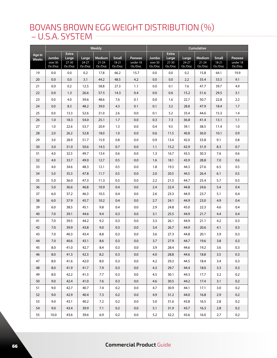### BOVANS BROWN EGG WEIGHT DISTRIBUTION (%) – U.S.A. SYSTEM

|                        |                              |                                                |                                | Weekly                          |                                |                                |                              |                                                |                                | <b>Cumulative</b>                      |                                     |                                |
|------------------------|------------------------------|------------------------------------------------|--------------------------------|---------------------------------|--------------------------------|--------------------------------|------------------------------|------------------------------------------------|--------------------------------|----------------------------------------|-------------------------------------|--------------------------------|
| Age in<br><b>Weeks</b> | Jumbo<br>over 30<br>Oz./Doz. | <b>Extra</b><br>Large<br>$27 - 30$<br>Oz./Doz. | Large<br>$24 - 27$<br>Oz./Doz. | Medium<br>$21 - 24$<br>Oz./Doz. | Small<br>$18 - 21$<br>Oz./Doz. | Peewee<br>under 18<br>Oz./Doz. | Jumbo<br>over 30<br>Oz./Doz. | <b>Extra</b><br>Large<br>$27 - 30$<br>Oz./Doz. | Large<br>$24 - 27$<br>Oz./Doz. | <b>Medium</b><br>$21 - 24$<br>Oz./Doz. | <b>Small</b><br>$18-21$<br>Oz./Doz. | Peewee<br>under 18<br>Oz./Doz. |
| 19                     | 0.0                          | 0.0                                            | 0.2                            | 17.8                            | 66.2                           | 15.7                           | 0.0                          | 0.0                                            | 0.2                            | 15.8                                   | 64.1                                | 19.9                           |
| 20                     | 0.0                          | 0.0                                            | 3.1                            | 44.2                            | 48.5                           | 4.2                            | 0.0                          | 0.0                                            | 2.2                            | 35.4                                   | 53.3                                | 9.1                            |
| 21                     | 0.0                          | 0.2                                            | 12.5                           | 58.8                            | 27.3                           | 1.1                            | 0.0                          | 0.1                                            | 7.6                            | 47.7                                   | 39.7                                | 4.9                            |
| 22                     | 0.0                          | 1.3                                            | 26.6                           | 57.5                            | 14.3                           | 0.4                            | 0.0                          | 0.6                                            | 15.2                           | 51.6                                   | 29.5                                | 3.1                            |
| 23                     | 0.0                          | 4.0                                            | 39.6                           | 48.6                            | 7.6                            | 0.1                            | 0.0                          | 1.6                                            | 22.7                           | 50.7                                   | 22.8                                | 2.2                            |
| 24                     | 0.0                          | 8.3                                            | 48.2                           | 39.0                            | 4.3                            | 0.1                            | 0.1                          | 3.2                                            | 28.8                           | 47.9                                   | 18.4                                | 1.7                            |
| 25                     | 0.0                          | 13.3                                           | 52.6                           | 31.0                            | 2.6                            | 0.0                            | 0.1                          | 5.2                                            | 33.4                           | 44.6                                   | 15.3                                | 1.4                            |
| 26                     | 1.0                          | 18.3                                           | 54.0                           | 25.1                            | 1.7                            | 0.0                            | 0.3                          | 7.3                                            | 36.8                           | 41.4                                   | 13.1                                | 1.1                            |
| 27                     | 1.0                          | 22.6                                           | 53.7                           | 20.9                            | 1.3                            | 0.0                            | 0.4                          | 9.5                                            | 39.1                           | 38.5                                   | 11.4                                | 1.0                            |
| 28                     | 2.0                          | 26.2                                           | 52.8                           | 18.0                            | 1.0                            | $0.0\,$                        | 0.6                          | 11.5                                           | 40.8                           | 36.0                                   | 10.1                                | 0.9                            |
| 29                     | 3.0                          | 28.9                                           | 51.7                           | 15.9                            | 0.8                            | 0.0                            | 0.9                          | 13.4                                           | 42.0                           | 33.8                                   | 9.1                                 | $0.8\,$                        |
| 30                     | 3.0                          | 31.0                                           | 50.6                           | 14.5                            | 0.7                            | 0.0                            | 1.1                          | 15.2                                           | 42.9                           | 31.9                                   | 8.3                                 | 0.7                            |
| 31                     | 4.0                          | 32.5                                           | 49.7                           | 13.4                            | 0.6                            | 0.0                            | 1.3                          | 16.7                                           | 43.5                           | 30.3                                   | 7.6                                 | 0.6                            |
| 32                     | 4.0                          | 33.7                                           | 49.0                           | 12.7                            | 0.5                            | 0.0                            | 1.6                          | 18.1                                           | 43.9                           | 28.8                                   | 7.0                                 | 0.6                            |
| 33                     | 4.0                          | 34.6                                           | 48.3                           | 12.1                            | 0.5                            | 0.0                            | 1.8                          | 19.3                                           | 44.3                           | 27.6                                   | 6.5                                 | 0.5                            |
| 34                     | $5.0$                        | 35.3                                           | 47.8                           | 11.7                            | 0.5                            | 0.0                            | 2.0                          | 20.5                                           | 44.5                           | 26.4                                   | 6.1                                 | 0.5                            |
| 35                     | 5.0                          | 36.0                                           | 47.3                           | 11.3                            | 0.5                            | 0.0                            | 2.2                          | 21.5                                           | 44.7                           | 25.4                                   | 5.7                                 | 0.5                            |
| 36                     | 5.0                          | 36.6                                           | 46.8                           | 10.9                            | 0.4                            | 0.0                            | 2.4                          | 22.4                                           | 44.8                           | 24.6                                   | 5.4                                 | 0.4                            |
| 37                     | 6.0                          | 37.2                                           | 46.3                           | 10.5                            | 0.4                            | 0.0                            | 2.6                          | 23.3                                           | 44.9                           | 23.7                                   | 5.1                                 | 0.4                            |
| 38                     | 6.0                          | 37.9                                           | 45.7                           | 10.2                            | 0.4                            | 0.0                            | 2.7                          | 24.1                                           | 44.9                           | 23.0                                   | 4.9                                 | 0.4                            |
| 39                     | 6.0                          | 38.5                                           | 45.1                           | 9.8                             | 0.4                            | 0.0                            | 2.9                          | 24.8                                           | 45.0                           | 22.3                                   | 4.6                                 | 0.4                            |
| 40                     | 7.0                          | 39.1                                           | 44.6                           | 9.4                             | 0.3                            | 0.0                            | 3.1                          | 25.5                                           | 44.9                           | 21.7                                   | 4.4                                 | 0.4                            |
| 41                     | 7.0                          | 39.5                                           | 44.2                           | 9.2                             | 0.3                            | 0.0                            | 3.3                          | 26.1                                           | 44.9                           | 21.1                                   | 4.2                                 | 0.3                            |
| 42                     | 7.0                          | 39.9                                           | 43.8                           | 9.0                             | 0.3                            | 0.0                            | 3.4                          | 26.7                                           | 44.9                           | 20.6                                   | 4.1                                 | 0.3                            |
| 43                     | 7.0                          | 40.3                                           | 43.4                           | 8.8                             | 0.3                            | 0.0                            | 3.6                          | 27.3                                           | 44.8                           | 20.1                                   | 3.9                                 | 0.3                            |
| 44                     | 7.0                          | 40.6                                           | 43.1                           | 8.6                             | 0.3                            | 0.0                            | 3.7                          | 27.9                                           | 44.7                           | 19.6                                   | 3.8                                 | 0.3                            |
| 45                     | 8.0                          | 41.0                                           | 42.7                           | 8.4                             | 0.3                            | 0.0                            | 3.9                          | 28.4                                           | 44.6                           | 19.2                                   | $3.6\,$                             | 0.3                            |
| 46                     | 8.0                          | 41.3                                           | 42.3                           | 8.2                             | 0.3                            | $0.0\,$                        | 4.0                          | 28.8                                           | 44.6                           | 18.8                                   | 3.5                                 | 0.3                            |
| 47                     | 8.0                          | 41.6                                           | 42.0                           | 8.0                             | 0.3                            | 0.0                            | 4.2                          | 29.3                                           | 44.5                           | 18.4                                   | 3.4                                 | 0.3                            |
| 48                     | 8.0                          | 41.9                                           | 41.7                           | 7.9                             | 0.3                            | 0.0                            | 4.3                          | 29.7                                           | 44.4                           | 18.0                                   | 3.3                                 | 0.3                            |
| 49                     | 8.0                          | 42.2                                           | 41.3                           | 7.7                             | 0.3                            | 0.0                            | 4.5                          | 30.1                                           | 44.3                           | 17.7                                   | 3.2                                 | 0.2                            |
| 50                     | 9.0                          | 42.4                                           | 41.0                           | 7.6                             | 0.3                            | 0.0                            | 4.6                          | 30.5                                           | 44.2                           | 17.4                                   | 3.1                                 | 0.2                            |
| 51                     | 9.0                          | 42.7                                           | 40.7                           | 7.4                             | 0.2                            | 0.0                            | 4.7                          | 30.9                                           | 44.1                           | 17.1                                   | 3.0                                 | 0.2                            |
| 52                     | 9.0                          | 42.9                                           | 40.4                           | 7.3                             | 0.2                            | 0.0                            | 4.9                          | 31.2                                           | 44.0                           | 16.8                                   | 2.9                                 | 0.2                            |
| 53                     | 9.0                          | 43.1                                           | 40.2                           | 7.2                             | 0.2                            | 0.0                            | 5.0                          | 31.6                                           | 43.8                           | 16.5                                   | 2.8                                 | 0.2                            |
| 54                     | 9.0                          | 43.4                                           | 39.9                           | 7.1                             | 0.2                            | $0.0\,$                        | 5.1                          | 31.9                                           | 43.7                           | 16.3                                   | 2.8                                 | 0.2                            |
| 55                     | 10.0                         | 43.6                                           | 39.6                           | 6.9                             | 0.2                            | $0.0\,$                        | 5.2                          | 32.2                                           | 43.6                           | 16.0                                   | 2.7                                 | 0.2                            |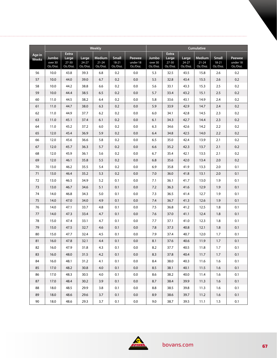|                        |                              |                                                |                            | Weekly                                 |                                       |                                | Cumulative                   |                                                |                            |                                 |                                   |                                |  |
|------------------------|------------------------------|------------------------------------------------|----------------------------|----------------------------------------|---------------------------------------|--------------------------------|------------------------------|------------------------------------------------|----------------------------|---------------------------------|-----------------------------------|--------------------------------|--|
| Age in<br><b>Weeks</b> | Jumbo<br>over 30<br>Oz./Doz. | <b>Extra</b><br>Large<br>$27 - 30$<br>Oz./Doz. | Large<br>24-27<br>Oz./Doz. | <b>Medium</b><br>$21 - 24$<br>Oz./Doz. | <b>Small</b><br>$18 - 21$<br>Oz./Doz. | Peewee<br>under 18<br>Oz./Doz. | Jumbo<br>over 30<br>Oz./Doz. | <b>Extra</b><br>Large<br>$27 - 30$<br>Oz./Doz. | Large<br>24-27<br>Oz./Doz. | Medium<br>$21 - 24$<br>Oz./Doz. | <b>Small</b><br>18-21<br>Oz./Doz. | Peewee<br>under 18<br>Oz./Doz. |  |
| 56                     | 10.0                         | 43.8                                           | 39.3                       | 6.8                                    | 0.2                                   | 0.0                            | 5.3                          | 32.5                                           | 43.5                       | 15.8                            | 2.6                               | 0.2                            |  |
| 57                     | 10.0                         | 44.0                                           | 39.0                       | 6.7                                    | 0.2                                   | 0.0                            | 5.5                          | 32.8                                           | 43.4                       | 15.5                            | 2.6                               | 0.2                            |  |
| 58                     | 10.0                         | 44.2                                           | 38.8                       | 6.6                                    | 0.2                                   | $0.0\,$                        | 5.6                          | 33.1                                           | 43.3                       | 15.3                            | 2.5                               | 0.2                            |  |
| 59                     | 10.0                         | 44.4                                           | 38.5                       | 6.5                                    | 0.2                                   | 0.0                            | 5.7                          | 33.4                                           | 43.2                       | 15.1                            | 2.5                               | 0.2                            |  |
| 60                     | 11.0                         | 44.5                                           | 38.2                       | 6.4                                    | 0.2                                   | 0.0                            | 5.8                          | 33.6                                           | 43.1                       | 14.9                            | 2.4                               | 0.2                            |  |
| 61                     | 11.0                         | 44.7                                           | 38.0                       | 6.3                                    | 0.2                                   | 0.0                            | 5.9                          | 33.9                                           | 42.9                       | 14.7                            | 2.4                               | 0.2                            |  |
| 62                     | 11.0                         | 44.9                                           | 37.7                       | 6.2                                    | 0.2                                   | $0.0\,$                        | 6.0                          | 34.1                                           | 42.8                       | 14.5                            | 2.3                               | 0.2                            |  |
| 63                     | 11.0                         | 45.1                                           | 37.4                       | 6.1                                    | 0.2                                   | 0.0                            | 6.1                          | 34.3                                           | 42.7                       | 14.4                            | 2.3                               | 0.2                            |  |
| 64                     | 11.0                         | 45.2                                           | 37.2                       | $6.0$                                  | 0.2                                   | 0.0                            | 6.3                          | 34.6                                           | 42.6                       | 14.2                            | 2.2                               | 0.2                            |  |
| 65                     | 12.0                         | 45.4                                           | 36.9                       | 5.9                                    | 0.2                                   | 0.0                            | 6.4                          | 34.8                                           | 42.5                       | 14.0                            | 2.2                               | 0.2                            |  |
| 66                     | 12.0                         | 45.6                                           | 36.6                       | 5.8                                    | 0.2                                   | 0.0                            | 6.5                          | 35.0                                           | 42.4                       | 13.9                            | 2.1                               | 0.2                            |  |
| 67                     | 12.0                         | 45.7                                           | 36.3                       | 5.7                                    | 0.2                                   | 0.0                            | 6.6                          | 35.2                                           | 42.3                       | 13.7                            | 2.1                               | 0.2                            |  |
| 68                     | 12.0                         | 45.9                                           | 36.1                       | 5.6                                    | 0.2                                   | 0.0                            | 6.7                          | 35.4                                           | 42.1                       | 13.5                            | 2.1                               | 0.2                            |  |
| 69                     | 12.0                         | 46.1                                           | 35.8                       | 5.5                                    | 0.2                                   | 0.0                            | 6.8                          | 35.6                                           | 42.0                       | 13.4                            | 2.0                               | 0.2                            |  |
| 70                     | 13.0                         | 46.2                                           | 35.5                       | 5.4                                    | 0.2                                   | $0.0\,$                        | 6.9                          | 35.8                                           | 41.9                       | 13.3                            | 2.0                               | 0.1                            |  |
| 71                     | 13.0                         | 46.4                                           | 35.2                       | 5.3                                    | 0.2                                   | 0.0                            | 7.0                          | 36.0                                           | 41.8                       | 13.1                            | 2.0                               | 0.1                            |  |
| 72                     | 13.0                         | 46.5                                           | 34.9                       | 5.2                                    | 0.1                                   | $0.0\,$                        | 7.1                          | 36.1                                           | 41.7                       | 13.0                            | 1.9                               | 0.1                            |  |
| 73                     | 13.0                         | 46.7                                           | 34.6                       | 5.1                                    | 0.1                                   | 0.0                            | 7.2                          | 36.3                                           | 41.6                       | 12.9                            | 1.9                               | 0.1                            |  |
| 74                     | 14.0                         | 46.8                                           | 34.3                       | 5.0                                    | 0.1                                   | 0.0                            | 7.3                          | 36.5                                           | 41.4                       | 12.7                            | 1.9                               | 0.1                            |  |
| 75                     | 14.0                         | 47.0                                           | 34.0                       | 4.9                                    | 0.1                                   | 0.0                            | 7.4                          | 36.7                                           | 41.3                       | 12.6                            | 1.9                               | 0.1                            |  |
| 76                     | 14.0                         | 47.1                                           | 33.7                       | 4.8                                    | 0.1                                   | 0.0                            | 7.5                          | 36.8                                           | 41.2                       | 12.5                            | 1.8                               | 0.1                            |  |
| 77                     | 14.0                         | 47.3                                           | 33.4                       | 4.7                                    | 0.1                                   | $0.0\,$                        | 7.6                          | 37.0                                           | 41.1                       | 12.4                            | 1.8                               | 0.1                            |  |
| 78                     | 15.0                         | 47.4                                           | 33.1                       | 4.7                                    | 0.1                                   | 0.0                            | 7.7                          | 37.1                                           | 41.0                       | 12.3                            | 1.8                               | 0.1                            |  |
| 79                     | 15.0                         | 47.5                                           | 32.7                       | 4.6                                    | 0.1                                   | 0.0                            | 7.8                          | 37.3                                           | 40.8                       | 12.1                            | 1.8                               | 0.1                            |  |
| 80                     | 15.0                         | 47.7                                           | 32.4                       | 4.5                                    | 0.1                                   | 0.0                            | 7.9                          | 37.4                                           | 40.7                       | 12.0                            | 1.7                               | 0.1                            |  |
| 81                     | 16.0                         | 47.8                                           | 32.1                       | 4.4                                    | 0.1                                   | $0.0\,$                        | 8.1                          | 37.6                                           | 40.6                       | 11.9                            | 1.7                               | 0.1                            |  |
| 82                     | 16.0                         | 47.9                                           | 31.8                       | 4.3                                    | 0.1                                   | 0.0                            | 8.2                          | 37.7                                           | 40.5                       | $11.8$                          | 1.7                               | 0.1                            |  |
| 83                     | 16.0                         | 48.0                                           | 31.5                       | 4.2                                    | 0.1                                   | 0.0                            | 8.3                          | 37.8                                           | 40.4                       | 11.7                            | 1.7                               | 0.1                            |  |
| 84                     | 16.0                         | 48.1                                           | 31.2                       | 4.1                                    | 0.1                                   | 0.0                            | 8.4                          | 38.0                                           | 40.3                       | 11.6                            | 1.6                               | 0.1                            |  |
| 85                     | 17.0                         | 48.2                                           | 30.8                       | 4.0                                    | 0.1                                   | 0.0                            | 8.5                          | 38.1                                           | 40.1                       | 11.5                            | 1.6                               | 0.1                            |  |
| 86                     | 17.0                         | 48.3                                           | 30.5                       | 4.0                                    | 0.1                                   | 0.0                            | 8.6                          | 38.2                                           | 40.0                       | 11.4                            | 1.6                               | 0.1                            |  |
| 87                     | 17.0                         | 48.4                                           | 30.2                       | 3.9                                    | 0.1                                   | 0.0                            | 8.7                          | 38.4                                           | 39.9                       | 11.3                            | 1.6                               | 0.1                            |  |
| 88                     | 18.0                         | 48.5                                           | 29.9                       | 3.8                                    | 0.1                                   | 0.0                            | 8.8                          | 38.5                                           | 39.8                       | 11.3                            | 1.6                               | 0.1                            |  |
| 89                     | 18.0                         | 48.6                                           | 29.6                       | 3.7                                    | 0.1                                   | 0.0                            | 8.9                          | 38.6                                           | 39.7                       | 11.2                            | 1.6                               | 0.1                            |  |
| $90\,$                 | 18.0                         | 48.6                                           | 29.3                       | $3.7$                                  | 0.1                                   | $0.0\,$                        | 9.0                          | 38.7                                           | 39.5                       | 11.1                            | 1.5                               | 0.1                            |  |

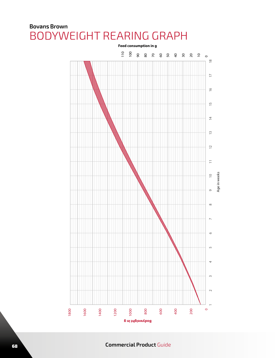### **Bovans Brown** BODYWEIGHT REARING GRAPH



**Commercial Product** Guide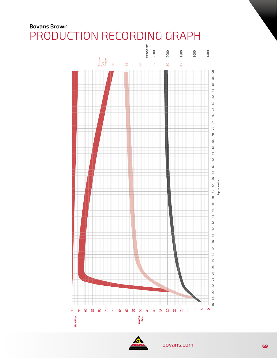# **Bovans Brown**



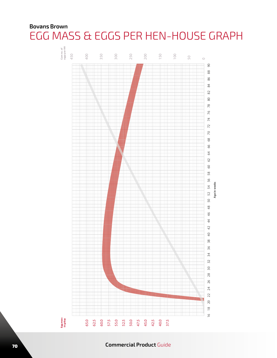### **Bovans Brown** EGG MASS & EGGS PER HEN-HOUSE GRAPH



#### <sup>70</sup> **Commercial Product** Guide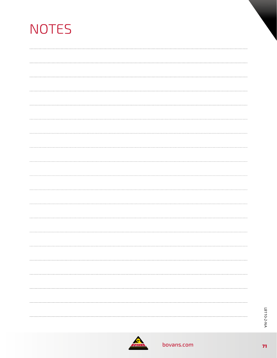| <b>NOTES</b> |  |  |  |
|--------------|--|--|--|
|              |  |  |  |
|              |  |  |  |
|              |  |  |  |
|              |  |  |  |
|              |  |  |  |
|              |  |  |  |
|              |  |  |  |
|              |  |  |  |
|              |  |  |  |
|              |  |  |  |
|              |  |  |  |
|              |  |  |  |
|              |  |  |  |
|              |  |  |  |
|              |  |  |  |
|              |  |  |  |
|              |  |  |  |
|              |  |  |  |
|              |  |  |  |
|              |  |  |  |